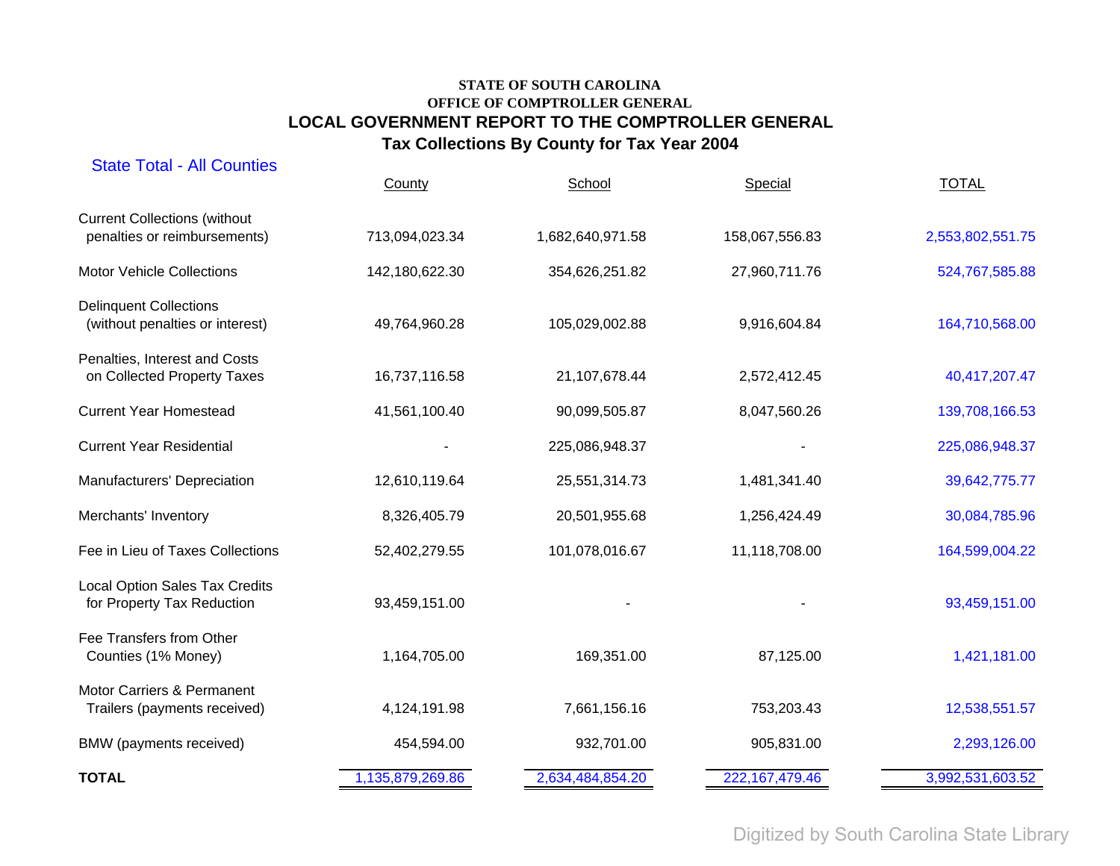| <b>State Total - All Counties</b>                                   | County           | School           | Special           | <b>TOTAL</b>     |
|---------------------------------------------------------------------|------------------|------------------|-------------------|------------------|
| <b>Current Collections (without</b><br>penalties or reimbursements) | 713,094,023.34   | 1,682,640,971.58 | 158,067,556.83    | 2,553,802,551.75 |
| <b>Motor Vehicle Collections</b>                                    | 142,180,622.30   | 354,626,251.82   | 27,960,711.76     | 524,767,585.88   |
| <b>Delinquent Collections</b><br>(without penalties or interest)    | 49,764,960.28    | 105,029,002.88   | 9,916,604.84      | 164,710,568.00   |
| Penalties, Interest and Costs<br>on Collected Property Taxes        | 16,737,116.58    | 21,107,678.44    | 2,572,412.45      | 40,417,207.47    |
| <b>Current Year Homestead</b>                                       | 41,561,100.40    | 90,099,505.87    | 8,047,560.26      | 139,708,166.53   |
| <b>Current Year Residential</b>                                     |                  | 225,086,948.37   |                   | 225,086,948.37   |
| Manufacturers' Depreciation                                         | 12,610,119.64    | 25,551,314.73    | 1,481,341.40      | 39,642,775.77    |
| Merchants' Inventory                                                | 8,326,405.79     | 20,501,955.68    | 1,256,424.49      | 30,084,785.96    |
| Fee in Lieu of Taxes Collections                                    | 52,402,279.55    | 101,078,016.67   | 11,118,708.00     | 164,599,004.22   |
| Local Option Sales Tax Credits<br>for Property Tax Reduction        | 93,459,151.00    |                  |                   | 93,459,151.00    |
| Fee Transfers from Other<br>Counties (1% Money)                     | 1,164,705.00     | 169,351.00       | 87,125.00         | 1,421,181.00     |
| Motor Carriers & Permanent<br>Trailers (payments received)          | 4,124,191.98     | 7,661,156.16     | 753,203.43        | 12,538,551.57    |
| BMW (payments received)                                             | 454,594.00       | 932,701.00       | 905,831.00        | 2,293,126.00     |
| <b>TOTAL</b>                                                        | 1,135,879,269.86 | 2,634,484,854.20 | 222, 167, 479. 46 | 3,992,531,603.52 |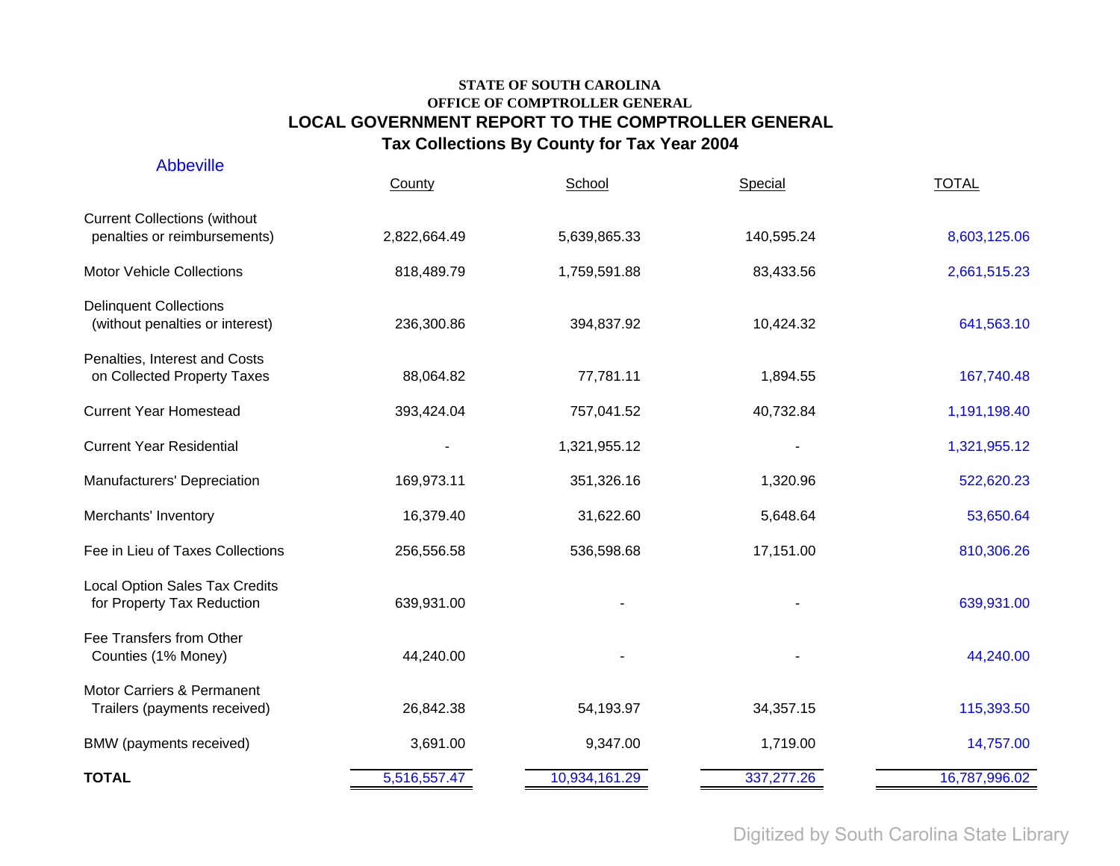| <b>Abbeville</b>                                                    | County       | School        | Special    | <b>TOTAL</b>  |
|---------------------------------------------------------------------|--------------|---------------|------------|---------------|
| <b>Current Collections (without</b><br>penalties or reimbursements) | 2,822,664.49 | 5,639,865.33  | 140,595.24 | 8,603,125.06  |
| <b>Motor Vehicle Collections</b>                                    | 818,489.79   | 1,759,591.88  | 83,433.56  | 2,661,515.23  |
| <b>Delinquent Collections</b><br>(without penalties or interest)    | 236,300.86   | 394,837.92    | 10,424.32  | 641,563.10    |
| Penalties, Interest and Costs<br>on Collected Property Taxes        | 88,064.82    | 77,781.11     | 1,894.55   | 167,740.48    |
| <b>Current Year Homestead</b>                                       | 393,424.04   | 757,041.52    | 40,732.84  | 1,191,198.40  |
| <b>Current Year Residential</b>                                     |              | 1,321,955.12  |            | 1,321,955.12  |
| Manufacturers' Depreciation                                         | 169,973.11   | 351,326.16    | 1,320.96   | 522,620.23    |
| Merchants' Inventory                                                | 16,379.40    | 31,622.60     | 5,648.64   | 53,650.64     |
| Fee in Lieu of Taxes Collections                                    | 256,556.58   | 536,598.68    | 17,151.00  | 810,306.26    |
| <b>Local Option Sales Tax Credits</b><br>for Property Tax Reduction | 639,931.00   |               |            | 639,931.00    |
| Fee Transfers from Other<br>Counties (1% Money)                     | 44,240.00    |               |            | 44,240.00     |
| Motor Carriers & Permanent<br>Trailers (payments received)          | 26,842.38    | 54,193.97     | 34,357.15  | 115,393.50    |
| BMW (payments received)                                             | 3,691.00     | 9,347.00      | 1,719.00   | 14,757.00     |
| <b>TOTAL</b>                                                        | 5,516,557.47 | 10,934,161.29 | 337,277.26 | 16,787,996.02 |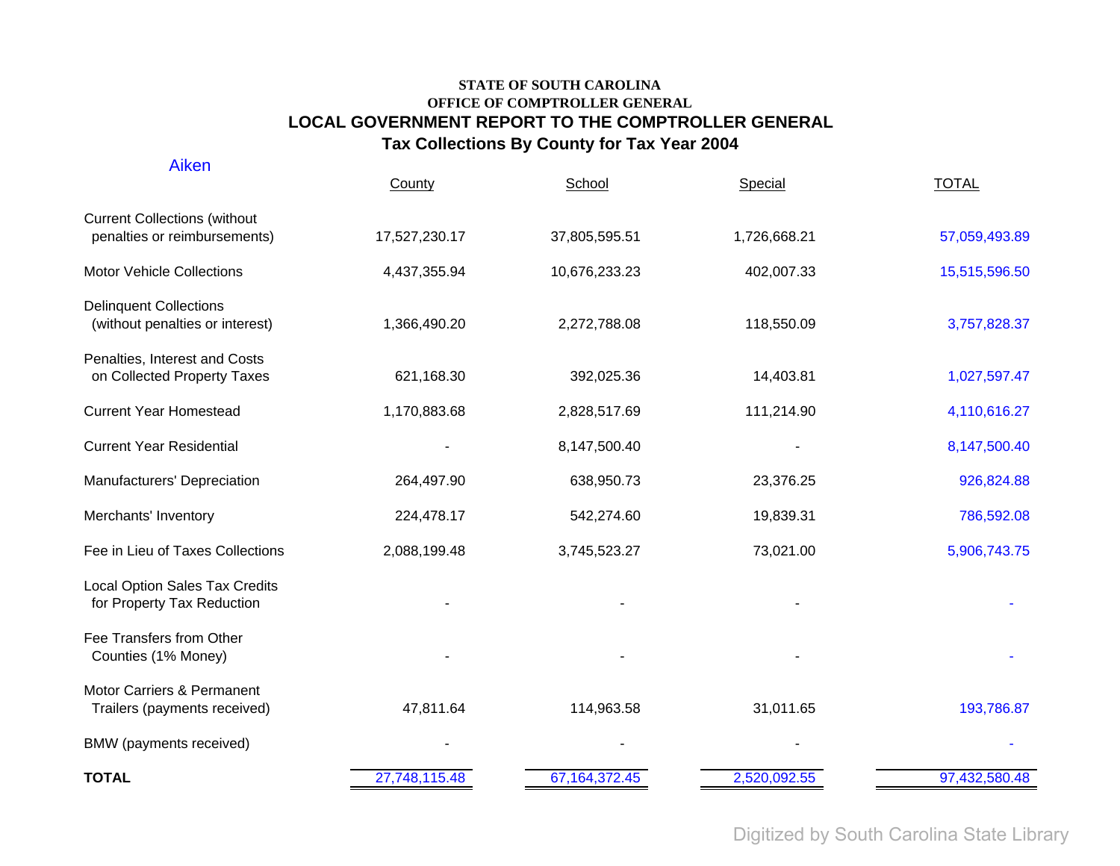| Aiken                                                               | County        | School           | Special      | <b>TOTAL</b>  |
|---------------------------------------------------------------------|---------------|------------------|--------------|---------------|
| <b>Current Collections (without</b><br>penalties or reimbursements) | 17,527,230.17 | 37,805,595.51    | 1,726,668.21 | 57,059,493.89 |
| <b>Motor Vehicle Collections</b>                                    | 4,437,355.94  | 10,676,233.23    | 402,007.33   | 15,515,596.50 |
| <b>Delinquent Collections</b><br>(without penalties or interest)    | 1,366,490.20  | 2,272,788.08     | 118,550.09   | 3,757,828.37  |
| Penalties, Interest and Costs<br>on Collected Property Taxes        | 621,168.30    | 392,025.36       | 14,403.81    | 1,027,597.47  |
| <b>Current Year Homestead</b>                                       | 1,170,883.68  | 2,828,517.69     | 111,214.90   | 4,110,616.27  |
| <b>Current Year Residential</b>                                     |               | 8,147,500.40     |              | 8,147,500.40  |
| Manufacturers' Depreciation                                         | 264,497.90    | 638,950.73       | 23,376.25    | 926,824.88    |
| Merchants' Inventory                                                | 224,478.17    | 542,274.60       | 19,839.31    | 786,592.08    |
| Fee in Lieu of Taxes Collections                                    | 2,088,199.48  | 3,745,523.27     | 73,021.00    | 5,906,743.75  |
| <b>Local Option Sales Tax Credits</b><br>for Property Tax Reduction |               |                  |              |               |
| Fee Transfers from Other<br>Counties (1% Money)                     |               |                  |              |               |
| Motor Carriers & Permanent<br>Trailers (payments received)          | 47,811.64     | 114,963.58       | 31,011.65    | 193,786.87    |
| BMW (payments received)                                             |               |                  |              |               |
| <b>TOTAL</b>                                                        | 27,748,115.48 | 67, 164, 372. 45 | 2,520,092.55 | 97,432,580.48 |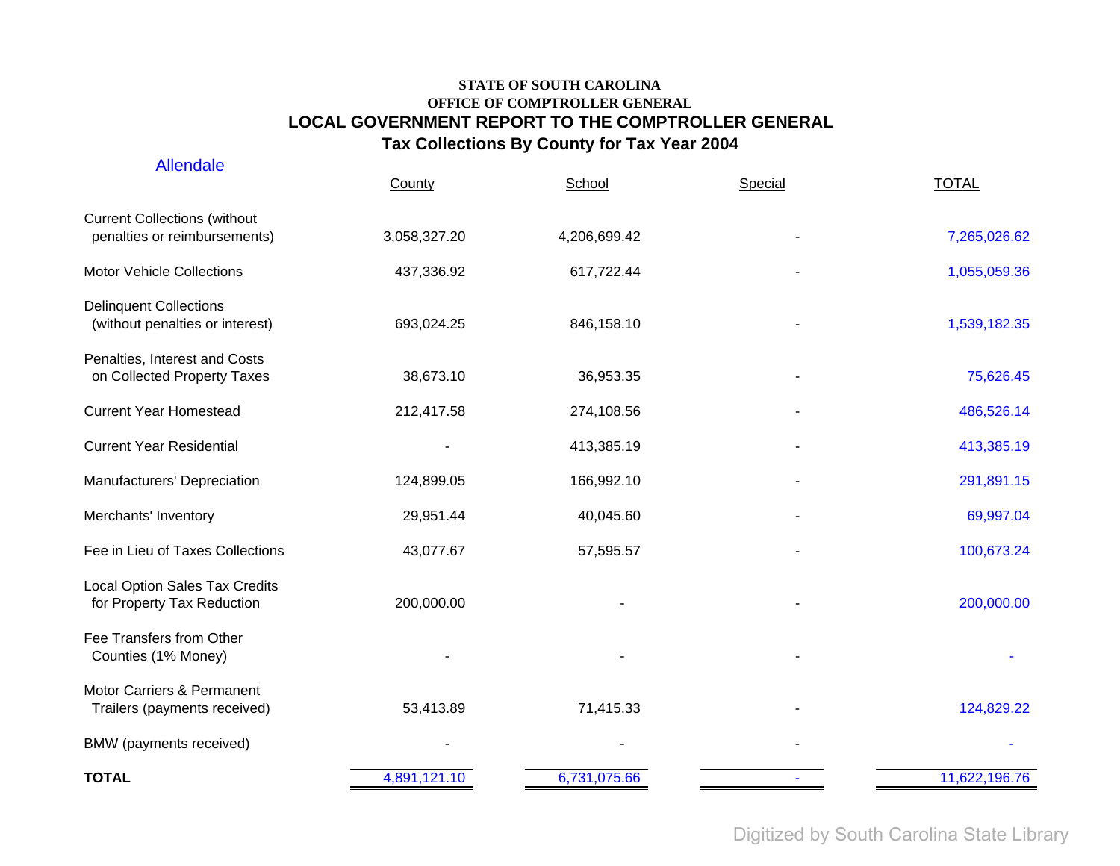| <b>Allendale</b>                                                    | County       | School       | Special | <b>TOTAL</b>  |
|---------------------------------------------------------------------|--------------|--------------|---------|---------------|
| <b>Current Collections (without</b><br>penalties or reimbursements) | 3,058,327.20 | 4,206,699.42 |         | 7,265,026.62  |
| <b>Motor Vehicle Collections</b>                                    | 437,336.92   | 617,722.44   |         | 1,055,059.36  |
| <b>Delinquent Collections</b><br>(without penalties or interest)    | 693,024.25   | 846,158.10   |         | 1,539,182.35  |
| Penalties, Interest and Costs<br>on Collected Property Taxes        | 38,673.10    | 36,953.35    |         | 75,626.45     |
| <b>Current Year Homestead</b>                                       | 212,417.58   | 274,108.56   |         | 486,526.14    |
| <b>Current Year Residential</b>                                     |              | 413,385.19   |         | 413,385.19    |
| Manufacturers' Depreciation                                         | 124,899.05   | 166,992.10   |         | 291,891.15    |
| Merchants' Inventory                                                | 29,951.44    | 40,045.60    |         | 69,997.04     |
| Fee in Lieu of Taxes Collections                                    | 43,077.67    | 57,595.57    |         | 100,673.24    |
| <b>Local Option Sales Tax Credits</b><br>for Property Tax Reduction | 200,000.00   |              |         | 200,000.00    |
| Fee Transfers from Other<br>Counties (1% Money)                     |              |              |         |               |
| Motor Carriers & Permanent<br>Trailers (payments received)          | 53,413.89    | 71,415.33    |         | 124,829.22    |
| BMW (payments received)                                             |              |              |         |               |
| <b>TOTAL</b>                                                        | 4,891,121.10 | 6,731,075.66 |         | 11,622,196.76 |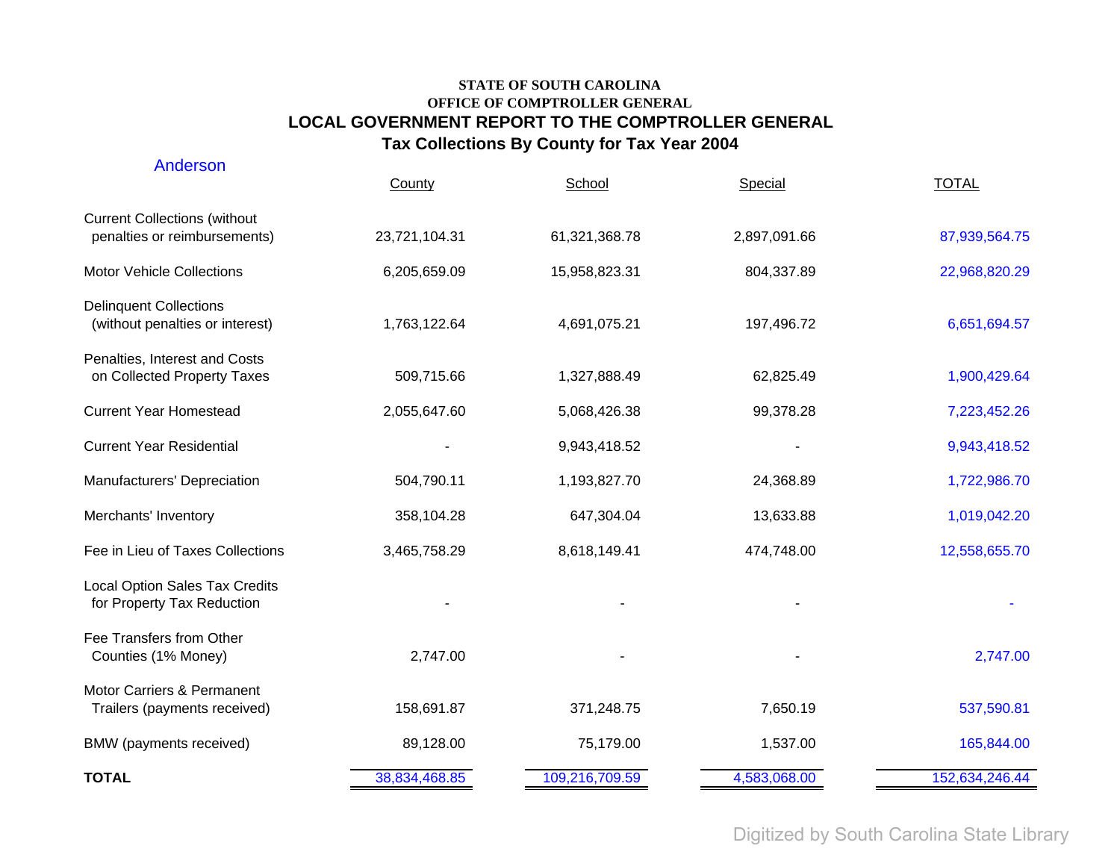| Anderson                                                            | County        | School         | Special      | <b>TOTAL</b>   |
|---------------------------------------------------------------------|---------------|----------------|--------------|----------------|
| <b>Current Collections (without</b><br>penalties or reimbursements) | 23,721,104.31 | 61,321,368.78  | 2,897,091.66 | 87,939,564.75  |
| <b>Motor Vehicle Collections</b>                                    | 6,205,659.09  | 15,958,823.31  | 804,337.89   | 22,968,820.29  |
| <b>Delinquent Collections</b><br>(without penalties or interest)    | 1,763,122.64  | 4,691,075.21   | 197,496.72   | 6,651,694.57   |
| Penalties, Interest and Costs<br>on Collected Property Taxes        | 509,715.66    | 1,327,888.49   | 62,825.49    | 1,900,429.64   |
| <b>Current Year Homestead</b>                                       | 2,055,647.60  | 5,068,426.38   | 99,378.28    | 7,223,452.26   |
| <b>Current Year Residential</b>                                     |               | 9,943,418.52   |              | 9,943,418.52   |
| Manufacturers' Depreciation                                         | 504,790.11    | 1,193,827.70   | 24,368.89    | 1,722,986.70   |
| Merchants' Inventory                                                | 358,104.28    | 647,304.04     | 13,633.88    | 1,019,042.20   |
| Fee in Lieu of Taxes Collections                                    | 3,465,758.29  | 8,618,149.41   | 474,748.00   | 12,558,655.70  |
| <b>Local Option Sales Tax Credits</b><br>for Property Tax Reduction |               |                |              |                |
| Fee Transfers from Other<br>Counties (1% Money)                     | 2,747.00      |                |              | 2,747.00       |
| Motor Carriers & Permanent<br>Trailers (payments received)          | 158,691.87    | 371,248.75     | 7,650.19     | 537,590.81     |
| BMW (payments received)                                             | 89,128.00     | 75,179.00      | 1,537.00     | 165,844.00     |
| <b>TOTAL</b>                                                        | 38,834,468.85 | 109,216,709.59 | 4,583,068.00 | 152,634,246.44 |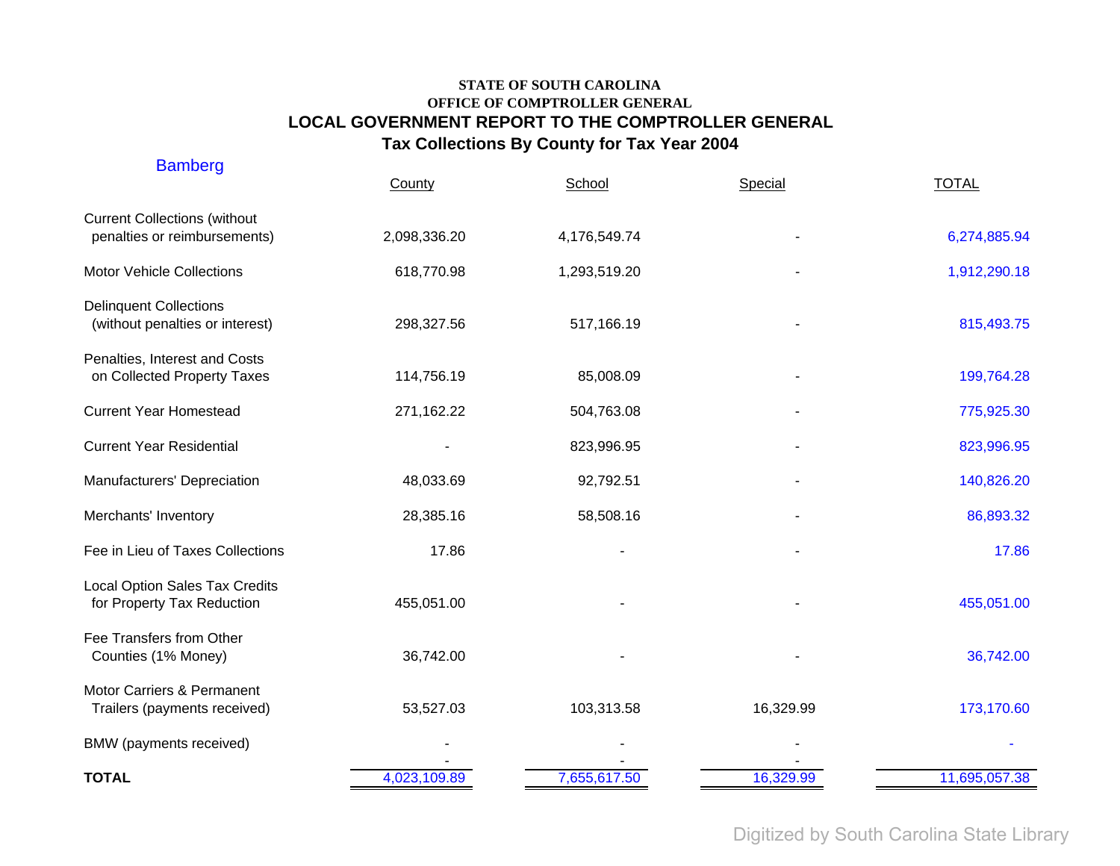| <b>Bamberg</b>                                                      | County       | School       | Special   | <b>TOTAL</b>  |
|---------------------------------------------------------------------|--------------|--------------|-----------|---------------|
| <b>Current Collections (without</b><br>penalties or reimbursements) | 2,098,336.20 | 4,176,549.74 |           | 6,274,885.94  |
| <b>Motor Vehicle Collections</b>                                    | 618,770.98   | 1,293,519.20 |           | 1,912,290.18  |
| <b>Delinquent Collections</b><br>(without penalties or interest)    | 298,327.56   | 517,166.19   |           | 815,493.75    |
| Penalties, Interest and Costs<br>on Collected Property Taxes        | 114,756.19   | 85,008.09    |           | 199,764.28    |
| <b>Current Year Homestead</b>                                       | 271,162.22   | 504,763.08   |           | 775,925.30    |
| <b>Current Year Residential</b>                                     |              | 823,996.95   |           | 823,996.95    |
| Manufacturers' Depreciation                                         | 48,033.69    | 92,792.51    |           | 140,826.20    |
| Merchants' Inventory                                                | 28,385.16    | 58,508.16    |           | 86,893.32     |
| Fee in Lieu of Taxes Collections                                    | 17.86        |              |           | 17.86         |
| <b>Local Option Sales Tax Credits</b><br>for Property Tax Reduction | 455,051.00   |              |           | 455,051.00    |
| Fee Transfers from Other<br>Counties (1% Money)                     | 36,742.00    |              |           | 36,742.00     |
| Motor Carriers & Permanent<br>Trailers (payments received)          | 53,527.03    | 103,313.58   | 16,329.99 | 173,170.60    |
| BMW (payments received)                                             |              |              |           |               |
| <b>TOTAL</b>                                                        | 4,023,109.89 | 7,655,617.50 | 16,329.99 | 11,695,057.38 |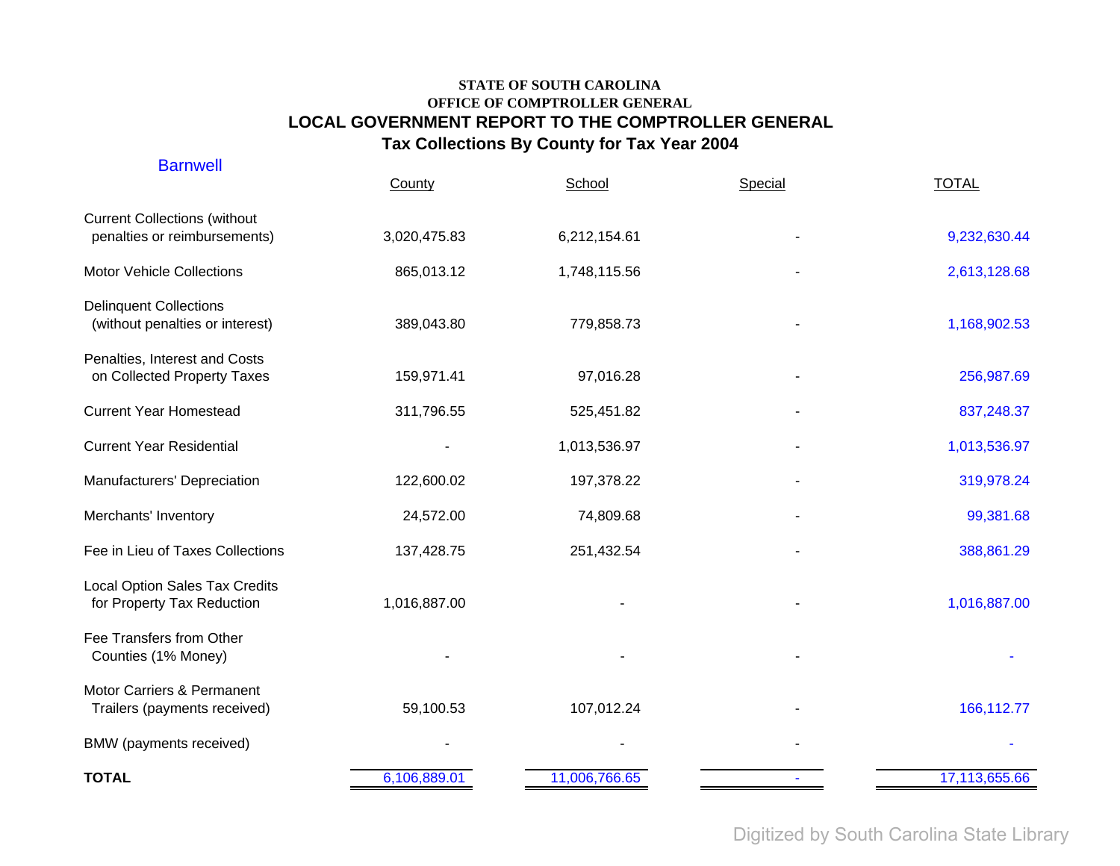| <b>Barnwell</b>                                                     | County       | School        | Special | <b>TOTAL</b>  |
|---------------------------------------------------------------------|--------------|---------------|---------|---------------|
| <b>Current Collections (without</b><br>penalties or reimbursements) | 3,020,475.83 | 6,212,154.61  |         | 9,232,630.44  |
| <b>Motor Vehicle Collections</b>                                    | 865,013.12   | 1,748,115.56  |         | 2,613,128.68  |
| <b>Delinquent Collections</b><br>(without penalties or interest)    | 389,043.80   | 779,858.73    |         | 1,168,902.53  |
| Penalties, Interest and Costs<br>on Collected Property Taxes        | 159,971.41   | 97,016.28     |         | 256,987.69    |
| <b>Current Year Homestead</b>                                       | 311,796.55   | 525,451.82    |         | 837,248.37    |
| <b>Current Year Residential</b>                                     |              | 1,013,536.97  |         | 1,013,536.97  |
| Manufacturers' Depreciation                                         | 122,600.02   | 197,378.22    |         | 319,978.24    |
| Merchants' Inventory                                                | 24,572.00    | 74,809.68     |         | 99,381.68     |
| Fee in Lieu of Taxes Collections                                    | 137,428.75   | 251,432.54    |         | 388,861.29    |
| Local Option Sales Tax Credits<br>for Property Tax Reduction        | 1,016,887.00 |               |         | 1,016,887.00  |
| Fee Transfers from Other<br>Counties (1% Money)                     |              |               |         |               |
| Motor Carriers & Permanent<br>Trailers (payments received)          | 59,100.53    | 107,012.24    |         | 166,112.77    |
| BMW (payments received)                                             |              |               |         |               |
| <b>TOTAL</b>                                                        | 6,106,889.01 | 11,006,766.65 |         | 17,113,655.66 |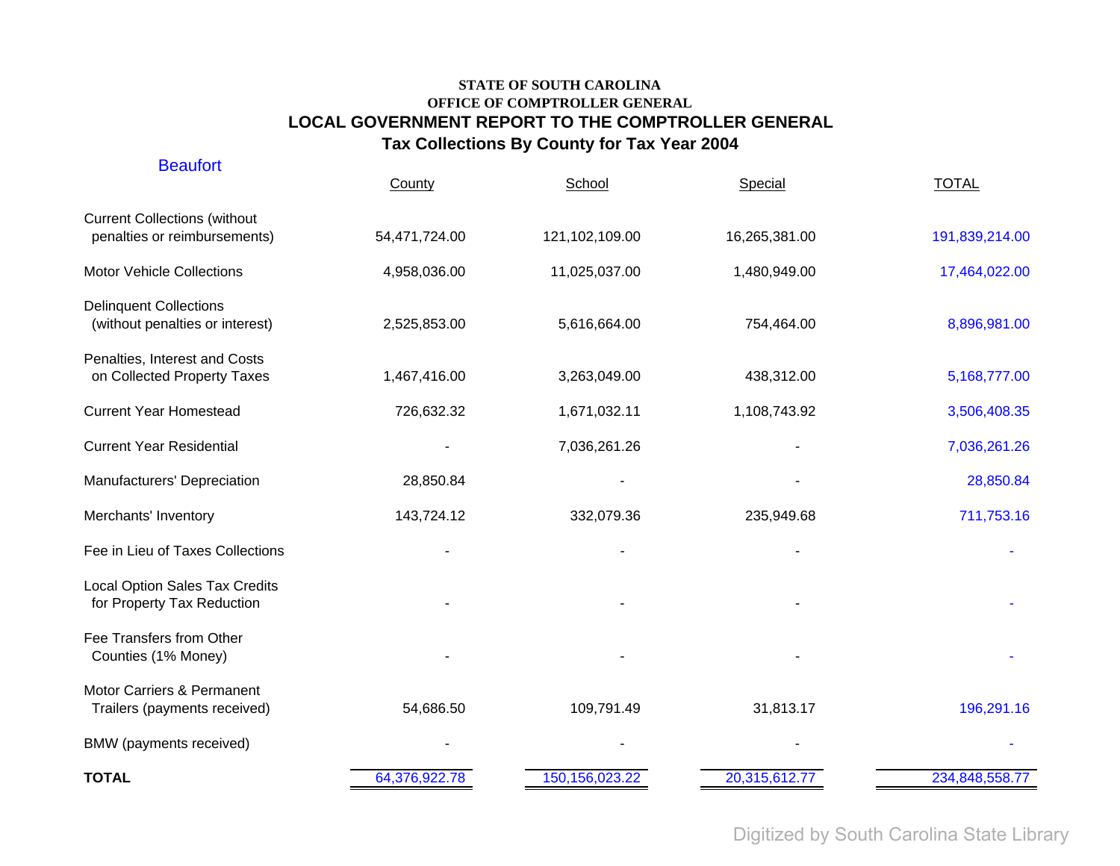| BMW (payments received)                                             |               |                |               |                |
|---------------------------------------------------------------------|---------------|----------------|---------------|----------------|
| Motor Carriers & Permanent<br>Trailers (payments received)          | 54,686.50     | 109,791.49     | 31,813.17     | 196,291.16     |
| Fee Transfers from Other<br>Counties (1% Money)                     |               |                |               |                |
| <b>Local Option Sales Tax Credits</b><br>for Property Tax Reduction |               |                |               |                |
| Fee in Lieu of Taxes Collections                                    |               |                |               |                |
| Merchants' Inventory                                                | 143,724.12    | 332,079.36     | 235,949.68    | 711,753.16     |
| Manufacturers' Depreciation                                         | 28,850.84     |                |               | 28,850.84      |
| <b>Current Year Residential</b>                                     |               | 7,036,261.26   |               | 7,036,261.26   |
| <b>Current Year Homestead</b>                                       | 726,632.32    | 1,671,032.11   | 1,108,743.92  | 3,506,408.35   |
| Penalties, Interest and Costs<br>on Collected Property Taxes        | 1,467,416.00  | 3,263,049.00   | 438,312.00    | 5,168,777.00   |
| <b>Delinquent Collections</b><br>(without penalties or interest)    | 2,525,853.00  | 5,616,664.00   | 754,464.00    | 8,896,981.00   |
| <b>Motor Vehicle Collections</b>                                    | 4,958,036.00  | 11,025,037.00  | 1,480,949.00  | 17,464,022.00  |
| <b>Current Collections (without</b><br>penalties or reimbursements) | 54,471,724.00 | 121,102,109.00 | 16,265,381.00 | 191,839,214.00 |
| <b>Beaufort</b>                                                     | County        | School         | Special       | <b>TOTAL</b>   |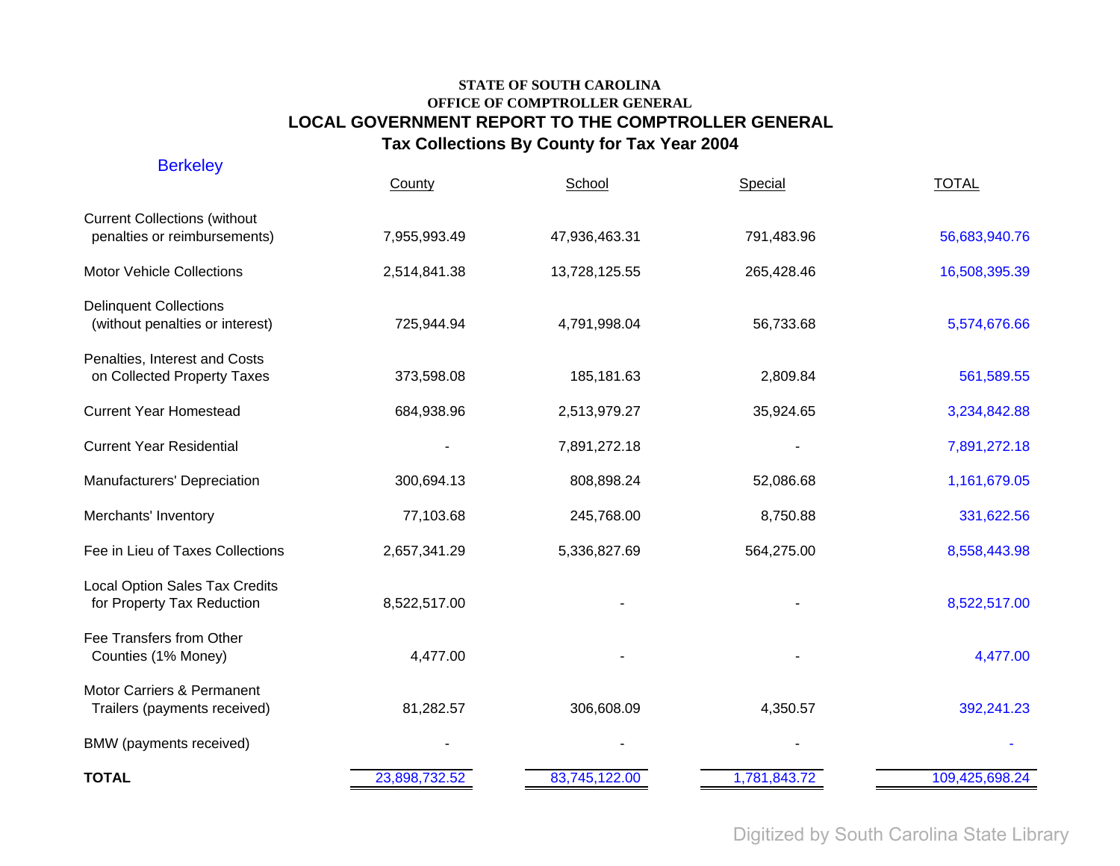| <b>Berkeley</b>                                                     | County        | School        | Special      | <b>TOTAL</b>   |
|---------------------------------------------------------------------|---------------|---------------|--------------|----------------|
| <b>Current Collections (without</b><br>penalties or reimbursements) | 7,955,993.49  | 47,936,463.31 | 791,483.96   | 56,683,940.76  |
| <b>Motor Vehicle Collections</b>                                    | 2,514,841.38  | 13,728,125.55 | 265,428.46   | 16,508,395.39  |
| <b>Delinquent Collections</b><br>(without penalties or interest)    | 725,944.94    | 4,791,998.04  | 56,733.68    | 5,574,676.66   |
| Penalties, Interest and Costs<br>on Collected Property Taxes        | 373,598.08    | 185,181.63    | 2,809.84     | 561,589.55     |
| <b>Current Year Homestead</b>                                       | 684,938.96    | 2,513,979.27  | 35,924.65    | 3,234,842.88   |
| <b>Current Year Residential</b>                                     |               | 7,891,272.18  |              | 7,891,272.18   |
| Manufacturers' Depreciation                                         | 300,694.13    | 808,898.24    | 52,086.68    | 1,161,679.05   |
| Merchants' Inventory                                                | 77,103.68     | 245,768.00    | 8,750.88     | 331,622.56     |
| Fee in Lieu of Taxes Collections                                    | 2,657,341.29  | 5,336,827.69  | 564,275.00   | 8,558,443.98   |
| <b>Local Option Sales Tax Credits</b><br>for Property Tax Reduction | 8,522,517.00  |               |              | 8,522,517.00   |
| Fee Transfers from Other<br>Counties (1% Money)                     | 4,477.00      |               |              | 4,477.00       |
| Motor Carriers & Permanent<br>Trailers (payments received)          | 81,282.57     | 306,608.09    | 4,350.57     | 392,241.23     |
| BMW (payments received)                                             |               |               |              |                |
| <b>TOTAL</b>                                                        | 23,898,732.52 | 83,745,122.00 | 1,781,843.72 | 109,425,698.24 |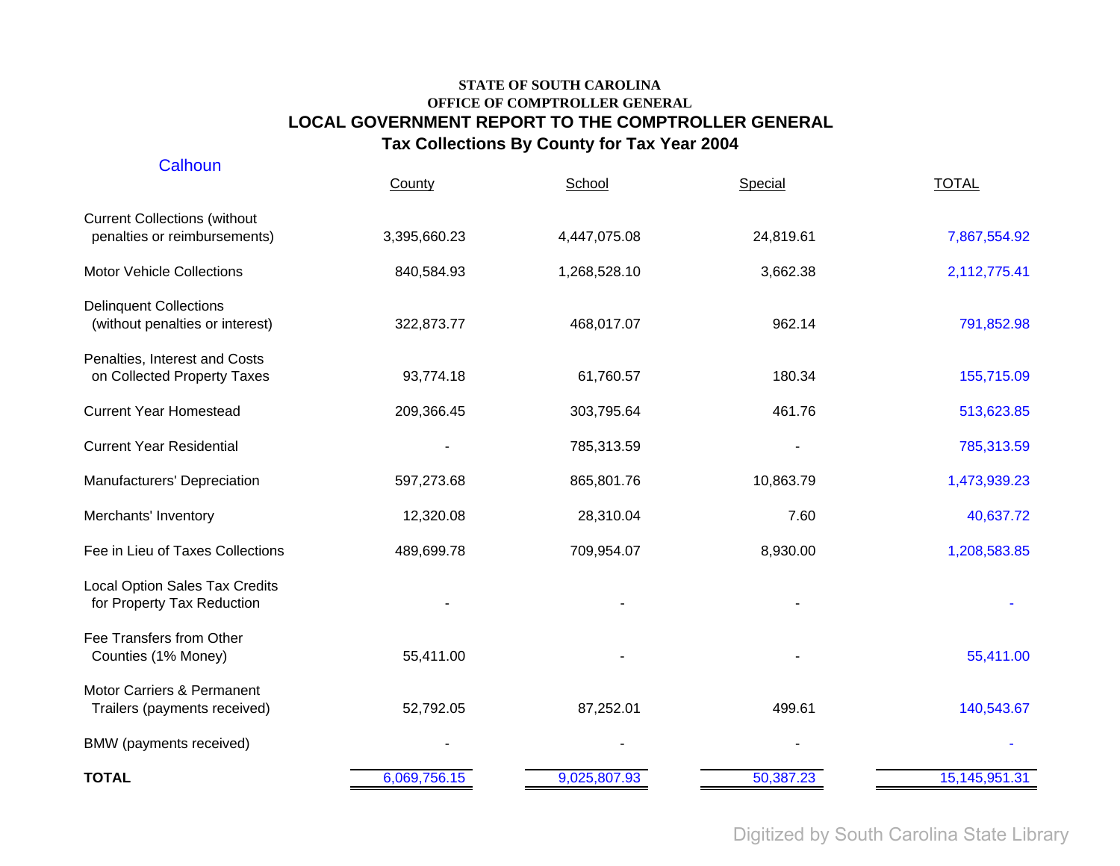| Calhoun                                                             | County       | School       | Special   | <b>TOTAL</b>     |
|---------------------------------------------------------------------|--------------|--------------|-----------|------------------|
| <b>Current Collections (without</b><br>penalties or reimbursements) | 3,395,660.23 | 4,447,075.08 | 24,819.61 | 7,867,554.92     |
| <b>Motor Vehicle Collections</b>                                    | 840,584.93   | 1,268,528.10 | 3,662.38  | 2,112,775.41     |
| <b>Delinquent Collections</b><br>(without penalties or interest)    | 322,873.77   | 468,017.07   | 962.14    | 791,852.98       |
| Penalties, Interest and Costs<br>on Collected Property Taxes        | 93,774.18    | 61,760.57    | 180.34    | 155,715.09       |
| <b>Current Year Homestead</b>                                       | 209,366.45   | 303,795.64   | 461.76    | 513,623.85       |
| <b>Current Year Residential</b>                                     |              | 785,313.59   |           | 785,313.59       |
| Manufacturers' Depreciation                                         | 597,273.68   | 865,801.76   | 10,863.79 | 1,473,939.23     |
| Merchants' Inventory                                                | 12,320.08    | 28,310.04    | 7.60      | 40,637.72        |
| Fee in Lieu of Taxes Collections                                    | 489,699.78   | 709,954.07   | 8,930.00  | 1,208,583.85     |
| Local Option Sales Tax Credits<br>for Property Tax Reduction        |              |              |           |                  |
| Fee Transfers from Other<br>Counties (1% Money)                     | 55,411.00    |              |           | 55,411.00        |
| Motor Carriers & Permanent<br>Trailers (payments received)          | 52,792.05    | 87,252.01    | 499.61    | 140,543.67       |
| BMW (payments received)                                             |              |              |           |                  |
| <b>TOTAL</b>                                                        | 6,069,756.15 | 9,025,807.93 | 50,387.23 | 15, 145, 951. 31 |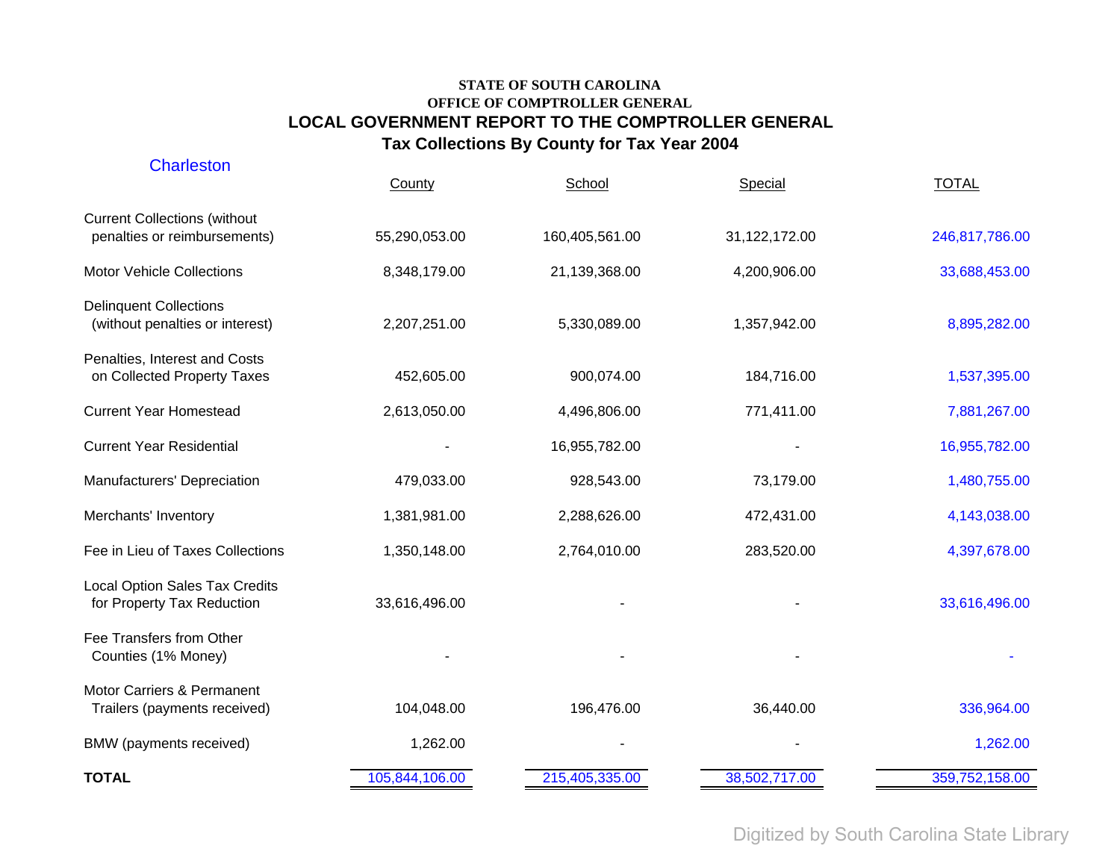| <b>TOTAL</b>                                                        | 105,844,106.00 | 215,405,335.00 | 38,502,717.00 | 359,752,158.00 |
|---------------------------------------------------------------------|----------------|----------------|---------------|----------------|
| BMW (payments received)                                             | 1,262.00       |                |               | 1,262.00       |
| Motor Carriers & Permanent<br>Trailers (payments received)          | 104,048.00     | 196,476.00     | 36,440.00     | 336,964.00     |
| Fee Transfers from Other<br>Counties (1% Money)                     |                |                |               |                |
| <b>Local Option Sales Tax Credits</b><br>for Property Tax Reduction | 33,616,496.00  |                |               | 33,616,496.00  |
| Fee in Lieu of Taxes Collections                                    | 1,350,148.00   | 2,764,010.00   | 283,520.00    | 4,397,678.00   |
| Merchants' Inventory                                                | 1,381,981.00   | 2,288,626.00   | 472,431.00    | 4,143,038.00   |
| Manufacturers' Depreciation                                         | 479,033.00     | 928,543.00     | 73,179.00     | 1,480,755.00   |
| <b>Current Year Residential</b>                                     |                | 16,955,782.00  |               | 16,955,782.00  |
| <b>Current Year Homestead</b>                                       | 2,613,050.00   | 4,496,806.00   | 771,411.00    | 7,881,267.00   |
| Penalties, Interest and Costs<br>on Collected Property Taxes        | 452,605.00     | 900,074.00     | 184,716.00    | 1,537,395.00   |
| <b>Delinquent Collections</b><br>(without penalties or interest)    | 2,207,251.00   | 5,330,089.00   | 1,357,942.00  | 8,895,282.00   |
| <b>Motor Vehicle Collections</b>                                    | 8,348,179.00   | 21,139,368.00  | 4,200,906.00  | 33,688,453.00  |
| <b>Current Collections (without</b><br>penalties or reimbursements) | 55,290,053.00  | 160,405,561.00 | 31,122,172.00 | 246,817,786.00 |
| Charleston                                                          | County         | School         | Special       | <b>TOTAL</b>   |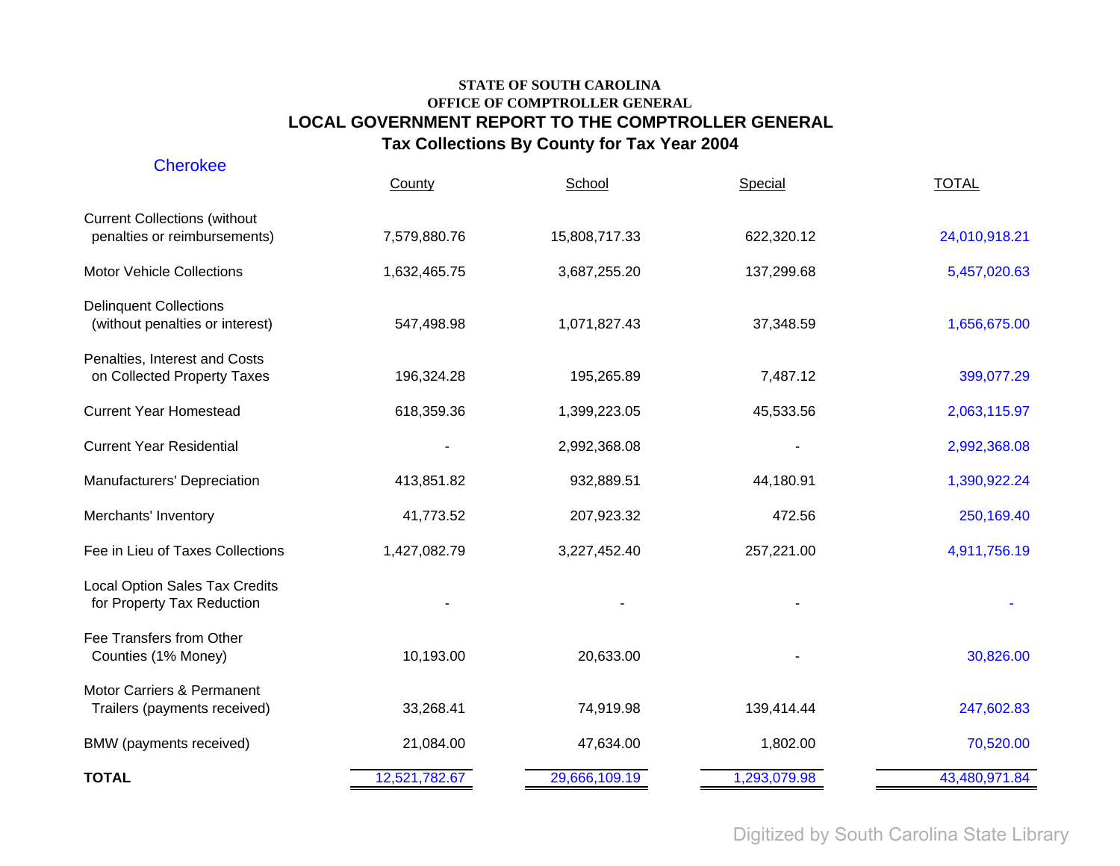| <b>Cherokee</b>                                                     | County        | School        | Special      | <b>TOTAL</b>  |
|---------------------------------------------------------------------|---------------|---------------|--------------|---------------|
| <b>Current Collections (without</b><br>penalties or reimbursements) | 7,579,880.76  | 15,808,717.33 | 622,320.12   | 24,010,918.21 |
| <b>Motor Vehicle Collections</b>                                    | 1,632,465.75  | 3,687,255.20  | 137,299.68   | 5,457,020.63  |
| <b>Delinquent Collections</b><br>(without penalties or interest)    | 547,498.98    | 1,071,827.43  | 37,348.59    | 1,656,675.00  |
| Penalties, Interest and Costs<br>on Collected Property Taxes        | 196,324.28    | 195,265.89    | 7,487.12     | 399,077.29    |
| <b>Current Year Homestead</b>                                       | 618,359.36    | 1,399,223.05  | 45,533.56    | 2,063,115.97  |
| <b>Current Year Residential</b>                                     |               | 2,992,368.08  |              | 2,992,368.08  |
| Manufacturers' Depreciation                                         | 413,851.82    | 932,889.51    | 44,180.91    | 1,390,922.24  |
| Merchants' Inventory                                                | 41,773.52     | 207,923.32    | 472.56       | 250,169.40    |
| Fee in Lieu of Taxes Collections                                    | 1,427,082.79  | 3,227,452.40  | 257,221.00   | 4,911,756.19  |
| <b>Local Option Sales Tax Credits</b><br>for Property Tax Reduction |               |               |              |               |
| Fee Transfers from Other<br>Counties (1% Money)                     | 10,193.00     | 20,633.00     |              | 30,826.00     |
| Motor Carriers & Permanent<br>Trailers (payments received)          | 33,268.41     | 74,919.98     | 139,414.44   | 247,602.83    |
| BMW (payments received)                                             | 21,084.00     | 47,634.00     | 1,802.00     | 70,520.00     |
| <b>TOTAL</b>                                                        | 12,521,782.67 | 29,666,109.19 | 1,293,079.98 | 43,480,971.84 |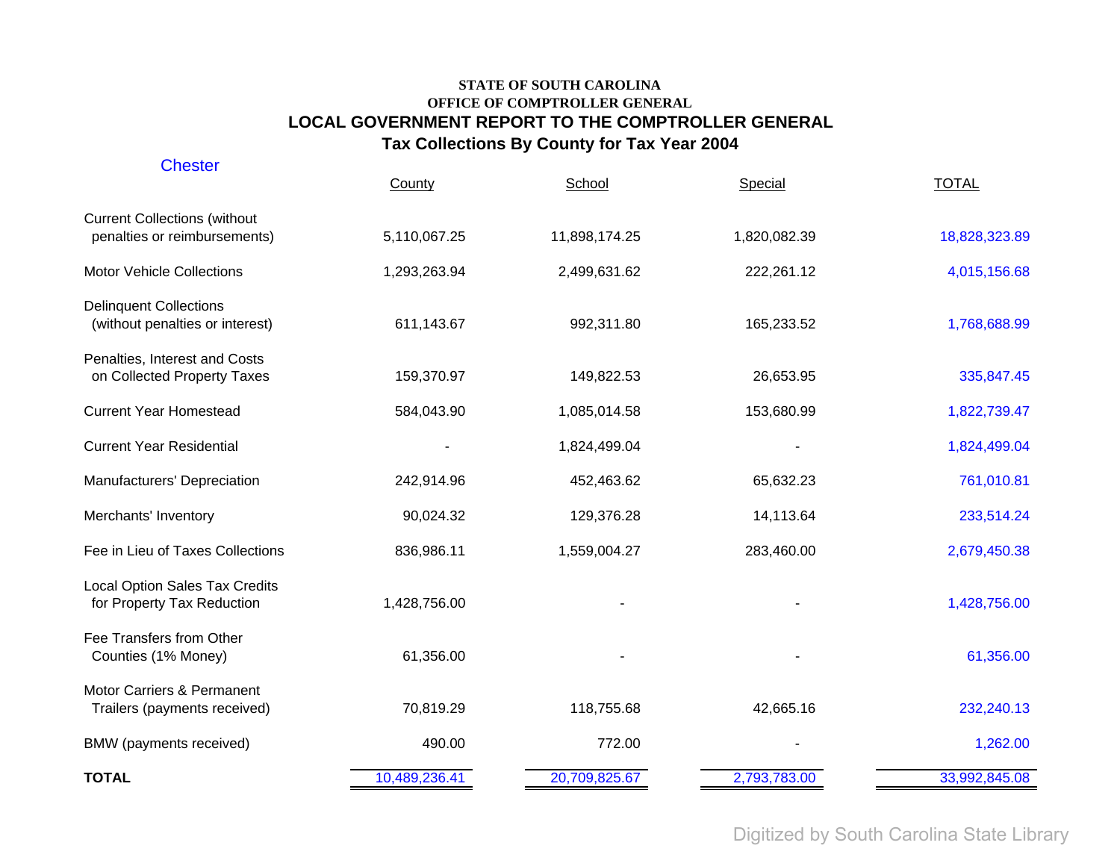| <b>Chester</b>                                                      | County        | School        | Special      | <b>TOTAL</b>  |
|---------------------------------------------------------------------|---------------|---------------|--------------|---------------|
| <b>Current Collections (without</b><br>penalties or reimbursements) | 5,110,067.25  | 11,898,174.25 | 1,820,082.39 | 18,828,323.89 |
| <b>Motor Vehicle Collections</b>                                    | 1,293,263.94  | 2,499,631.62  | 222,261.12   | 4,015,156.68  |
| <b>Delinquent Collections</b><br>(without penalties or interest)    | 611,143.67    | 992,311.80    | 165,233.52   | 1,768,688.99  |
| Penalties, Interest and Costs<br>on Collected Property Taxes        | 159,370.97    | 149,822.53    | 26,653.95    | 335,847.45    |
| <b>Current Year Homestead</b>                                       | 584,043.90    | 1,085,014.58  | 153,680.99   | 1,822,739.47  |
| <b>Current Year Residential</b>                                     |               | 1,824,499.04  |              | 1,824,499.04  |
| Manufacturers' Depreciation                                         | 242,914.96    | 452,463.62    | 65,632.23    | 761,010.81    |
| Merchants' Inventory                                                | 90,024.32     | 129,376.28    | 14,113.64    | 233,514.24    |
| Fee in Lieu of Taxes Collections                                    | 836,986.11    | 1,559,004.27  | 283,460.00   | 2,679,450.38  |
| <b>Local Option Sales Tax Credits</b><br>for Property Tax Reduction | 1,428,756.00  |               |              | 1,428,756.00  |
| Fee Transfers from Other<br>Counties (1% Money)                     | 61,356.00     |               |              | 61,356.00     |
| Motor Carriers & Permanent<br>Trailers (payments received)          | 70,819.29     | 118,755.68    | 42,665.16    | 232,240.13    |
| BMW (payments received)                                             | 490.00        | 772.00        |              | 1,262.00      |
| <b>TOTAL</b>                                                        | 10,489,236.41 | 20,709,825.67 | 2,793,783.00 | 33,992,845.08 |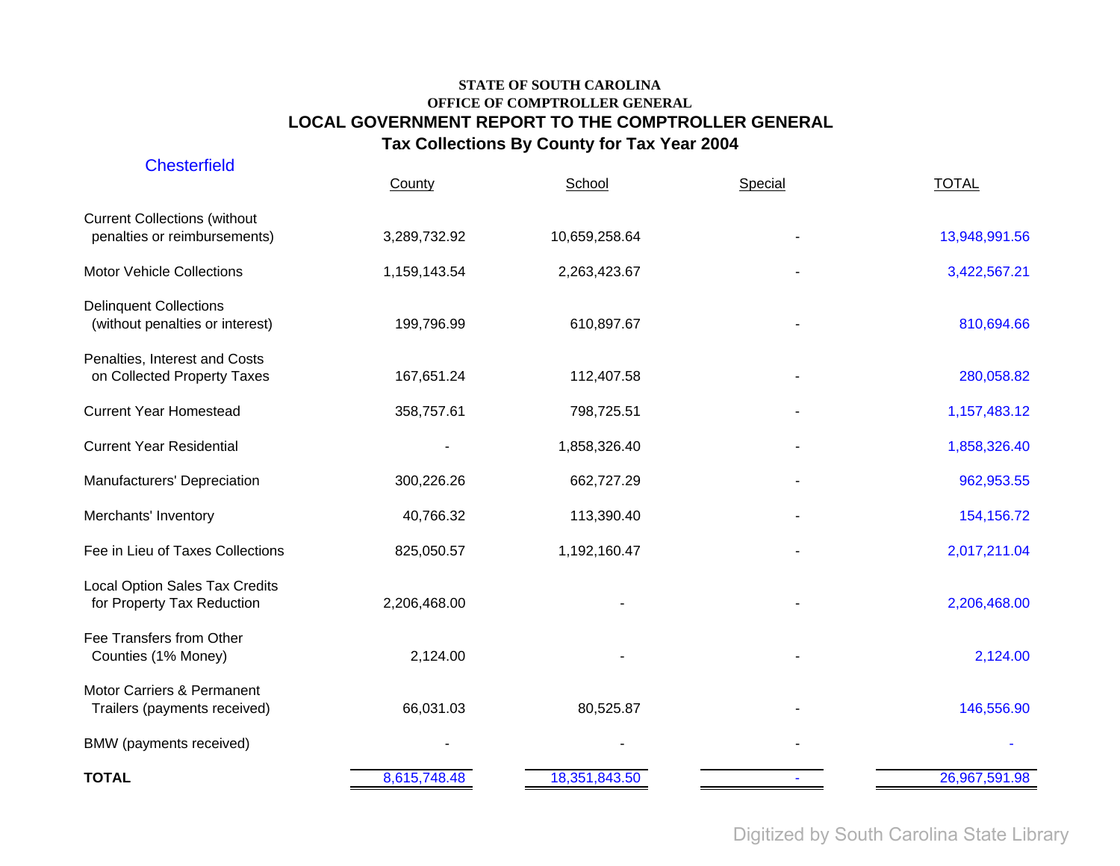| <b>Chesterfield</b>                                                 | County       | School        | Special | <b>TOTAL</b>  |
|---------------------------------------------------------------------|--------------|---------------|---------|---------------|
| <b>Current Collections (without</b><br>penalties or reimbursements) | 3,289,732.92 | 10,659,258.64 |         | 13,948,991.56 |
| <b>Motor Vehicle Collections</b>                                    | 1,159,143.54 | 2,263,423.67  |         | 3,422,567.21  |
| <b>Delinquent Collections</b><br>(without penalties or interest)    | 199,796.99   | 610,897.67    |         | 810,694.66    |
| Penalties, Interest and Costs<br>on Collected Property Taxes        | 167,651.24   | 112,407.58    |         | 280,058.82    |
| <b>Current Year Homestead</b>                                       | 358,757.61   | 798,725.51    |         | 1,157,483.12  |
| <b>Current Year Residential</b>                                     |              | 1,858,326.40  |         | 1,858,326.40  |
| Manufacturers' Depreciation                                         | 300,226.26   | 662,727.29    |         | 962,953.55    |
| Merchants' Inventory                                                | 40,766.32    | 113,390.40    |         | 154,156.72    |
| Fee in Lieu of Taxes Collections                                    | 825,050.57   | 1,192,160.47  |         | 2,017,211.04  |
| Local Option Sales Tax Credits<br>for Property Tax Reduction        | 2,206,468.00 |               |         | 2,206,468.00  |
| Fee Transfers from Other<br>Counties (1% Money)                     | 2,124.00     |               |         | 2,124.00      |
| Motor Carriers & Permanent<br>Trailers (payments received)          | 66,031.03    | 80,525.87     |         | 146,556.90    |
| BMW (payments received)                                             |              |               |         |               |
| <b>TOTAL</b>                                                        | 8,615,748.48 | 18,351,843.50 |         | 26,967,591.98 |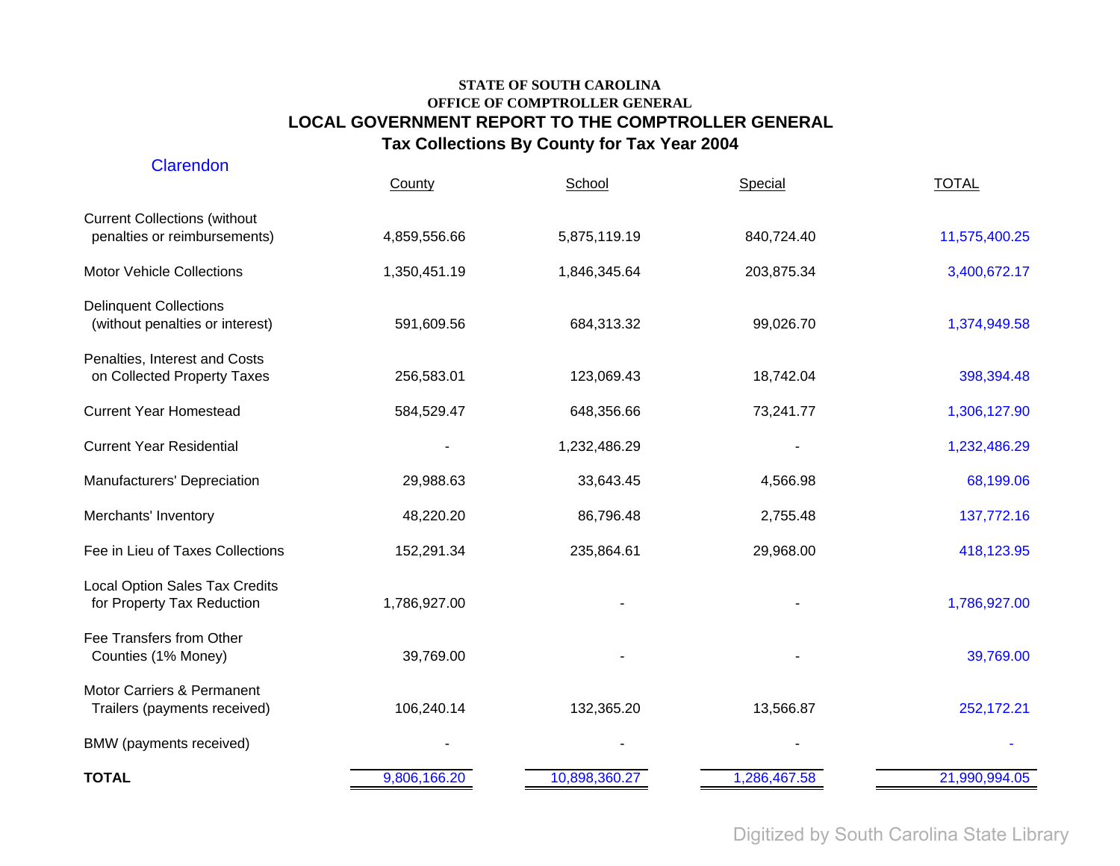| <b>Clarendon</b>                                                    | County       | School        | Special      | <b>TOTAL</b>  |
|---------------------------------------------------------------------|--------------|---------------|--------------|---------------|
| <b>Current Collections (without</b><br>penalties or reimbursements) | 4,859,556.66 | 5,875,119.19  | 840,724.40   | 11,575,400.25 |
| <b>Motor Vehicle Collections</b>                                    | 1,350,451.19 | 1,846,345.64  | 203,875.34   | 3,400,672.17  |
| <b>Delinquent Collections</b><br>(without penalties or interest)    | 591,609.56   | 684,313.32    | 99,026.70    | 1,374,949.58  |
| Penalties, Interest and Costs<br>on Collected Property Taxes        | 256,583.01   | 123,069.43    | 18,742.04    | 398,394.48    |
| <b>Current Year Homestead</b>                                       | 584,529.47   | 648,356.66    | 73,241.77    | 1,306,127.90  |
| <b>Current Year Residential</b>                                     |              | 1,232,486.29  |              | 1,232,486.29  |
| Manufacturers' Depreciation                                         | 29,988.63    | 33,643.45     | 4,566.98     | 68,199.06     |
| Merchants' Inventory                                                | 48,220.20    | 86,796.48     | 2,755.48     | 137,772.16    |
| Fee in Lieu of Taxes Collections                                    | 152,291.34   | 235,864.61    | 29,968.00    | 418,123.95    |
| <b>Local Option Sales Tax Credits</b><br>for Property Tax Reduction | 1,786,927.00 |               |              | 1,786,927.00  |
| Fee Transfers from Other<br>Counties (1% Money)                     | 39,769.00    |               |              | 39,769.00     |
| Motor Carriers & Permanent<br>Trailers (payments received)          | 106,240.14   | 132,365.20    | 13,566.87    | 252,172.21    |
| BMW (payments received)                                             |              |               |              |               |
| <b>TOTAL</b>                                                        | 9,806,166.20 | 10,898,360.27 | 1,286,467.58 | 21,990,994.05 |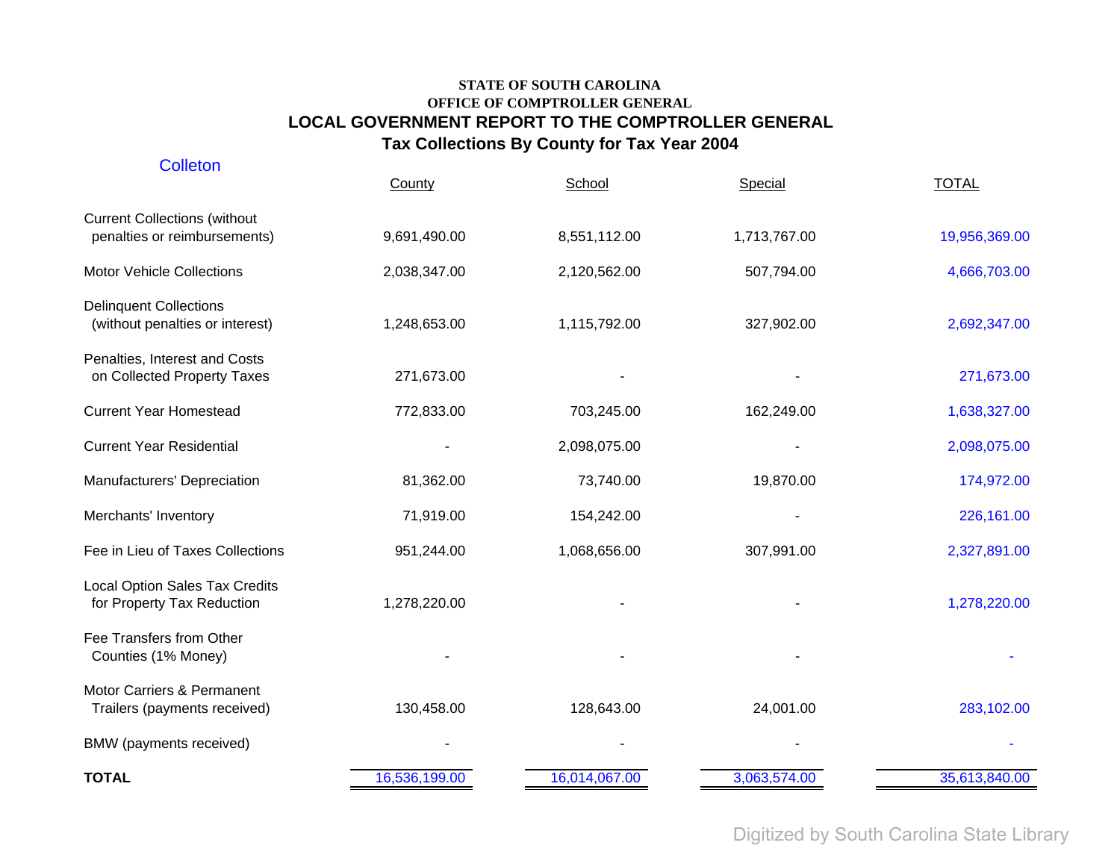| <b>Colleton</b>                                                     | County        | School        | Special      | <b>TOTAL</b>  |
|---------------------------------------------------------------------|---------------|---------------|--------------|---------------|
| <b>Current Collections (without</b><br>penalties or reimbursements) | 9,691,490.00  | 8,551,112.00  | 1,713,767.00 | 19,956,369.00 |
| <b>Motor Vehicle Collections</b>                                    | 2,038,347.00  | 2,120,562.00  | 507,794.00   | 4,666,703.00  |
| <b>Delinquent Collections</b><br>(without penalties or interest)    | 1,248,653.00  | 1,115,792.00  | 327,902.00   | 2,692,347.00  |
| Penalties, Interest and Costs<br>on Collected Property Taxes        | 271,673.00    |               |              | 271,673.00    |
| <b>Current Year Homestead</b>                                       | 772,833.00    | 703,245.00    | 162,249.00   | 1,638,327.00  |
| <b>Current Year Residential</b>                                     |               | 2,098,075.00  |              | 2,098,075.00  |
| Manufacturers' Depreciation                                         | 81,362.00     | 73,740.00     | 19,870.00    | 174,972.00    |
| Merchants' Inventory                                                | 71,919.00     | 154,242.00    |              | 226,161.00    |
| Fee in Lieu of Taxes Collections                                    | 951,244.00    | 1,068,656.00  | 307,991.00   | 2,327,891.00  |
| <b>Local Option Sales Tax Credits</b><br>for Property Tax Reduction | 1,278,220.00  |               |              | 1,278,220.00  |
| Fee Transfers from Other<br>Counties (1% Money)                     |               |               |              |               |
| Motor Carriers & Permanent<br>Trailers (payments received)          | 130,458.00    | 128,643.00    | 24,001.00    | 283,102.00    |
| BMW (payments received)                                             |               |               |              |               |
| <b>TOTAL</b>                                                        | 16,536,199.00 | 16,014,067.00 | 3,063,574.00 | 35,613,840.00 |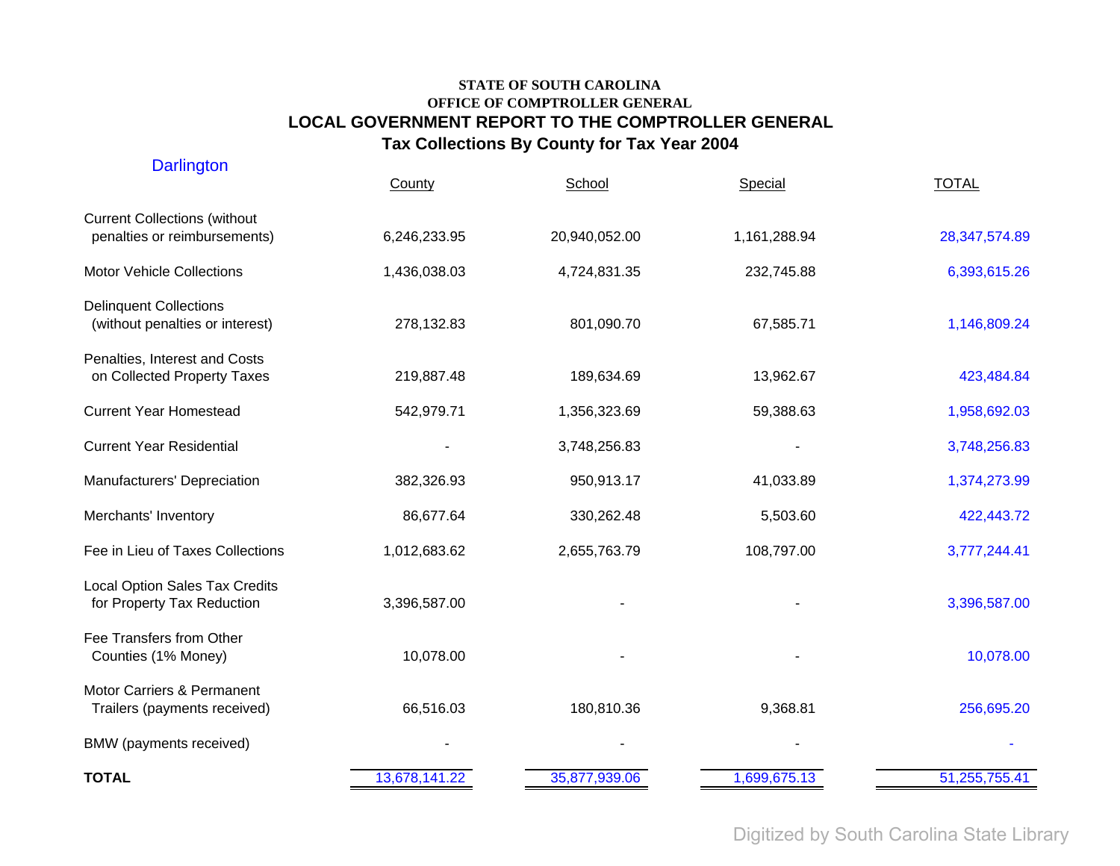| <b>Darlington</b>                                                   | County        | School        | Special      | <b>TOTAL</b>  |
|---------------------------------------------------------------------|---------------|---------------|--------------|---------------|
| <b>Current Collections (without</b><br>penalties or reimbursements) | 6,246,233.95  | 20,940,052.00 | 1,161,288.94 | 28,347,574.89 |
| <b>Motor Vehicle Collections</b>                                    | 1,436,038.03  | 4,724,831.35  | 232,745.88   | 6,393,615.26  |
| <b>Delinquent Collections</b><br>(without penalties or interest)    | 278,132.83    | 801,090.70    | 67,585.71    | 1,146,809.24  |
| Penalties, Interest and Costs<br>on Collected Property Taxes        | 219,887.48    | 189,634.69    | 13,962.67    | 423,484.84    |
| <b>Current Year Homestead</b>                                       | 542,979.71    | 1,356,323.69  | 59,388.63    | 1,958,692.03  |
| <b>Current Year Residential</b>                                     |               | 3,748,256.83  |              | 3,748,256.83  |
| Manufacturers' Depreciation                                         | 382,326.93    | 950,913.17    | 41,033.89    | 1,374,273.99  |
| Merchants' Inventory                                                | 86,677.64     | 330,262.48    | 5,503.60     | 422,443.72    |
| Fee in Lieu of Taxes Collections                                    | 1,012,683.62  | 2,655,763.79  | 108,797.00   | 3,777,244.41  |
| <b>Local Option Sales Tax Credits</b><br>for Property Tax Reduction | 3,396,587.00  |               |              | 3,396,587.00  |
| Fee Transfers from Other<br>Counties (1% Money)                     | 10,078.00     |               |              | 10,078.00     |
| Motor Carriers & Permanent<br>Trailers (payments received)          | 66,516.03     | 180,810.36    | 9,368.81     | 256,695.20    |
| BMW (payments received)                                             |               |               |              |               |
| <b>TOTAL</b>                                                        | 13,678,141.22 | 35,877,939.06 | 1,699,675.13 | 51,255,755.41 |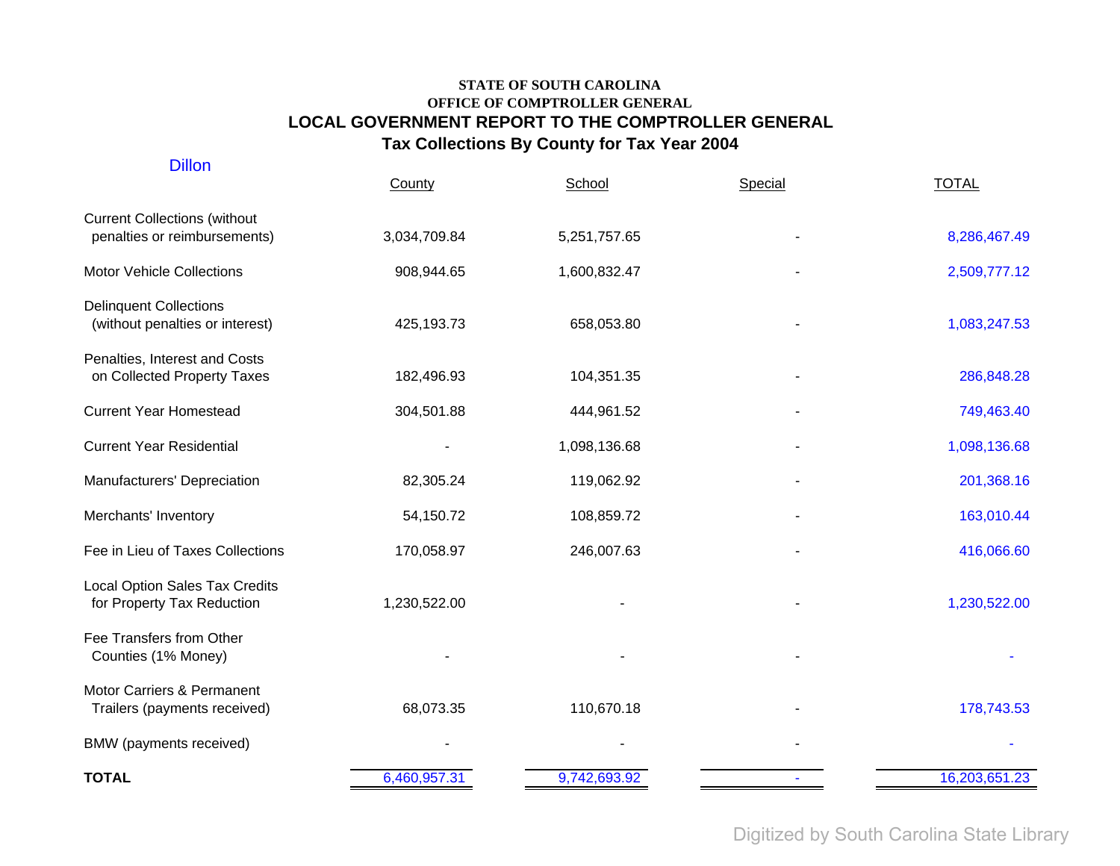| <b>Dillon</b>                                                       | County       | School       | Special | <b>TOTAL</b>  |
|---------------------------------------------------------------------|--------------|--------------|---------|---------------|
| <b>Current Collections (without</b><br>penalties or reimbursements) | 3,034,709.84 | 5,251,757.65 |         | 8,286,467.49  |
| <b>Motor Vehicle Collections</b>                                    | 908,944.65   | 1,600,832.47 |         | 2,509,777.12  |
| <b>Delinquent Collections</b><br>(without penalties or interest)    | 425,193.73   | 658,053.80   |         | 1,083,247.53  |
| Penalties, Interest and Costs<br>on Collected Property Taxes        | 182,496.93   | 104,351.35   |         | 286,848.28    |
| <b>Current Year Homestead</b>                                       | 304,501.88   | 444,961.52   |         | 749,463.40    |
| <b>Current Year Residential</b>                                     |              | 1,098,136.68 |         | 1,098,136.68  |
| Manufacturers' Depreciation                                         | 82,305.24    | 119,062.92   |         | 201,368.16    |
| Merchants' Inventory                                                | 54,150.72    | 108,859.72   |         | 163,010.44    |
| Fee in Lieu of Taxes Collections                                    | 170,058.97   | 246,007.63   |         | 416,066.60    |
| <b>Local Option Sales Tax Credits</b><br>for Property Tax Reduction | 1,230,522.00 |              |         | 1,230,522.00  |
| Fee Transfers from Other<br>Counties (1% Money)                     |              |              |         |               |
| Motor Carriers & Permanent<br>Trailers (payments received)          | 68,073.35    | 110,670.18   |         | 178,743.53    |
| BMW (payments received)                                             |              |              |         |               |
| <b>TOTAL</b>                                                        | 6,460,957.31 | 9,742,693.92 |         | 16,203,651.23 |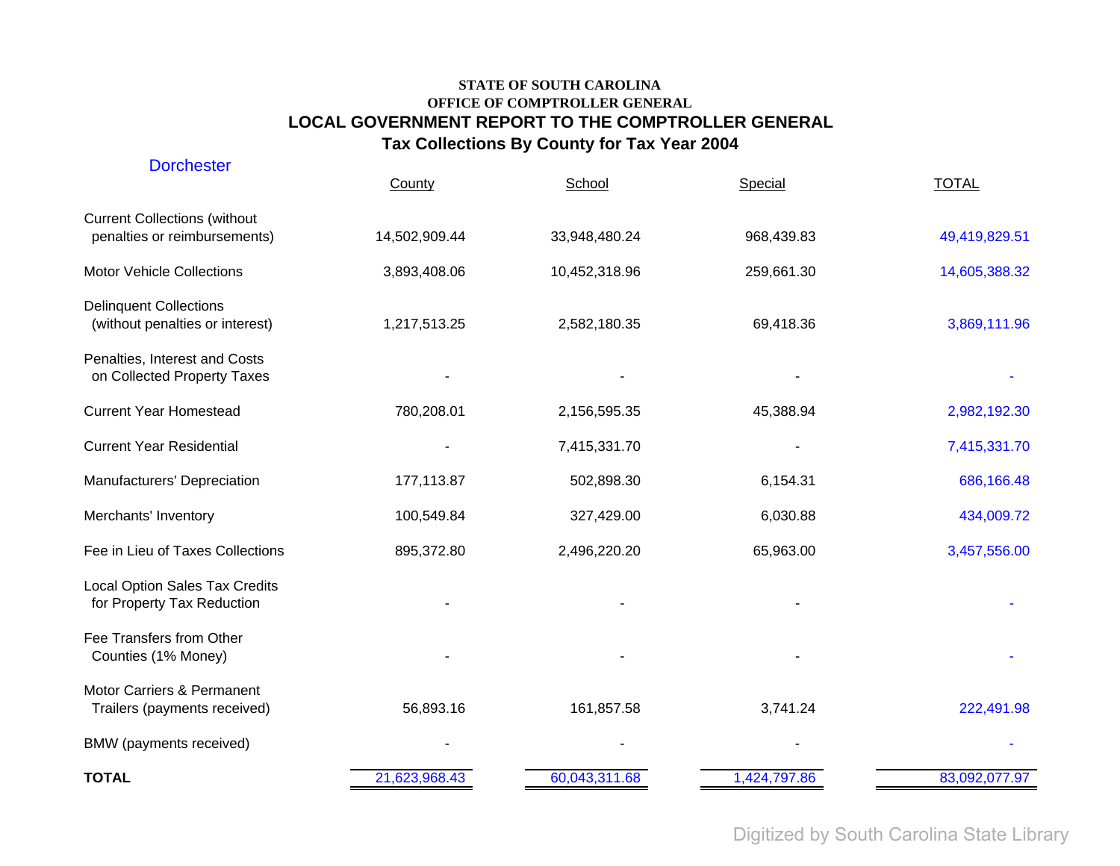| <b>Dorchester</b>                                                   | County        | School        | Special      | <b>TOTAL</b>  |
|---------------------------------------------------------------------|---------------|---------------|--------------|---------------|
| <b>Current Collections (without</b><br>penalties or reimbursements) | 14,502,909.44 | 33,948,480.24 | 968,439.83   | 49,419,829.51 |
| <b>Motor Vehicle Collections</b>                                    | 3,893,408.06  | 10,452,318.96 | 259,661.30   | 14,605,388.32 |
| <b>Delinquent Collections</b><br>(without penalties or interest)    | 1,217,513.25  | 2,582,180.35  | 69,418.36    | 3,869,111.96  |
| Penalties, Interest and Costs<br>on Collected Property Taxes        |               |               |              |               |
| <b>Current Year Homestead</b>                                       | 780,208.01    | 2,156,595.35  | 45,388.94    | 2,982,192.30  |
| <b>Current Year Residential</b>                                     |               | 7,415,331.70  |              | 7,415,331.70  |
| Manufacturers' Depreciation                                         | 177,113.87    | 502,898.30    | 6,154.31     | 686,166.48    |
| Merchants' Inventory                                                | 100,549.84    | 327,429.00    | 6,030.88     | 434,009.72    |
| Fee in Lieu of Taxes Collections                                    | 895,372.80    | 2,496,220.20  | 65,963.00    | 3,457,556.00  |
| Local Option Sales Tax Credits<br>for Property Tax Reduction        |               |               |              |               |
| Fee Transfers from Other<br>Counties (1% Money)                     |               |               |              |               |
| Motor Carriers & Permanent<br>Trailers (payments received)          | 56,893.16     | 161,857.58    | 3,741.24     | 222,491.98    |
| BMW (payments received)                                             |               |               |              |               |
| <b>TOTAL</b>                                                        | 21,623,968.43 | 60,043,311.68 | 1,424,797.86 | 83,092,077.97 |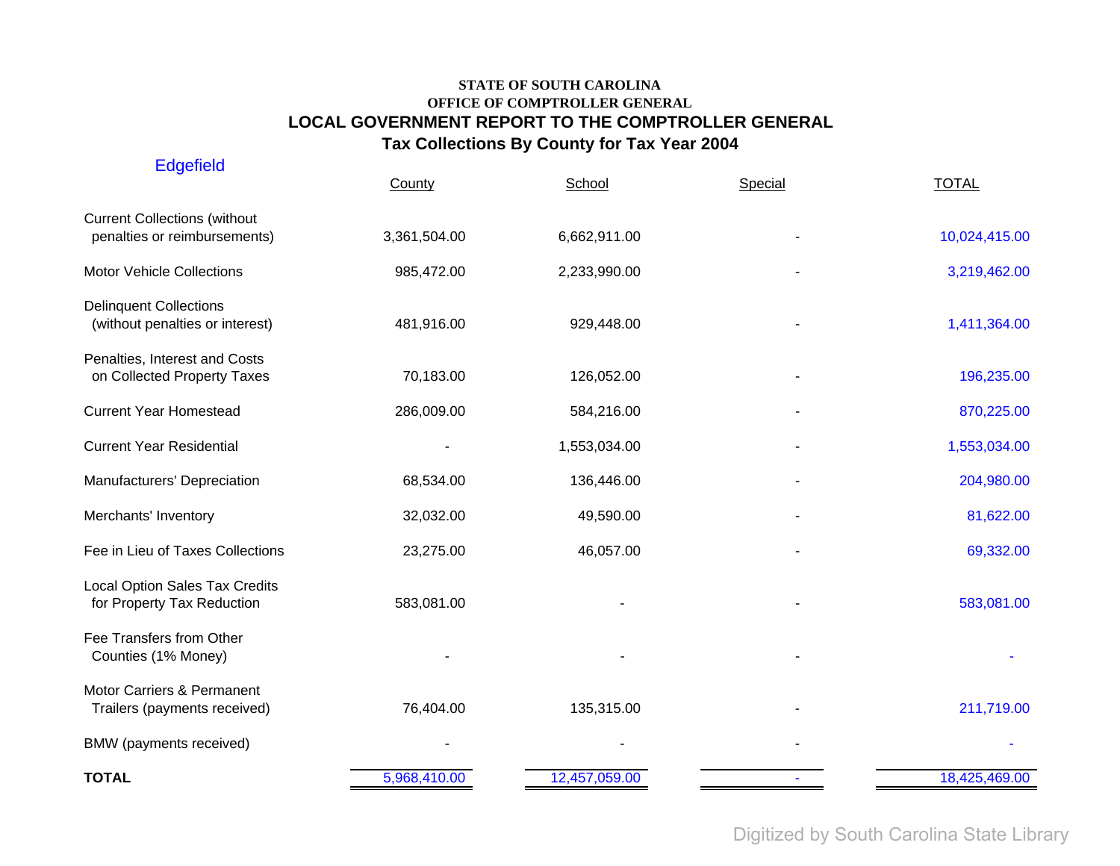| <b>Edgefield</b>                                                    | County       | School        | Special | <b>TOTAL</b>  |
|---------------------------------------------------------------------|--------------|---------------|---------|---------------|
| <b>Current Collections (without</b><br>penalties or reimbursements) | 3,361,504.00 | 6,662,911.00  |         | 10,024,415.00 |
| <b>Motor Vehicle Collections</b>                                    | 985,472.00   | 2,233,990.00  |         | 3,219,462.00  |
| <b>Delinquent Collections</b><br>(without penalties or interest)    | 481,916.00   | 929,448.00    |         | 1,411,364.00  |
| Penalties, Interest and Costs<br>on Collected Property Taxes        | 70,183.00    | 126,052.00    |         | 196,235.00    |
| <b>Current Year Homestead</b>                                       | 286,009.00   | 584,216.00    |         | 870,225.00    |
| <b>Current Year Residential</b>                                     |              | 1,553,034.00  |         | 1,553,034.00  |
| Manufacturers' Depreciation                                         | 68,534.00    | 136,446.00    |         | 204,980.00    |
| Merchants' Inventory                                                | 32,032.00    | 49,590.00     |         | 81,622.00     |
| Fee in Lieu of Taxes Collections                                    | 23,275.00    | 46,057.00     |         | 69,332.00     |
| Local Option Sales Tax Credits<br>for Property Tax Reduction        | 583,081.00   |               |         | 583,081.00    |
| Fee Transfers from Other<br>Counties (1% Money)                     |              |               |         |               |
| Motor Carriers & Permanent<br>Trailers (payments received)          | 76,404.00    | 135,315.00    |         | 211,719.00    |
| BMW (payments received)                                             |              |               |         |               |
| <b>TOTAL</b>                                                        | 5,968,410.00 | 12,457,059.00 |         | 18,425,469.00 |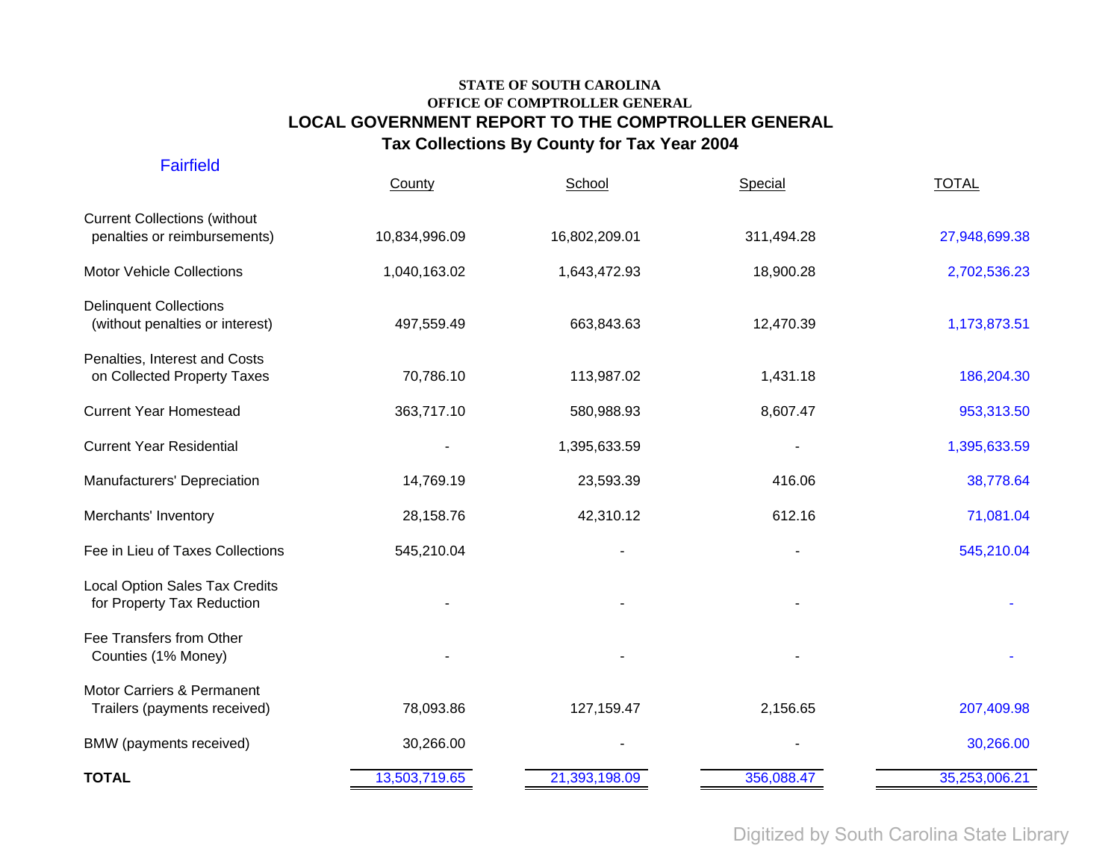| <b>TOTAL</b>                                                        | 13,503,719.65 | 21,393,198.09 | 356,088.47 | 35,253,006.21 |
|---------------------------------------------------------------------|---------------|---------------|------------|---------------|
| BMW (payments received)                                             | 30,266.00     |               |            | 30,266.00     |
| Motor Carriers & Permanent<br>Trailers (payments received)          | 78,093.86     | 127, 159. 47  | 2,156.65   | 207,409.98    |
| Fee Transfers from Other<br>Counties (1% Money)                     |               |               |            |               |
| <b>Local Option Sales Tax Credits</b><br>for Property Tax Reduction |               |               |            |               |
| Fee in Lieu of Taxes Collections                                    | 545,210.04    |               |            | 545,210.04    |
| Merchants' Inventory                                                | 28,158.76     | 42,310.12     | 612.16     | 71,081.04     |
| Manufacturers' Depreciation                                         | 14,769.19     | 23,593.39     | 416.06     | 38,778.64     |
| <b>Current Year Residential</b>                                     |               | 1,395,633.59  |            | 1,395,633.59  |
| <b>Current Year Homestead</b>                                       | 363,717.10    | 580,988.93    | 8,607.47   | 953,313.50    |
| Penalties, Interest and Costs<br>on Collected Property Taxes        | 70,786.10     | 113,987.02    | 1,431.18   | 186,204.30    |
| <b>Delinquent Collections</b><br>(without penalties or interest)    | 497,559.49    | 663,843.63    | 12,470.39  | 1,173,873.51  |
| <b>Motor Vehicle Collections</b>                                    | 1,040,163.02  | 1,643,472.93  | 18,900.28  | 2,702,536.23  |
| <b>Current Collections (without</b><br>penalties or reimbursements) | 10,834,996.09 | 16,802,209.01 | 311,494.28 | 27,948,699.38 |
| <b>Fairfield</b>                                                    | County        | School        | Special    | <b>TOTAL</b>  |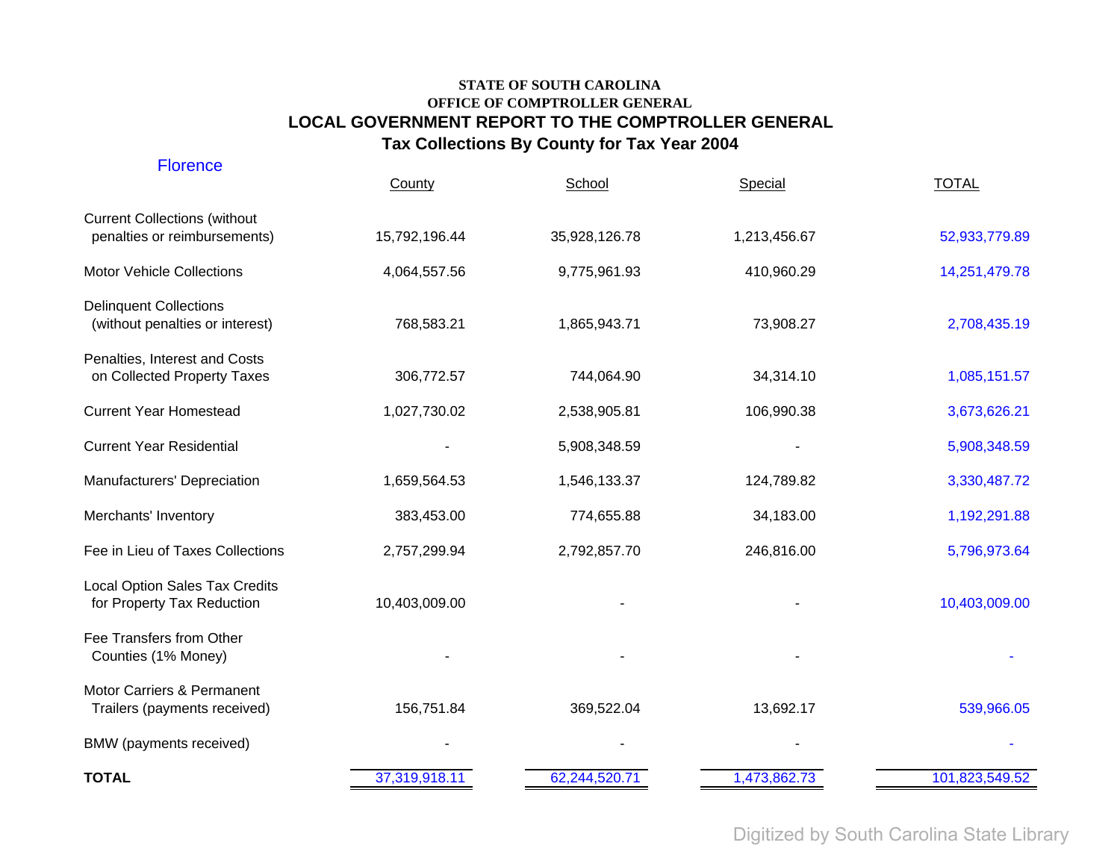| <b>Florence</b>                                                     | County        | School        | Special      | <b>TOTAL</b>   |
|---------------------------------------------------------------------|---------------|---------------|--------------|----------------|
| <b>Current Collections (without</b><br>penalties or reimbursements) | 15,792,196.44 | 35,928,126.78 | 1,213,456.67 | 52,933,779.89  |
| Motor Vehicle Collections                                           | 4,064,557.56  | 9,775,961.93  | 410,960.29   | 14,251,479.78  |
| <b>Delinquent Collections</b><br>(without penalties or interest)    | 768,583.21    | 1,865,943.71  | 73,908.27    | 2,708,435.19   |
| Penalties, Interest and Costs<br>on Collected Property Taxes        | 306,772.57    | 744,064.90    | 34,314.10    | 1,085,151.57   |
| <b>Current Year Homestead</b>                                       | 1,027,730.02  | 2,538,905.81  | 106,990.38   | 3,673,626.21   |
| <b>Current Year Residential</b>                                     |               | 5,908,348.59  |              | 5,908,348.59   |
| Manufacturers' Depreciation                                         | 1,659,564.53  | 1,546,133.37  | 124,789.82   | 3,330,487.72   |
| Merchants' Inventory                                                | 383,453.00    | 774,655.88    | 34,183.00    | 1,192,291.88   |
| Fee in Lieu of Taxes Collections                                    | 2,757,299.94  | 2,792,857.70  | 246,816.00   | 5,796,973.64   |
| <b>Local Option Sales Tax Credits</b><br>for Property Tax Reduction | 10,403,009.00 |               |              | 10,403,009.00  |
| Fee Transfers from Other<br>Counties (1% Money)                     |               |               |              |                |
| Motor Carriers & Permanent<br>Trailers (payments received)          | 156,751.84    | 369,522.04    | 13,692.17    | 539,966.05     |
| BMW (payments received)                                             |               |               |              |                |
| <b>TOTAL</b>                                                        | 37,319,918.11 | 62,244,520.71 | 1,473,862.73 | 101,823,549.52 |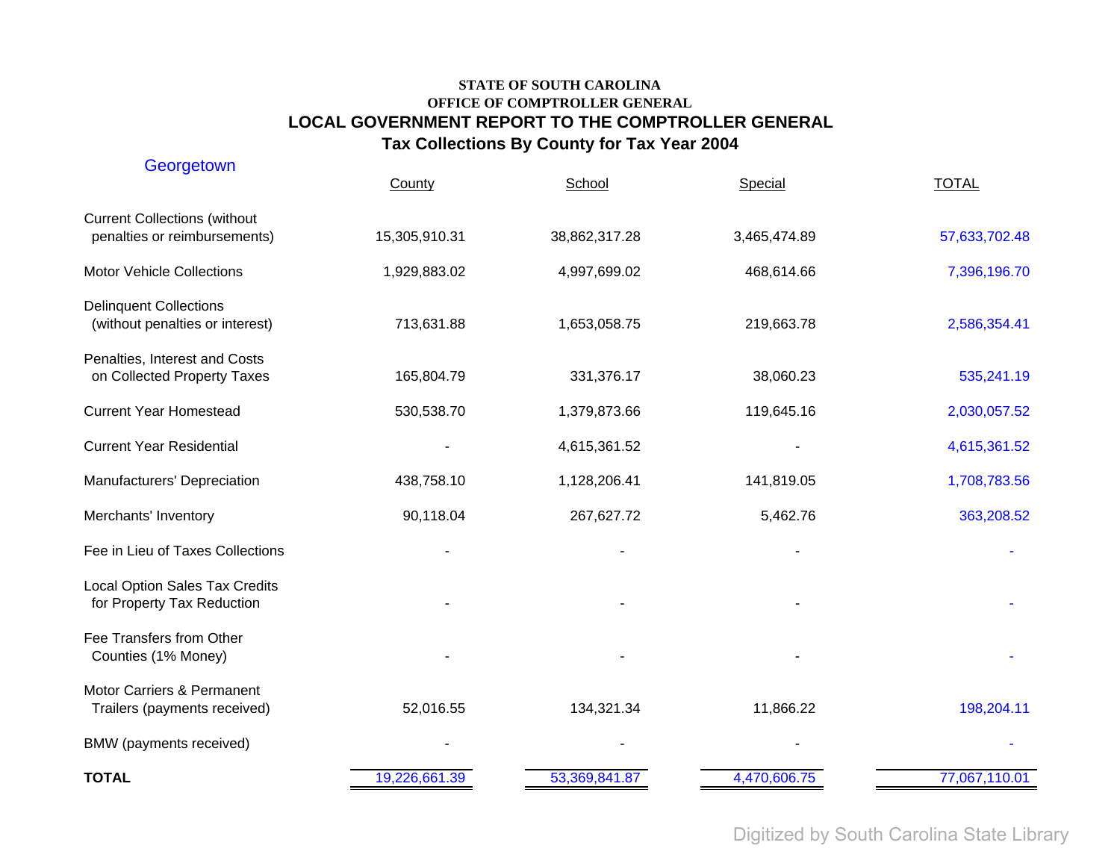| Georgetown                                                          | County        | School        | Special      | <b>TOTAL</b>  |
|---------------------------------------------------------------------|---------------|---------------|--------------|---------------|
| <b>Current Collections (without</b><br>penalties or reimbursements) | 15,305,910.31 | 38,862,317.28 | 3,465,474.89 | 57,633,702.48 |
| <b>Motor Vehicle Collections</b>                                    | 1,929,883.02  | 4,997,699.02  | 468,614.66   | 7,396,196.70  |
| <b>Delinquent Collections</b><br>(without penalties or interest)    | 713,631.88    | 1,653,058.75  | 219,663.78   | 2,586,354.41  |
| Penalties, Interest and Costs<br>on Collected Property Taxes        | 165,804.79    | 331,376.17    | 38,060.23    | 535,241.19    |
| <b>Current Year Homestead</b>                                       | 530,538.70    | 1,379,873.66  | 119,645.16   | 2,030,057.52  |
| <b>Current Year Residential</b>                                     |               | 4,615,361.52  |              | 4,615,361.52  |
| Manufacturers' Depreciation                                         | 438,758.10    | 1,128,206.41  | 141,819.05   | 1,708,783.56  |
| Merchants' Inventory                                                | 90,118.04     | 267,627.72    | 5,462.76     | 363,208.52    |
| Fee in Lieu of Taxes Collections                                    |               |               |              |               |
| <b>Local Option Sales Tax Credits</b><br>for Property Tax Reduction |               |               |              |               |
| Fee Transfers from Other<br>Counties (1% Money)                     |               |               |              |               |
| Motor Carriers & Permanent<br>Trailers (payments received)          | 52,016.55     | 134,321.34    | 11,866.22    | 198,204.11    |
| BMW (payments received)                                             |               |               |              |               |
| <b>TOTAL</b>                                                        | 19,226,661.39 | 53,369,841.87 | 4,470,606.75 | 77,067,110.01 |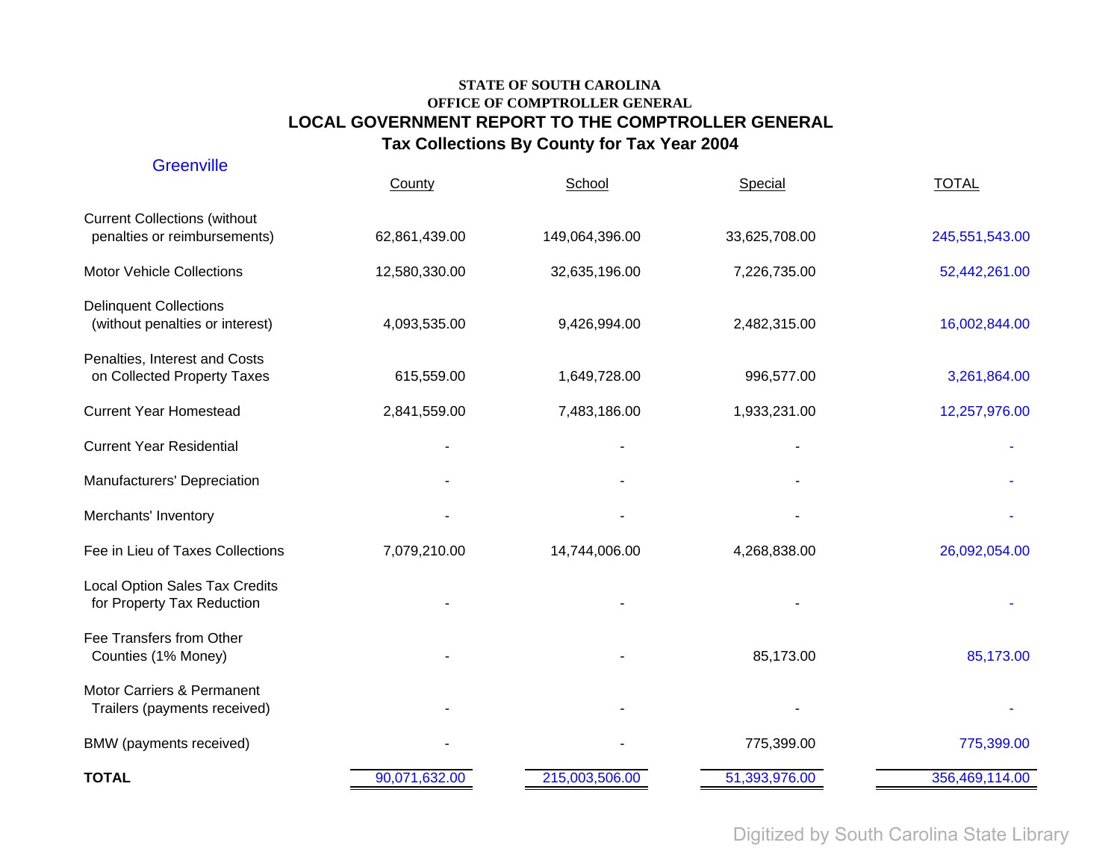| <b>Greenville</b>                                                   | County        | School         | Special       | <b>TOTAL</b>   |
|---------------------------------------------------------------------|---------------|----------------|---------------|----------------|
| <b>Current Collections (without</b><br>penalties or reimbursements) | 62,861,439.00 | 149,064,396.00 | 33,625,708.00 | 245,551,543.00 |
| <b>Motor Vehicle Collections</b>                                    | 12,580,330.00 | 32,635,196.00  | 7,226,735.00  | 52,442,261.00  |
| <b>Delinquent Collections</b><br>(without penalties or interest)    | 4,093,535.00  | 9,426,994.00   | 2,482,315.00  | 16,002,844.00  |
| Penalties, Interest and Costs<br>on Collected Property Taxes        | 615,559.00    | 1,649,728.00   | 996,577.00    | 3,261,864.00   |
| <b>Current Year Homestead</b>                                       | 2,841,559.00  | 7,483,186.00   | 1,933,231.00  | 12,257,976.00  |
| <b>Current Year Residential</b>                                     |               |                |               |                |
| Manufacturers' Depreciation                                         |               |                |               |                |
| Merchants' Inventory                                                |               |                |               |                |
| Fee in Lieu of Taxes Collections                                    | 7,079,210.00  | 14,744,006.00  | 4,268,838.00  | 26,092,054.00  |
| <b>Local Option Sales Tax Credits</b><br>for Property Tax Reduction |               |                |               |                |
| Fee Transfers from Other<br>Counties (1% Money)                     |               |                | 85,173.00     | 85,173.00      |
| Motor Carriers & Permanent<br>Trailers (payments received)          |               |                |               |                |
| BMW (payments received)                                             |               |                | 775,399.00    | 775,399.00     |
| <b>TOTAL</b>                                                        | 90,071,632.00 | 215,003,506.00 | 51,393,976.00 | 356,469,114.00 |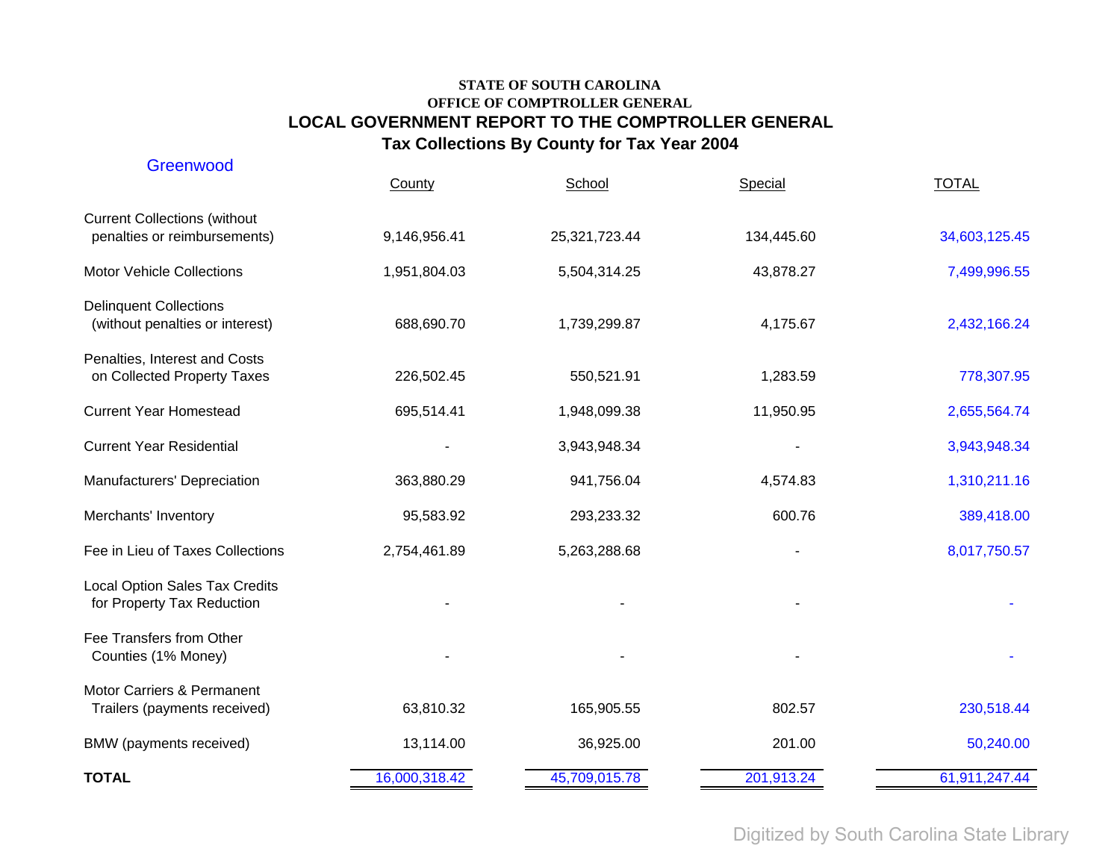| Greenwood                                                           | County        | School        | Special    | <b>TOTAL</b>  |
|---------------------------------------------------------------------|---------------|---------------|------------|---------------|
| <b>Current Collections (without</b><br>penalties or reimbursements) | 9,146,956.41  | 25,321,723.44 | 134,445.60 | 34,603,125.45 |
| <b>Motor Vehicle Collections</b>                                    | 1,951,804.03  | 5,504,314.25  | 43,878.27  | 7,499,996.55  |
| <b>Delinquent Collections</b><br>(without penalties or interest)    | 688,690.70    | 1,739,299.87  | 4,175.67   | 2,432,166.24  |
| Penalties, Interest and Costs<br>on Collected Property Taxes        | 226,502.45    | 550,521.91    | 1,283.59   | 778,307.95    |
| <b>Current Year Homestead</b>                                       | 695,514.41    | 1,948,099.38  | 11,950.95  | 2,655,564.74  |
| <b>Current Year Residential</b>                                     |               | 3,943,948.34  |            | 3,943,948.34  |
| Manufacturers' Depreciation                                         | 363,880.29    | 941,756.04    | 4,574.83   | 1,310,211.16  |
| Merchants' Inventory                                                | 95,583.92     | 293,233.32    | 600.76     | 389,418.00    |
| Fee in Lieu of Taxes Collections                                    | 2,754,461.89  | 5,263,288.68  |            | 8,017,750.57  |
| <b>Local Option Sales Tax Credits</b><br>for Property Tax Reduction |               |               |            |               |
| Fee Transfers from Other<br>Counties (1% Money)                     |               |               |            |               |
| Motor Carriers & Permanent<br>Trailers (payments received)          | 63,810.32     | 165,905.55    | 802.57     | 230,518.44    |
| BMW (payments received)                                             | 13,114.00     | 36,925.00     | 201.00     | 50,240.00     |
| <b>TOTAL</b>                                                        | 16,000,318.42 | 45,709,015.78 | 201,913.24 | 61,911,247.44 |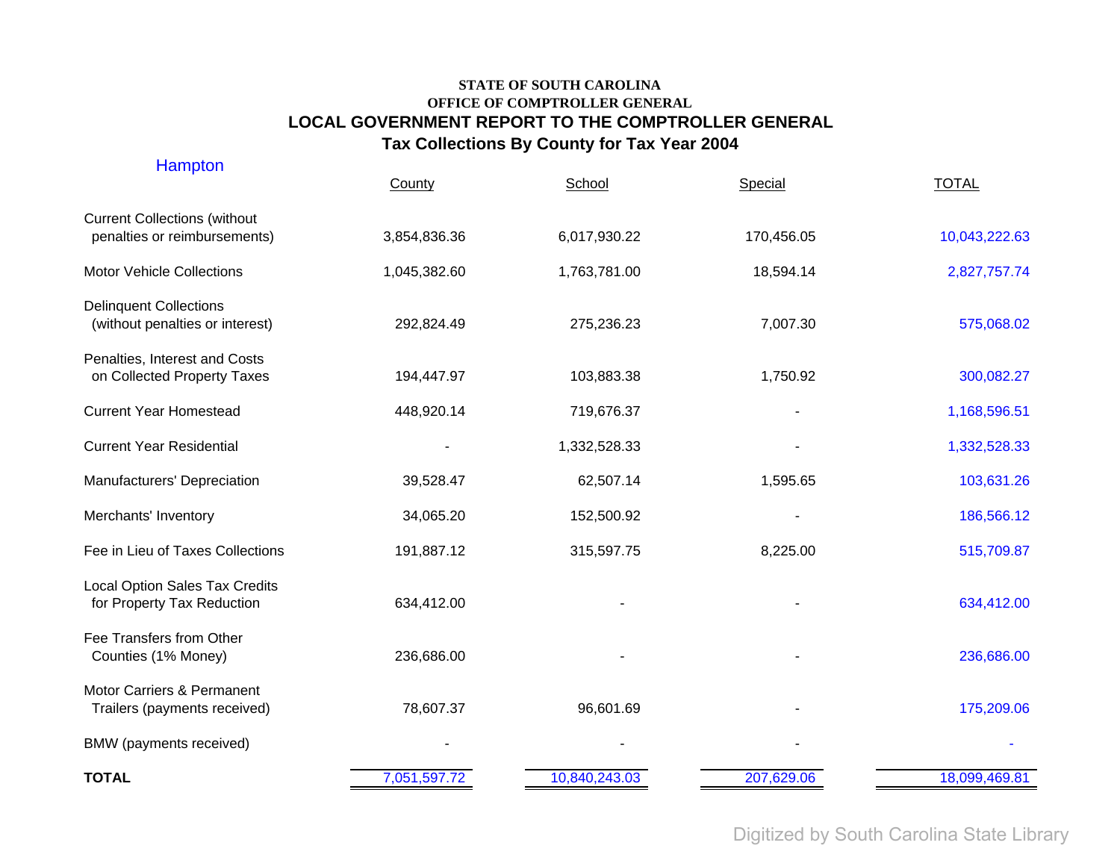| <b>Hampton</b>                                                      | County       | School        | Special    | <b>TOTAL</b>  |
|---------------------------------------------------------------------|--------------|---------------|------------|---------------|
| <b>Current Collections (without</b><br>penalties or reimbursements) | 3,854,836.36 | 6,017,930.22  | 170,456.05 | 10,043,222.63 |
| <b>Motor Vehicle Collections</b>                                    | 1,045,382.60 | 1,763,781.00  | 18,594.14  | 2,827,757.74  |
| <b>Delinquent Collections</b><br>(without penalties or interest)    | 292,824.49   | 275,236.23    | 7,007.30   | 575,068.02    |
| Penalties, Interest and Costs<br>on Collected Property Taxes        | 194,447.97   | 103,883.38    | 1,750.92   | 300,082.27    |
| <b>Current Year Homestead</b>                                       | 448,920.14   | 719,676.37    |            | 1,168,596.51  |
| <b>Current Year Residential</b>                                     |              | 1,332,528.33  |            | 1,332,528.33  |
| Manufacturers' Depreciation                                         | 39,528.47    | 62,507.14     | 1,595.65   | 103,631.26    |
| Merchants' Inventory                                                | 34,065.20    | 152,500.92    |            | 186,566.12    |
| Fee in Lieu of Taxes Collections                                    | 191,887.12   | 315,597.75    | 8,225.00   | 515,709.87    |
| <b>Local Option Sales Tax Credits</b><br>for Property Tax Reduction | 634,412.00   |               |            | 634,412.00    |
| Fee Transfers from Other<br>Counties (1% Money)                     | 236,686.00   |               |            | 236,686.00    |
| Motor Carriers & Permanent<br>Trailers (payments received)          | 78,607.37    | 96,601.69     |            | 175,209.06    |
| BMW (payments received)                                             |              |               |            |               |
| <b>TOTAL</b>                                                        | 7,051,597.72 | 10,840,243.03 | 207,629.06 | 18,099,469.81 |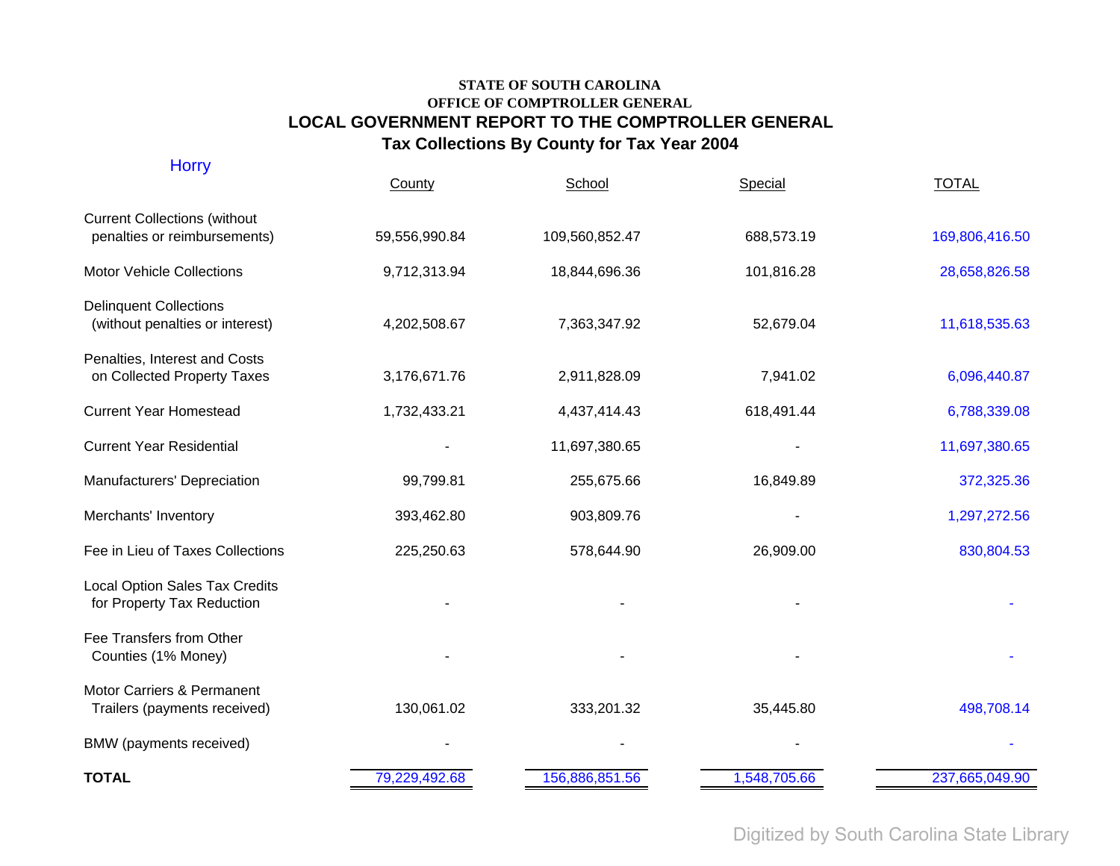| <b>Horry</b>                                                        | County        | School         | Special      | <b>TOTAL</b>   |
|---------------------------------------------------------------------|---------------|----------------|--------------|----------------|
| <b>Current Collections (without</b><br>penalties or reimbursements) | 59,556,990.84 | 109,560,852.47 | 688,573.19   | 169,806,416.50 |
| Motor Vehicle Collections                                           | 9,712,313.94  | 18,844,696.36  | 101,816.28   | 28,658,826.58  |
| <b>Delinquent Collections</b><br>(without penalties or interest)    | 4,202,508.67  | 7,363,347.92   | 52,679.04    | 11,618,535.63  |
| Penalties, Interest and Costs<br>on Collected Property Taxes        | 3,176,671.76  | 2,911,828.09   | 7,941.02     | 6,096,440.87   |
| <b>Current Year Homestead</b>                                       | 1,732,433.21  | 4,437,414.43   | 618,491.44   | 6,788,339.08   |
| <b>Current Year Residential</b>                                     |               | 11,697,380.65  |              | 11,697,380.65  |
| Manufacturers' Depreciation                                         | 99,799.81     | 255,675.66     | 16,849.89    | 372,325.36     |
| Merchants' Inventory                                                | 393,462.80    | 903,809.76     |              | 1,297,272.56   |
| Fee in Lieu of Taxes Collections                                    | 225,250.63    | 578,644.90     | 26,909.00    | 830,804.53     |
| <b>Local Option Sales Tax Credits</b><br>for Property Tax Reduction |               |                |              |                |
| Fee Transfers from Other<br>Counties (1% Money)                     |               |                |              |                |
| Motor Carriers & Permanent<br>Trailers (payments received)          | 130,061.02    | 333,201.32     | 35,445.80    | 498,708.14     |
| BMW (payments received)                                             |               |                |              |                |
| <b>TOTAL</b>                                                        | 79,229,492.68 | 156,886,851.56 | 1,548,705.66 | 237,665,049.90 |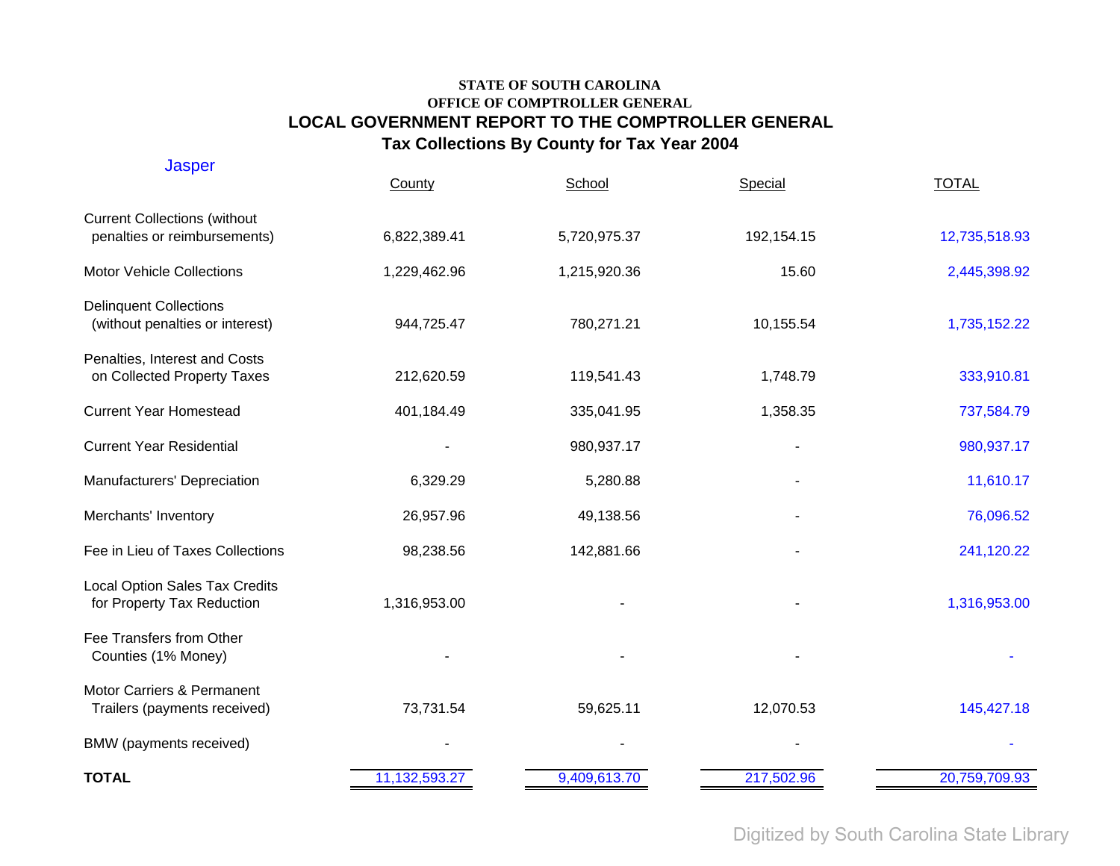| <b>Jasper</b>                                                       | County        | School       | Special    | <b>TOTAL</b>  |
|---------------------------------------------------------------------|---------------|--------------|------------|---------------|
| <b>Current Collections (without</b><br>penalties or reimbursements) | 6,822,389.41  | 5,720,975.37 | 192,154.15 | 12,735,518.93 |
| <b>Motor Vehicle Collections</b>                                    | 1,229,462.96  | 1,215,920.36 | 15.60      | 2,445,398.92  |
| <b>Delinquent Collections</b><br>(without penalties or interest)    | 944,725.47    | 780,271.21   | 10,155.54  | 1,735,152.22  |
| Penalties, Interest and Costs<br>on Collected Property Taxes        | 212,620.59    | 119,541.43   | 1,748.79   | 333,910.81    |
| <b>Current Year Homestead</b>                                       | 401,184.49    | 335,041.95   | 1,358.35   | 737,584.79    |
| <b>Current Year Residential</b>                                     |               | 980,937.17   |            | 980,937.17    |
| Manufacturers' Depreciation                                         | 6,329.29      | 5,280.88     |            | 11,610.17     |
| Merchants' Inventory                                                | 26,957.96     | 49,138.56    |            | 76,096.52     |
| Fee in Lieu of Taxes Collections                                    | 98,238.56     | 142,881.66   |            | 241,120.22    |
| <b>Local Option Sales Tax Credits</b><br>for Property Tax Reduction | 1,316,953.00  |              |            | 1,316,953.00  |
| Fee Transfers from Other<br>Counties (1% Money)                     |               |              |            |               |
| Motor Carriers & Permanent<br>Trailers (payments received)          | 73,731.54     | 59,625.11    | 12,070.53  | 145,427.18    |
| BMW (payments received)                                             |               |              |            |               |
| <b>TOTAL</b>                                                        | 11,132,593.27 | 9,409,613.70 | 217,502.96 | 20,759,709.93 |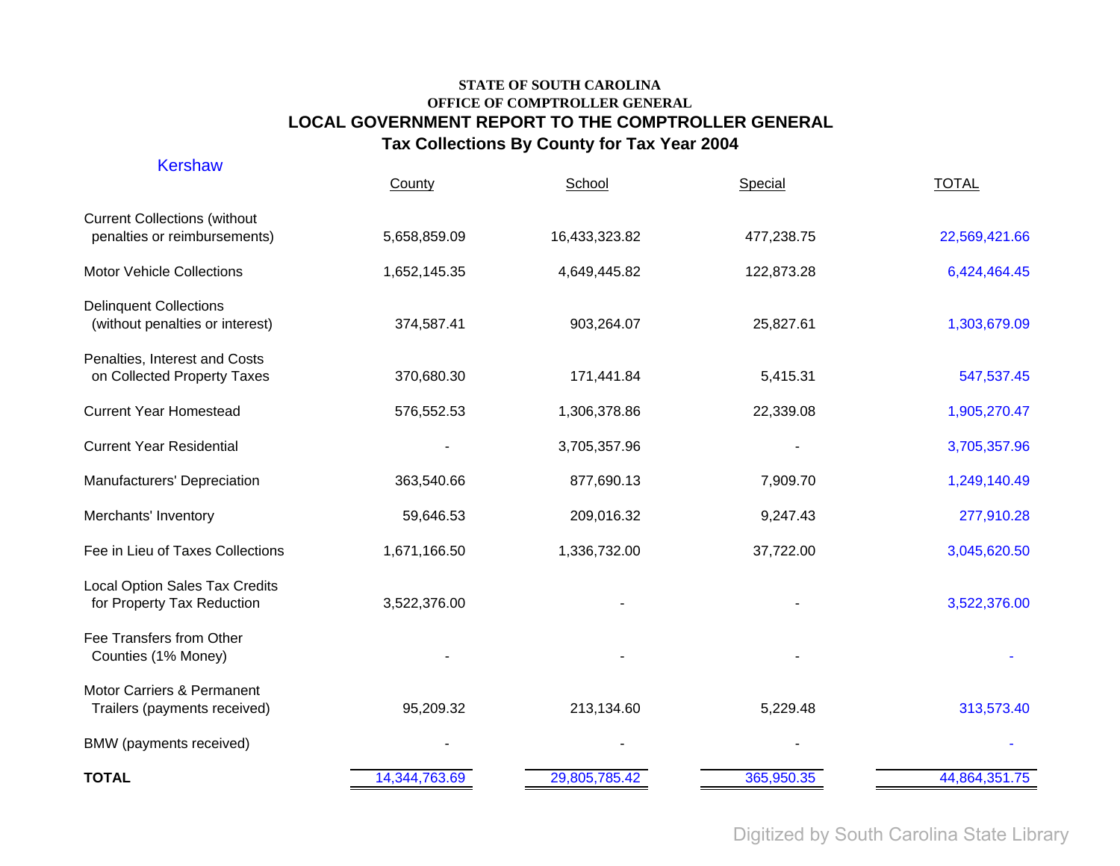| <b>Kershaw</b>                                                      | County        | School        | Special    | <b>TOTAL</b>  |
|---------------------------------------------------------------------|---------------|---------------|------------|---------------|
| <b>Current Collections (without</b><br>penalties or reimbursements) | 5,658,859.09  | 16,433,323.82 | 477,238.75 | 22,569,421.66 |
| Motor Vehicle Collections                                           | 1,652,145.35  | 4,649,445.82  | 122,873.28 | 6,424,464.45  |
| <b>Delinquent Collections</b><br>(without penalties or interest)    | 374,587.41    | 903,264.07    | 25,827.61  | 1,303,679.09  |
| Penalties, Interest and Costs<br>on Collected Property Taxes        | 370,680.30    | 171,441.84    | 5,415.31   | 547,537.45    |
| <b>Current Year Homestead</b>                                       | 576,552.53    | 1,306,378.86  | 22,339.08  | 1,905,270.47  |
| <b>Current Year Residential</b>                                     |               | 3,705,357.96  |            | 3,705,357.96  |
| Manufacturers' Depreciation                                         | 363,540.66    | 877,690.13    | 7,909.70   | 1,249,140.49  |
| Merchants' Inventory                                                | 59,646.53     | 209,016.32    | 9,247.43   | 277,910.28    |
| Fee in Lieu of Taxes Collections                                    | 1,671,166.50  | 1,336,732.00  | 37,722.00  | 3,045,620.50  |
| <b>Local Option Sales Tax Credits</b><br>for Property Tax Reduction | 3,522,376.00  |               |            | 3,522,376.00  |
| Fee Transfers from Other<br>Counties (1% Money)                     |               |               |            |               |
| Motor Carriers & Permanent<br>Trailers (payments received)          | 95,209.32     | 213,134.60    | 5,229.48   | 313,573.40    |
| BMW (payments received)                                             |               |               |            |               |
| <b>TOTAL</b>                                                        | 14,344,763.69 | 29,805,785.42 | 365,950.35 | 44,864,351.75 |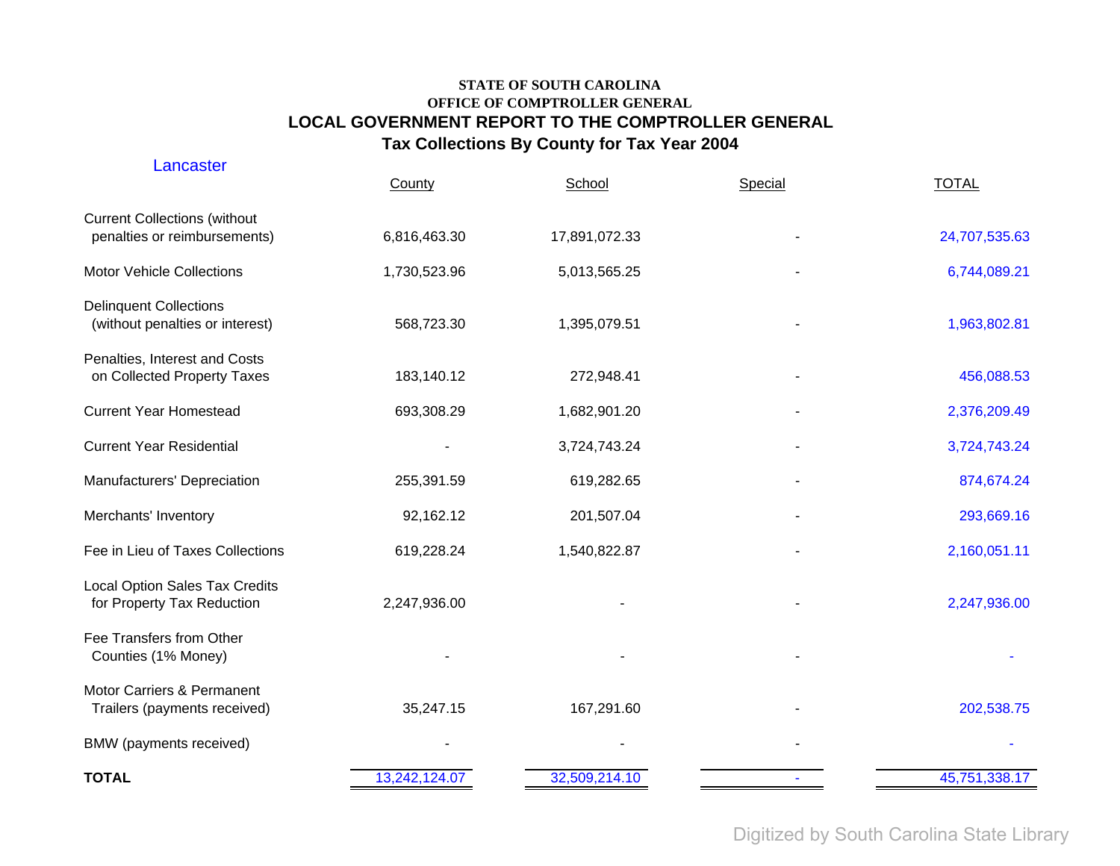| Lancaster                                                           | County        | School        | Special | <b>TOTAL</b>  |
|---------------------------------------------------------------------|---------------|---------------|---------|---------------|
| <b>Current Collections (without</b><br>penalties or reimbursements) | 6,816,463.30  | 17,891,072.33 |         | 24,707,535.63 |
| <b>Motor Vehicle Collections</b>                                    | 1,730,523.96  | 5,013,565.25  |         | 6,744,089.21  |
| <b>Delinquent Collections</b><br>(without penalties or interest)    | 568,723.30    | 1,395,079.51  |         | 1,963,802.81  |
| Penalties, Interest and Costs<br>on Collected Property Taxes        | 183,140.12    | 272,948.41    |         | 456,088.53    |
| <b>Current Year Homestead</b>                                       | 693,308.29    | 1,682,901.20  |         | 2,376,209.49  |
| <b>Current Year Residential</b>                                     |               | 3,724,743.24  |         | 3,724,743.24  |
| Manufacturers' Depreciation                                         | 255,391.59    | 619,282.65    |         | 874,674.24    |
| Merchants' Inventory                                                | 92,162.12     | 201,507.04    |         | 293,669.16    |
| Fee in Lieu of Taxes Collections                                    | 619,228.24    | 1,540,822.87  |         | 2,160,051.11  |
| <b>Local Option Sales Tax Credits</b><br>for Property Tax Reduction | 2,247,936.00  |               |         | 2,247,936.00  |
| Fee Transfers from Other<br>Counties (1% Money)                     |               |               |         |               |
| Motor Carriers & Permanent<br>Trailers (payments received)          | 35,247.15     | 167,291.60    |         | 202,538.75    |
| BMW (payments received)                                             |               |               |         |               |
| <b>TOTAL</b>                                                        | 13,242,124.07 | 32,509,214.10 |         | 45,751,338.17 |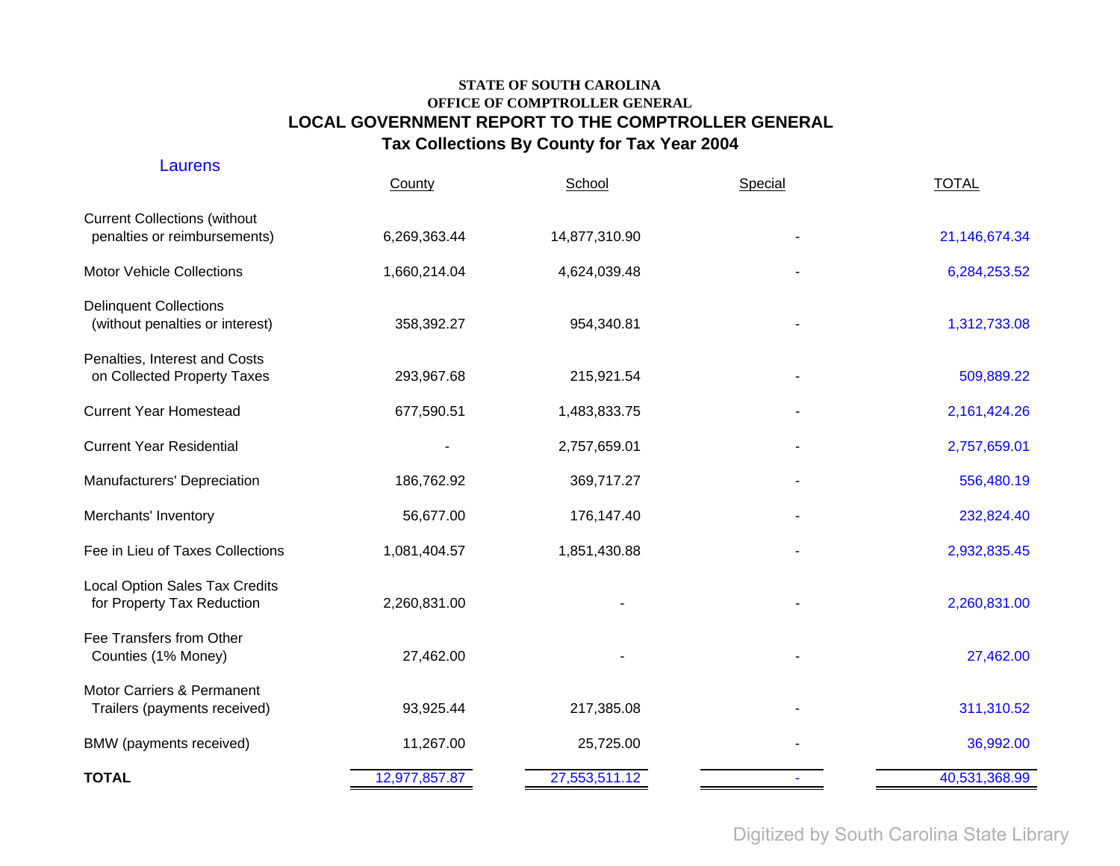| Laurens                                                             | County        | School        | Special | <b>TOTAL</b>  |
|---------------------------------------------------------------------|---------------|---------------|---------|---------------|
| <b>Current Collections (without</b><br>penalties or reimbursements) | 6,269,363.44  | 14,877,310.90 |         | 21,146,674.34 |
| <b>Motor Vehicle Collections</b>                                    | 1,660,214.04  | 4,624,039.48  |         | 6,284,253.52  |
| <b>Delinquent Collections</b><br>(without penalties or interest)    | 358,392.27    | 954,340.81    |         | 1,312,733.08  |
| Penalties, Interest and Costs<br>on Collected Property Taxes        | 293,967.68    | 215,921.54    |         | 509,889.22    |
| <b>Current Year Homestead</b>                                       | 677,590.51    | 1,483,833.75  |         | 2,161,424.26  |
| <b>Current Year Residential</b>                                     |               | 2,757,659.01  |         | 2,757,659.01  |
| Manufacturers' Depreciation                                         | 186,762.92    | 369,717.27    |         | 556,480.19    |
| Merchants' Inventory                                                | 56,677.00     | 176,147.40    |         | 232,824.40    |
| Fee in Lieu of Taxes Collections                                    | 1,081,404.57  | 1,851,430.88  |         | 2,932,835.45  |
| <b>Local Option Sales Tax Credits</b><br>for Property Tax Reduction | 2,260,831.00  |               |         | 2,260,831.00  |
| Fee Transfers from Other<br>Counties (1% Money)                     | 27,462.00     |               |         | 27,462.00     |
| Motor Carriers & Permanent<br>Trailers (payments received)          | 93,925.44     | 217,385.08    |         | 311,310.52    |
| BMW (payments received)                                             | 11,267.00     | 25,725.00     |         | 36,992.00     |
| <b>TOTAL</b>                                                        | 12,977,857.87 | 27,553,511.12 |         | 40,531,368.99 |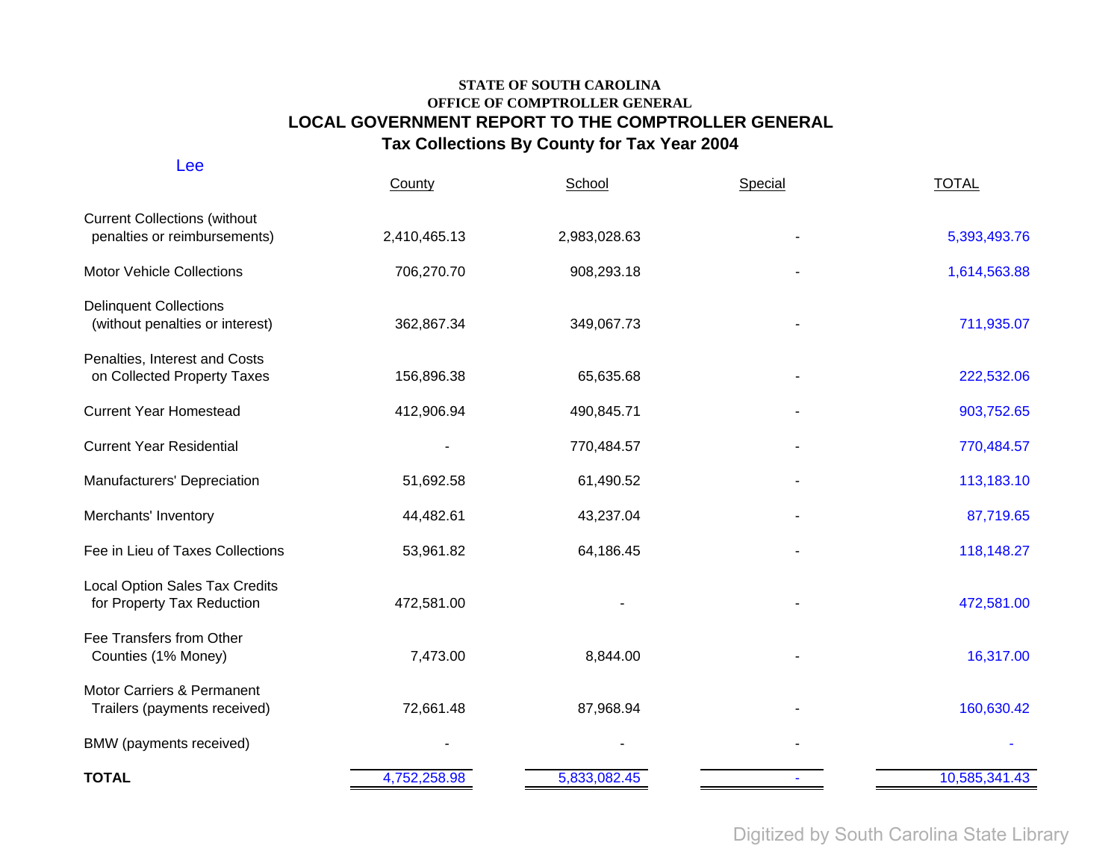| Lee                                                                 | County       | School       | Special | <b>TOTAL</b>  |
|---------------------------------------------------------------------|--------------|--------------|---------|---------------|
| <b>Current Collections (without</b><br>penalties or reimbursements) | 2,410,465.13 | 2,983,028.63 |         | 5,393,493.76  |
| <b>Motor Vehicle Collections</b>                                    | 706,270.70   | 908,293.18   |         | 1,614,563.88  |
| <b>Delinquent Collections</b><br>(without penalties or interest)    | 362,867.34   | 349,067.73   |         | 711,935.07    |
| Penalties, Interest and Costs<br>on Collected Property Taxes        | 156,896.38   | 65,635.68    |         | 222,532.06    |
| <b>Current Year Homestead</b>                                       | 412,906.94   | 490,845.71   |         | 903,752.65    |
| <b>Current Year Residential</b>                                     |              | 770,484.57   |         | 770,484.57    |
| Manufacturers' Depreciation                                         | 51,692.58    | 61,490.52    |         | 113,183.10    |
| Merchants' Inventory                                                | 44,482.61    | 43,237.04    |         | 87,719.65     |
| Fee in Lieu of Taxes Collections                                    | 53,961.82    | 64,186.45    |         | 118,148.27    |
| <b>Local Option Sales Tax Credits</b><br>for Property Tax Reduction | 472,581.00   |              |         | 472,581.00    |
| Fee Transfers from Other<br>Counties (1% Money)                     | 7,473.00     | 8,844.00     |         | 16,317.00     |
| Motor Carriers & Permanent<br>Trailers (payments received)          | 72,661.48    | 87,968.94    |         | 160,630.42    |
| BMW (payments received)                                             |              |              |         |               |
| <b>TOTAL</b>                                                        | 4,752,258.98 | 5,833,082.45 |         | 10,585,341.43 |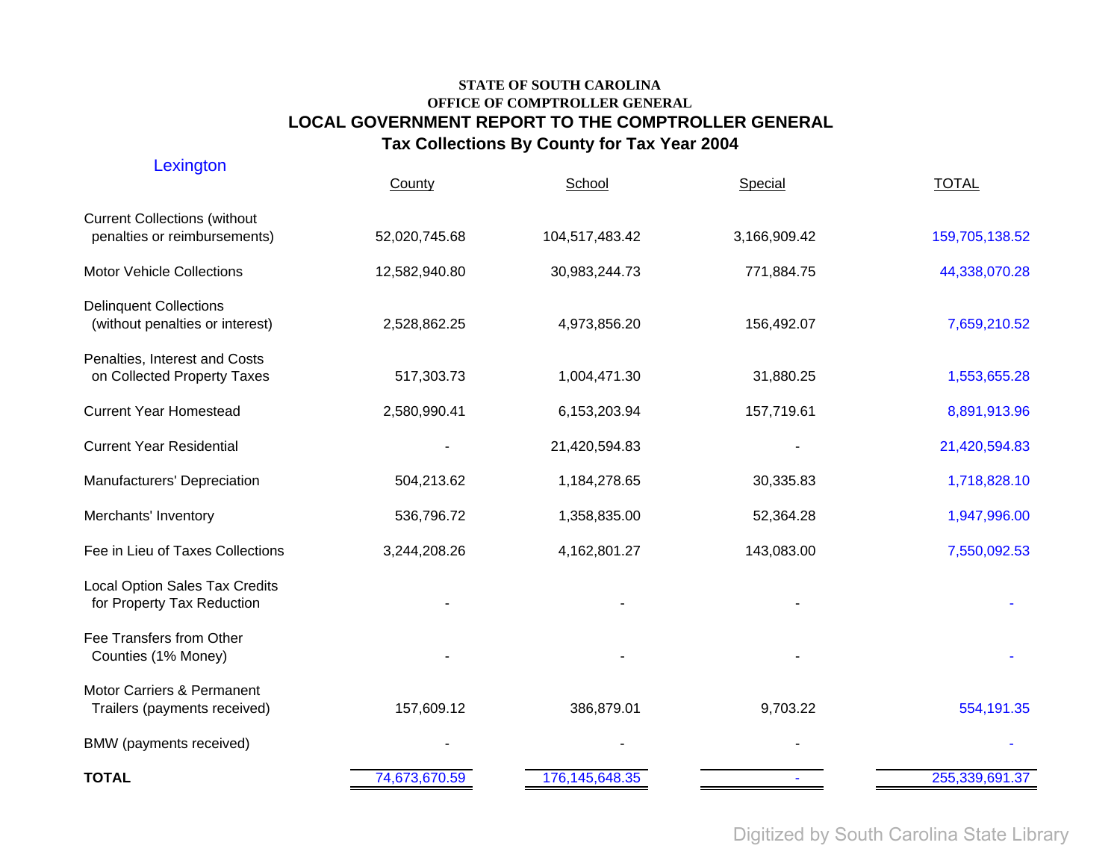| Lexington                                                           | County        | School            | Special      | <b>TOTAL</b>   |
|---------------------------------------------------------------------|---------------|-------------------|--------------|----------------|
| <b>Current Collections (without</b><br>penalties or reimbursements) | 52,020,745.68 | 104,517,483.42    | 3,166,909.42 | 159,705,138.52 |
| <b>Motor Vehicle Collections</b>                                    | 12,582,940.80 | 30,983,244.73     | 771,884.75   | 44,338,070.28  |
| <b>Delinquent Collections</b><br>(without penalties or interest)    | 2,528,862.25  | 4,973,856.20      | 156,492.07   | 7,659,210.52   |
| Penalties, Interest and Costs<br>on Collected Property Taxes        | 517,303.73    | 1,004,471.30      | 31,880.25    | 1,553,655.28   |
| <b>Current Year Homestead</b>                                       | 2,580,990.41  | 6,153,203.94      | 157,719.61   | 8,891,913.96   |
| <b>Current Year Residential</b>                                     |               | 21,420,594.83     |              | 21,420,594.83  |
| Manufacturers' Depreciation                                         | 504,213.62    | 1,184,278.65      | 30,335.83    | 1,718,828.10   |
| Merchants' Inventory                                                | 536,796.72    | 1,358,835.00      | 52,364.28    | 1,947,996.00   |
| Fee in Lieu of Taxes Collections                                    | 3,244,208.26  | 4,162,801.27      | 143,083.00   | 7,550,092.53   |
| <b>Local Option Sales Tax Credits</b><br>for Property Tax Reduction |               |                   |              |                |
| Fee Transfers from Other<br>Counties (1% Money)                     |               |                   |              |                |
| Motor Carriers & Permanent<br>Trailers (payments received)          | 157,609.12    | 386,879.01        | 9,703.22     | 554,191.35     |
| BMW (payments received)                                             |               |                   |              |                |
| <b>TOTAL</b>                                                        | 74,673,670.59 | 176, 145, 648. 35 |              | 255,339,691.37 |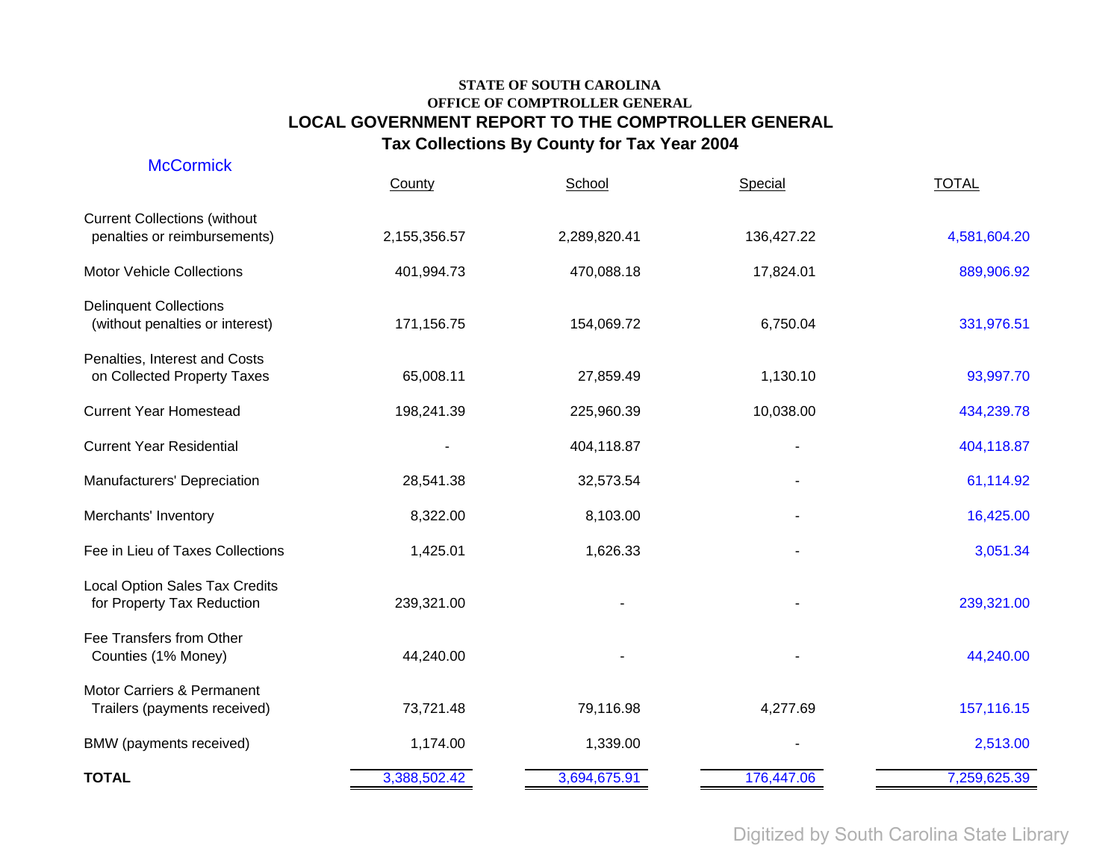| <b>McCormick</b>                                                    | County       | School       | Special    | <b>TOTAL</b> |
|---------------------------------------------------------------------|--------------|--------------|------------|--------------|
| <b>Current Collections (without</b><br>penalties or reimbursements) | 2,155,356.57 | 2,289,820.41 | 136,427.22 | 4,581,604.20 |
| <b>Motor Vehicle Collections</b>                                    | 401,994.73   | 470,088.18   | 17,824.01  | 889,906.92   |
| <b>Delinquent Collections</b><br>(without penalties or interest)    | 171,156.75   | 154,069.72   | 6,750.04   | 331,976.51   |
| Penalties, Interest and Costs<br>on Collected Property Taxes        | 65,008.11    | 27,859.49    | 1,130.10   | 93,997.70    |
| <b>Current Year Homestead</b>                                       | 198,241.39   | 225,960.39   | 10,038.00  | 434,239.78   |
| <b>Current Year Residential</b>                                     |              | 404,118.87   |            | 404,118.87   |
| Manufacturers' Depreciation                                         | 28,541.38    | 32,573.54    |            | 61,114.92    |
| Merchants' Inventory                                                | 8,322.00     | 8,103.00     |            | 16,425.00    |
| Fee in Lieu of Taxes Collections                                    | 1,425.01     | 1,626.33     |            | 3,051.34     |
| <b>Local Option Sales Tax Credits</b><br>for Property Tax Reduction | 239,321.00   |              |            | 239,321.00   |
| Fee Transfers from Other<br>Counties (1% Money)                     | 44,240.00    |              |            | 44,240.00    |
| Motor Carriers & Permanent<br>Trailers (payments received)          | 73,721.48    | 79,116.98    | 4,277.69   | 157,116.15   |
| BMW (payments received)                                             | 1,174.00     | 1,339.00     |            | 2,513.00     |
| <b>TOTAL</b>                                                        | 3,388,502.42 | 3,694,675.91 | 176,447.06 | 7,259,625.39 |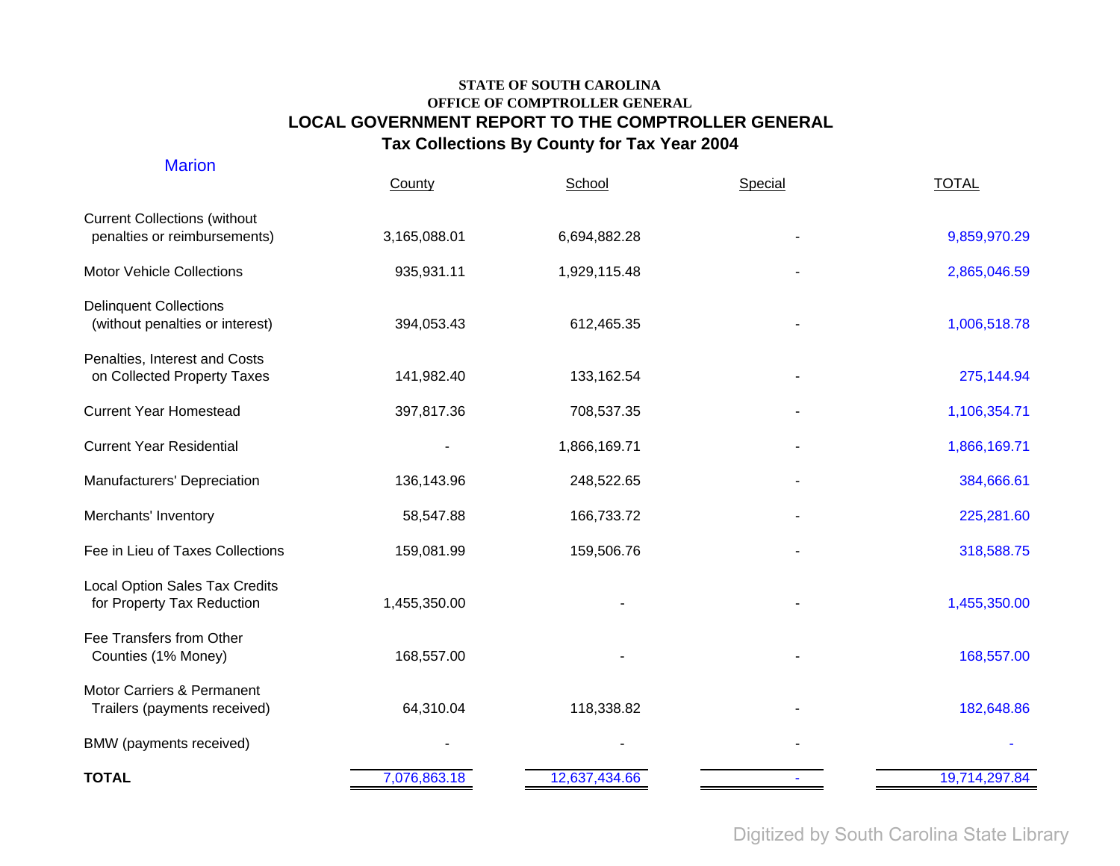| <b>Marion</b>                                                       | County       | School        | Special | <b>TOTAL</b>  |
|---------------------------------------------------------------------|--------------|---------------|---------|---------------|
| <b>Current Collections (without</b><br>penalties or reimbursements) | 3,165,088.01 | 6,694,882.28  |         | 9,859,970.29  |
| <b>Motor Vehicle Collections</b>                                    | 935,931.11   | 1,929,115.48  |         | 2,865,046.59  |
| <b>Delinquent Collections</b><br>(without penalties or interest)    | 394,053.43   | 612,465.35    |         | 1,006,518.78  |
| Penalties, Interest and Costs<br>on Collected Property Taxes        | 141,982.40   | 133,162.54    |         | 275,144.94    |
| <b>Current Year Homestead</b>                                       | 397,817.36   | 708,537.35    |         | 1,106,354.71  |
| <b>Current Year Residential</b>                                     |              | 1,866,169.71  |         | 1,866,169.71  |
| Manufacturers' Depreciation                                         | 136,143.96   | 248,522.65    |         | 384,666.61    |
| Merchants' Inventory                                                | 58,547.88    | 166,733.72    |         | 225,281.60    |
| Fee in Lieu of Taxes Collections                                    | 159,081.99   | 159,506.76    |         | 318,588.75    |
| <b>Local Option Sales Tax Credits</b><br>for Property Tax Reduction | 1,455,350.00 |               |         | 1,455,350.00  |
| Fee Transfers from Other<br>Counties (1% Money)                     | 168,557.00   |               |         | 168,557.00    |
| Motor Carriers & Permanent<br>Trailers (payments received)          | 64,310.04    | 118,338.82    |         | 182,648.86    |
| BMW (payments received)                                             |              |               |         |               |
| <b>TOTAL</b>                                                        | 7,076,863.18 | 12,637,434.66 |         | 19,714,297.84 |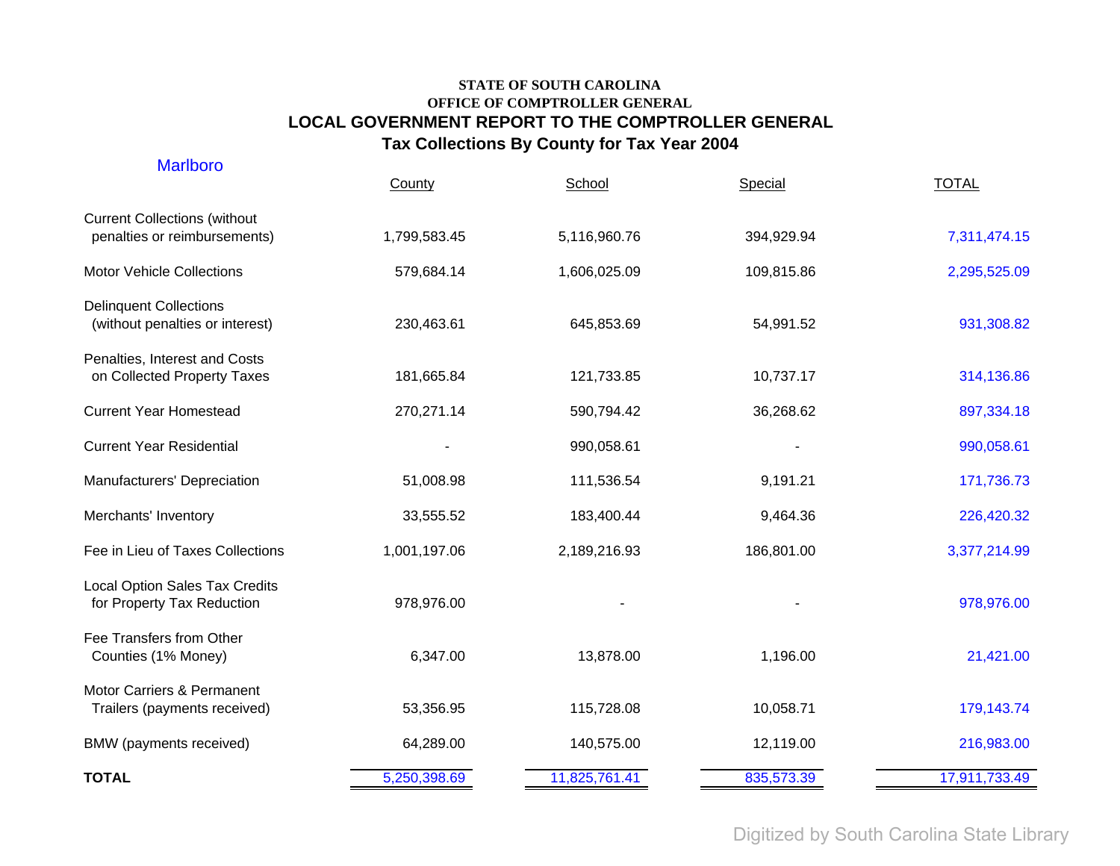| <b>Marlboro</b>                                                     | County       | School        | Special    | <b>TOTAL</b>  |
|---------------------------------------------------------------------|--------------|---------------|------------|---------------|
| <b>Current Collections (without</b><br>penalties or reimbursements) | 1,799,583.45 | 5,116,960.76  | 394,929.94 | 7,311,474.15  |
| <b>Motor Vehicle Collections</b>                                    | 579,684.14   | 1,606,025.09  | 109,815.86 | 2,295,525.09  |
| <b>Delinquent Collections</b><br>(without penalties or interest)    | 230,463.61   | 645,853.69    | 54,991.52  | 931,308.82    |
| Penalties, Interest and Costs<br>on Collected Property Taxes        | 181,665.84   | 121,733.85    | 10,737.17  | 314,136.86    |
| <b>Current Year Homestead</b>                                       | 270,271.14   | 590,794.42    | 36,268.62  | 897,334.18    |
| <b>Current Year Residential</b>                                     |              | 990,058.61    |            | 990,058.61    |
| Manufacturers' Depreciation                                         | 51,008.98    | 111,536.54    | 9,191.21   | 171,736.73    |
| Merchants' Inventory                                                | 33,555.52    | 183,400.44    | 9,464.36   | 226,420.32    |
| Fee in Lieu of Taxes Collections                                    | 1,001,197.06 | 2,189,216.93  | 186,801.00 | 3,377,214.99  |
| <b>Local Option Sales Tax Credits</b><br>for Property Tax Reduction | 978,976.00   |               |            | 978,976.00    |
| Fee Transfers from Other<br>Counties (1% Money)                     | 6,347.00     | 13,878.00     | 1,196.00   | 21,421.00     |
| Motor Carriers & Permanent<br>Trailers (payments received)          | 53,356.95    | 115,728.08    | 10,058.71  | 179,143.74    |
| BMW (payments received)                                             | 64,289.00    | 140,575.00    | 12,119.00  | 216,983.00    |
| <b>TOTAL</b>                                                        | 5,250,398.69 | 11,825,761.41 | 835,573.39 | 17,911,733.49 |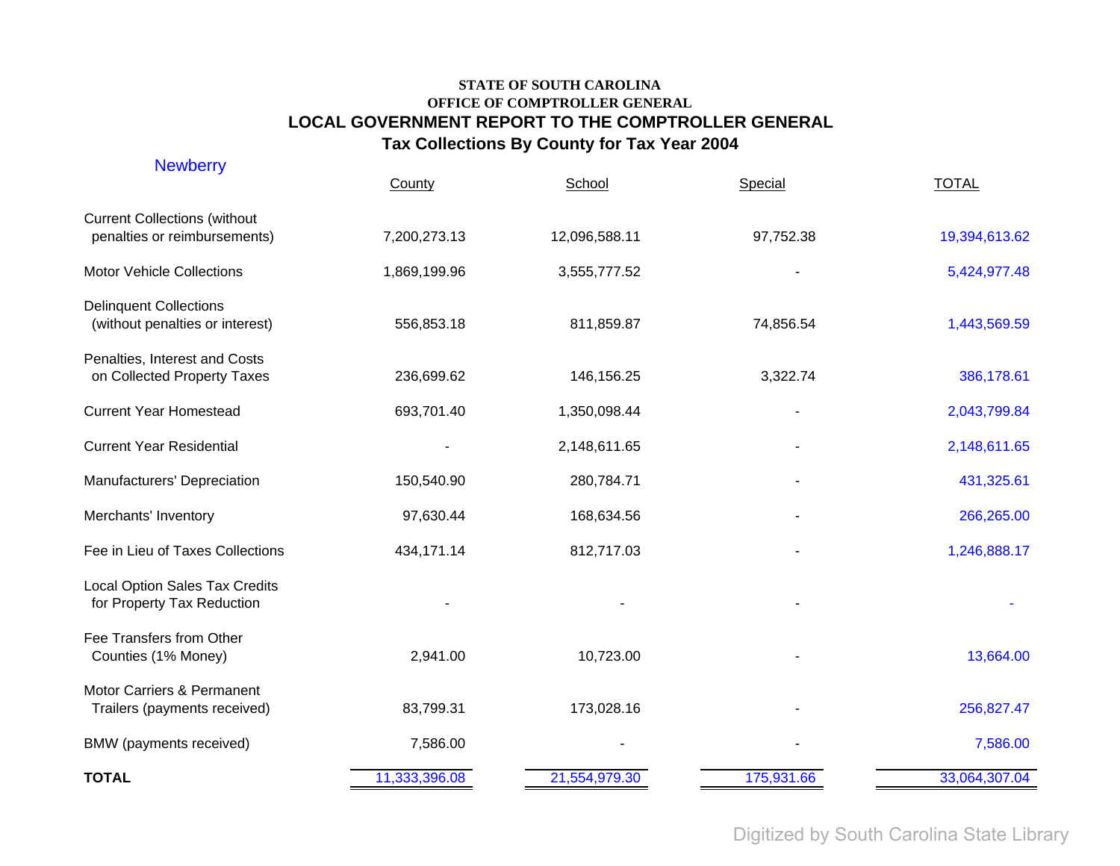| <b>Newberry</b>                                                     | County        | School        | Special    | <b>TOTAL</b>  |
|---------------------------------------------------------------------|---------------|---------------|------------|---------------|
| <b>Current Collections (without</b><br>penalties or reimbursements) | 7,200,273.13  | 12,096,588.11 | 97,752.38  | 19,394,613.62 |
| <b>Motor Vehicle Collections</b>                                    | 1,869,199.96  | 3,555,777.52  |            | 5,424,977.48  |
| <b>Delinquent Collections</b><br>(without penalties or interest)    | 556,853.18    | 811,859.87    | 74,856.54  | 1,443,569.59  |
| Penalties, Interest and Costs<br>on Collected Property Taxes        | 236,699.62    | 146,156.25    | 3,322.74   | 386,178.61    |
| <b>Current Year Homestead</b>                                       | 693,701.40    | 1,350,098.44  |            | 2,043,799.84  |
| <b>Current Year Residential</b>                                     |               | 2,148,611.65  |            | 2,148,611.65  |
| Manufacturers' Depreciation                                         | 150,540.90    | 280,784.71    |            | 431,325.61    |
| Merchants' Inventory                                                | 97,630.44     | 168,634.56    |            | 266,265.00    |
| Fee in Lieu of Taxes Collections                                    | 434,171.14    | 812,717.03    |            | 1,246,888.17  |
| <b>Local Option Sales Tax Credits</b><br>for Property Tax Reduction |               |               |            |               |
| Fee Transfers from Other<br>Counties (1% Money)                     | 2,941.00      | 10,723.00     |            | 13,664.00     |
| Motor Carriers & Permanent<br>Trailers (payments received)          | 83,799.31     | 173,028.16    |            | 256,827.47    |
| BMW (payments received)                                             | 7,586.00      |               |            | 7,586.00      |
| <b>TOTAL</b>                                                        | 11,333,396.08 | 21,554,979.30 | 175,931.66 | 33,064,307.04 |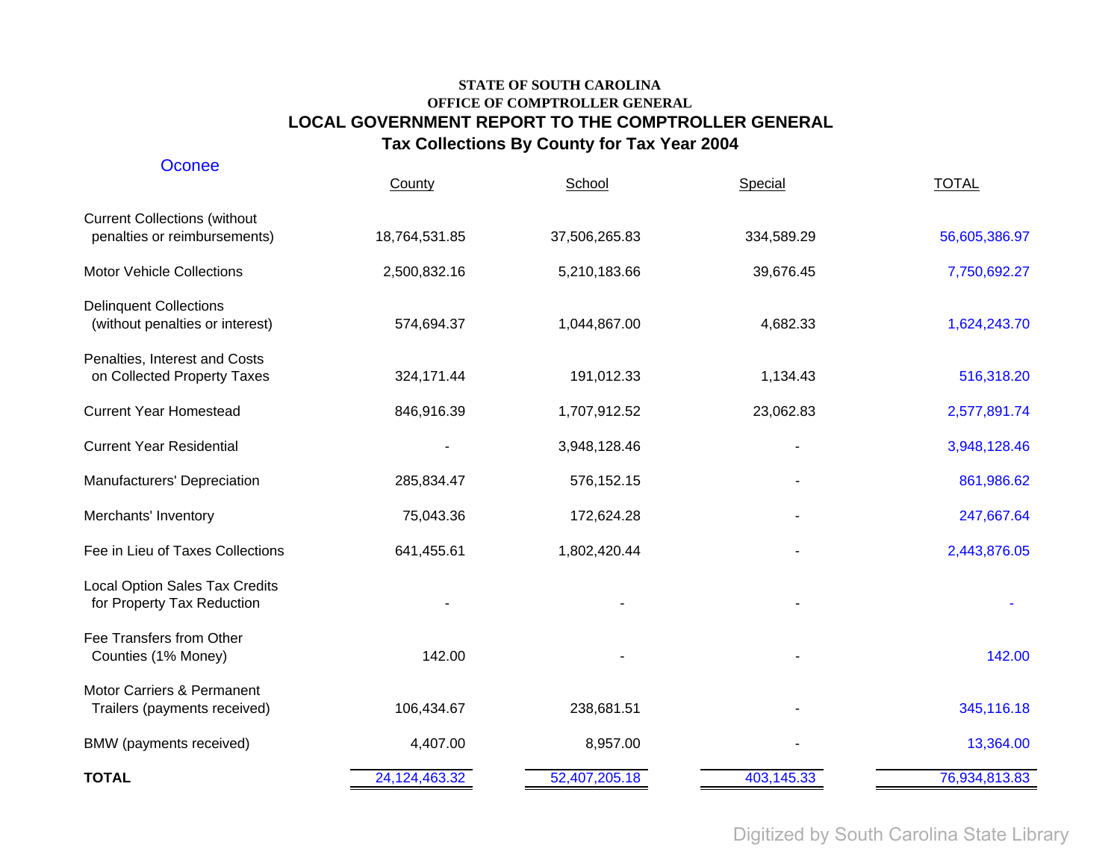| Oconee                                                              | County        | School        | Special    | <b>TOTAL</b>  |
|---------------------------------------------------------------------|---------------|---------------|------------|---------------|
| <b>Current Collections (without</b><br>penalties or reimbursements) | 18,764,531.85 | 37,506,265.83 | 334,589.29 | 56,605,386.97 |
| <b>Motor Vehicle Collections</b>                                    | 2,500,832.16  | 5,210,183.66  | 39,676.45  | 7,750,692.27  |
| <b>Delinquent Collections</b><br>(without penalties or interest)    | 574,694.37    | 1,044,867.00  | 4,682.33   | 1,624,243.70  |
| Penalties, Interest and Costs<br>on Collected Property Taxes        | 324,171.44    | 191,012.33    | 1,134.43   | 516,318.20    |
| <b>Current Year Homestead</b>                                       | 846,916.39    | 1,707,912.52  | 23,062.83  | 2,577,891.74  |
| <b>Current Year Residential</b>                                     |               | 3,948,128.46  |            | 3,948,128.46  |
| Manufacturers' Depreciation                                         | 285,834.47    | 576,152.15    |            | 861,986.62    |
| Merchants' Inventory                                                | 75,043.36     | 172,624.28    |            | 247,667.64    |
| Fee in Lieu of Taxes Collections                                    | 641,455.61    | 1,802,420.44  |            | 2,443,876.05  |
| Local Option Sales Tax Credits<br>for Property Tax Reduction        |               |               |            |               |
| Fee Transfers from Other<br>Counties (1% Money)                     | 142.00        |               |            | 142.00        |
| Motor Carriers & Permanent<br>Trailers (payments received)          | 106,434.67    | 238,681.51    |            | 345,116.18    |
| BMW (payments received)                                             | 4,407.00      | 8,957.00      |            | 13,364.00     |
| <b>TOTAL</b>                                                        | 24,124,463.32 | 52,407,205.18 | 403,145.33 | 76,934,813.83 |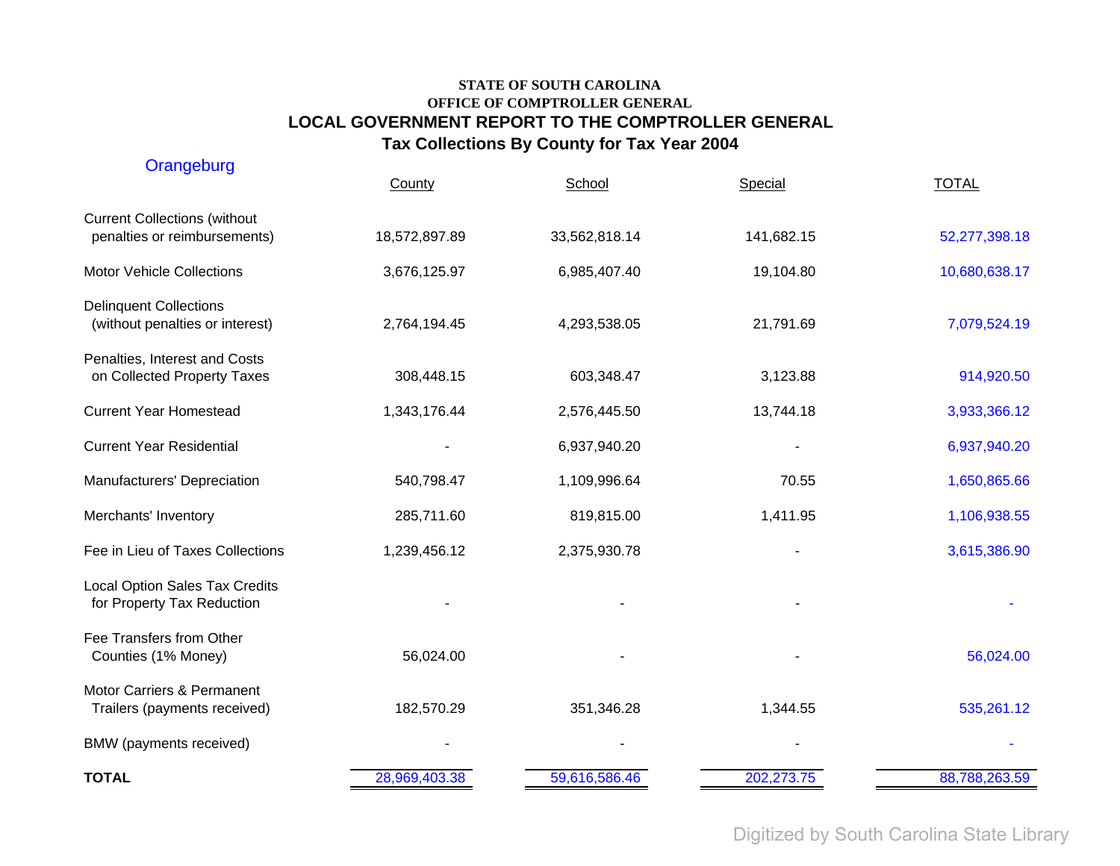| Orangeburg                                                          | County        | School        | Special    | <b>TOTAL</b>  |
|---------------------------------------------------------------------|---------------|---------------|------------|---------------|
| <b>Current Collections (without</b><br>penalties or reimbursements) | 18,572,897.89 | 33,562,818.14 | 141,682.15 | 52,277,398.18 |
| <b>Motor Vehicle Collections</b>                                    | 3,676,125.97  | 6,985,407.40  | 19,104.80  | 10,680,638.17 |
| <b>Delinquent Collections</b><br>(without penalties or interest)    | 2,764,194.45  | 4,293,538.05  | 21,791.69  | 7,079,524.19  |
| Penalties, Interest and Costs<br>on Collected Property Taxes        | 308,448.15    | 603,348.47    | 3,123.88   | 914,920.50    |
| <b>Current Year Homestead</b>                                       | 1,343,176.44  | 2,576,445.50  | 13,744.18  | 3,933,366.12  |
| <b>Current Year Residential</b>                                     |               | 6,937,940.20  |            | 6,937,940.20  |
| Manufacturers' Depreciation                                         | 540,798.47    | 1,109,996.64  | 70.55      | 1,650,865.66  |
| Merchants' Inventory                                                | 285,711.60    | 819,815.00    | 1,411.95   | 1,106,938.55  |
| Fee in Lieu of Taxes Collections                                    | 1,239,456.12  | 2,375,930.78  |            | 3,615,386.90  |
| <b>Local Option Sales Tax Credits</b><br>for Property Tax Reduction |               |               |            |               |
| Fee Transfers from Other<br>Counties (1% Money)                     | 56,024.00     |               |            | 56,024.00     |
| Motor Carriers & Permanent<br>Trailers (payments received)          | 182,570.29    | 351,346.28    | 1,344.55   | 535,261.12    |
| BMW (payments received)                                             |               |               |            |               |
| <b>TOTAL</b>                                                        | 28,969,403.38 | 59,616,586.46 | 202,273.75 | 88,788,263.59 |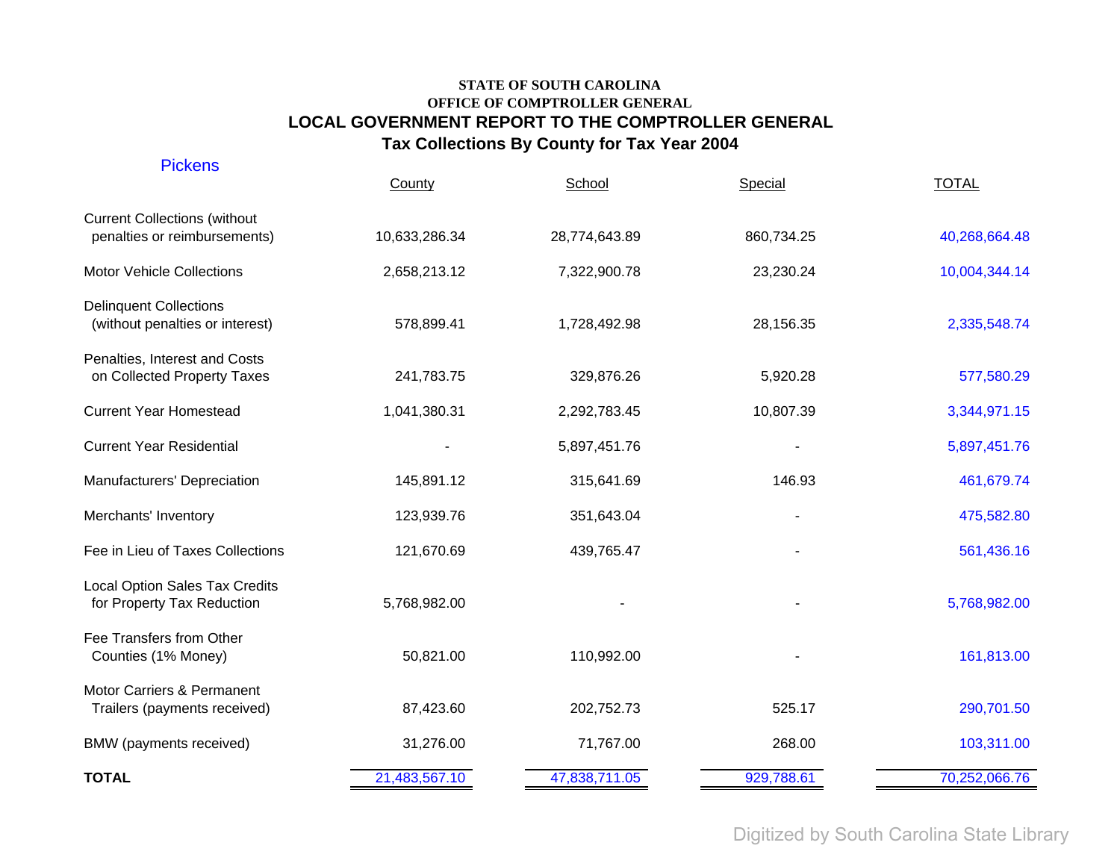| <b>Pickens</b>                                                      | County        | School        | Special    | <b>TOTAL</b>  |
|---------------------------------------------------------------------|---------------|---------------|------------|---------------|
| <b>Current Collections (without</b><br>penalties or reimbursements) | 10,633,286.34 | 28,774,643.89 | 860,734.25 | 40,268,664.48 |
| <b>Motor Vehicle Collections</b>                                    | 2,658,213.12  | 7,322,900.78  | 23,230.24  | 10,004,344.14 |
| <b>Delinquent Collections</b><br>(without penalties or interest)    | 578,899.41    | 1,728,492.98  | 28,156.35  | 2,335,548.74  |
| Penalties, Interest and Costs<br>on Collected Property Taxes        | 241,783.75    | 329,876.26    | 5,920.28   | 577,580.29    |
| <b>Current Year Homestead</b>                                       | 1,041,380.31  | 2,292,783.45  | 10,807.39  | 3,344,971.15  |
| <b>Current Year Residential</b>                                     |               | 5,897,451.76  |            | 5,897,451.76  |
| Manufacturers' Depreciation                                         | 145,891.12    | 315,641.69    | 146.93     | 461,679.74    |
| Merchants' Inventory                                                | 123,939.76    | 351,643.04    |            | 475,582.80    |
| Fee in Lieu of Taxes Collections                                    | 121,670.69    | 439,765.47    |            | 561,436.16    |
| Local Option Sales Tax Credits<br>for Property Tax Reduction        | 5,768,982.00  |               |            | 5,768,982.00  |
| Fee Transfers from Other<br>Counties (1% Money)                     | 50,821.00     | 110,992.00    |            | 161,813.00    |
| Motor Carriers & Permanent<br>Trailers (payments received)          | 87,423.60     | 202,752.73    | 525.17     | 290,701.50    |
| BMW (payments received)                                             | 31,276.00     | 71,767.00     | 268.00     | 103,311.00    |
| <b>TOTAL</b>                                                        | 21,483,567.10 | 47,838,711.05 | 929,788.61 | 70,252,066.76 |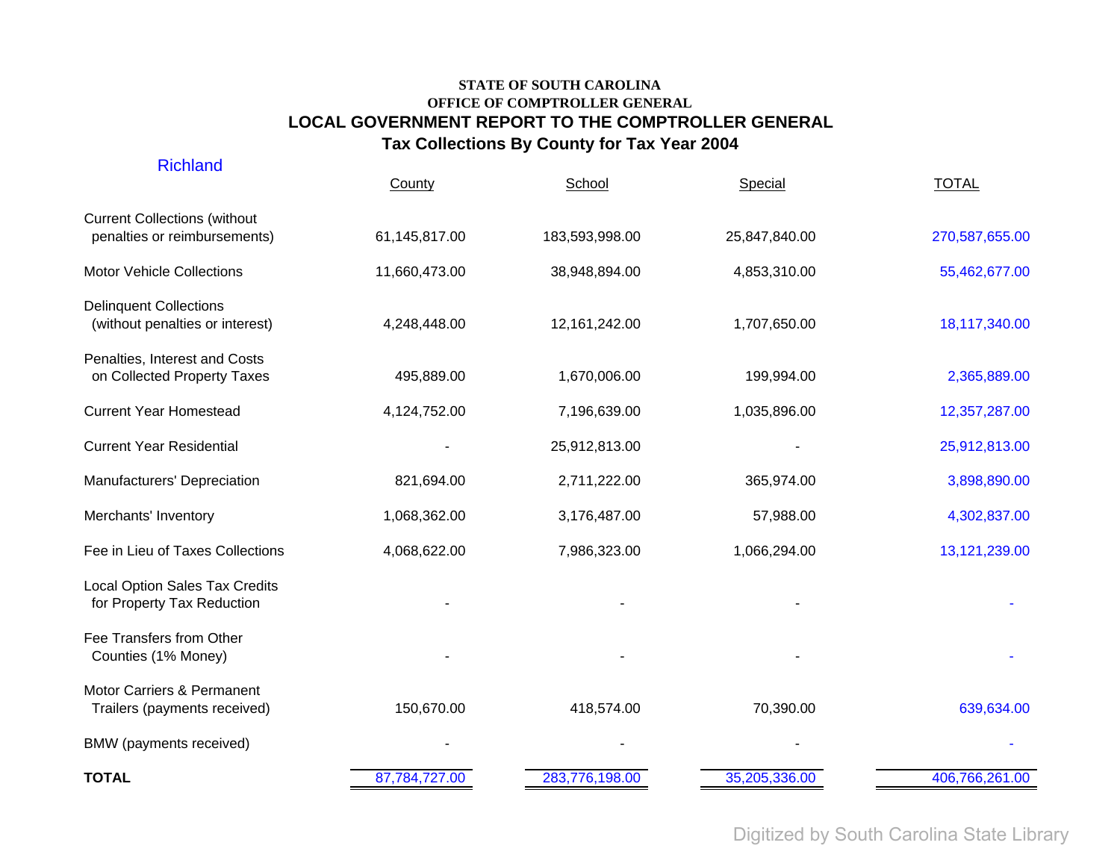| <b>TOTAL</b>                                                        | 87,784,727.00 | 283,776,198.00  | 35,205,336.00 | 406,766,261.00 |
|---------------------------------------------------------------------|---------------|-----------------|---------------|----------------|
| BMW (payments received)                                             |               |                 |               |                |
| Motor Carriers & Permanent<br>Trailers (payments received)          | 150,670.00    | 418,574.00      | 70,390.00     | 639,634.00     |
| Fee Transfers from Other<br>Counties (1% Money)                     |               |                 |               |                |
| <b>Local Option Sales Tax Credits</b><br>for Property Tax Reduction |               |                 |               |                |
| Fee in Lieu of Taxes Collections                                    | 4,068,622.00  | 7,986,323.00    | 1,066,294.00  | 13,121,239.00  |
| Merchants' Inventory                                                | 1,068,362.00  | 3,176,487.00    | 57,988.00     | 4,302,837.00   |
| Manufacturers' Depreciation                                         | 821,694.00    | 2,711,222.00    | 365,974.00    | 3,898,890.00   |
| <b>Current Year Residential</b>                                     |               | 25,912,813.00   |               | 25,912,813.00  |
| <b>Current Year Homestead</b>                                       | 4,124,752.00  | 7,196,639.00    | 1,035,896.00  | 12,357,287.00  |
| Penalties, Interest and Costs<br>on Collected Property Taxes        | 495,889.00    | 1,670,006.00    | 199,994.00    | 2,365,889.00   |
| <b>Delinquent Collections</b><br>(without penalties or interest)    | 4,248,448.00  | 12, 161, 242.00 | 1,707,650.00  | 18,117,340.00  |
| <b>Motor Vehicle Collections</b>                                    | 11,660,473.00 | 38,948,894.00   | 4,853,310.00  | 55,462,677.00  |
| <b>Current Collections (without</b><br>penalties or reimbursements) | 61,145,817.00 | 183,593,998.00  | 25,847,840.00 | 270,587,655.00 |
| <b>Richland</b>                                                     | County        | School          | Special       | <b>TOTAL</b>   |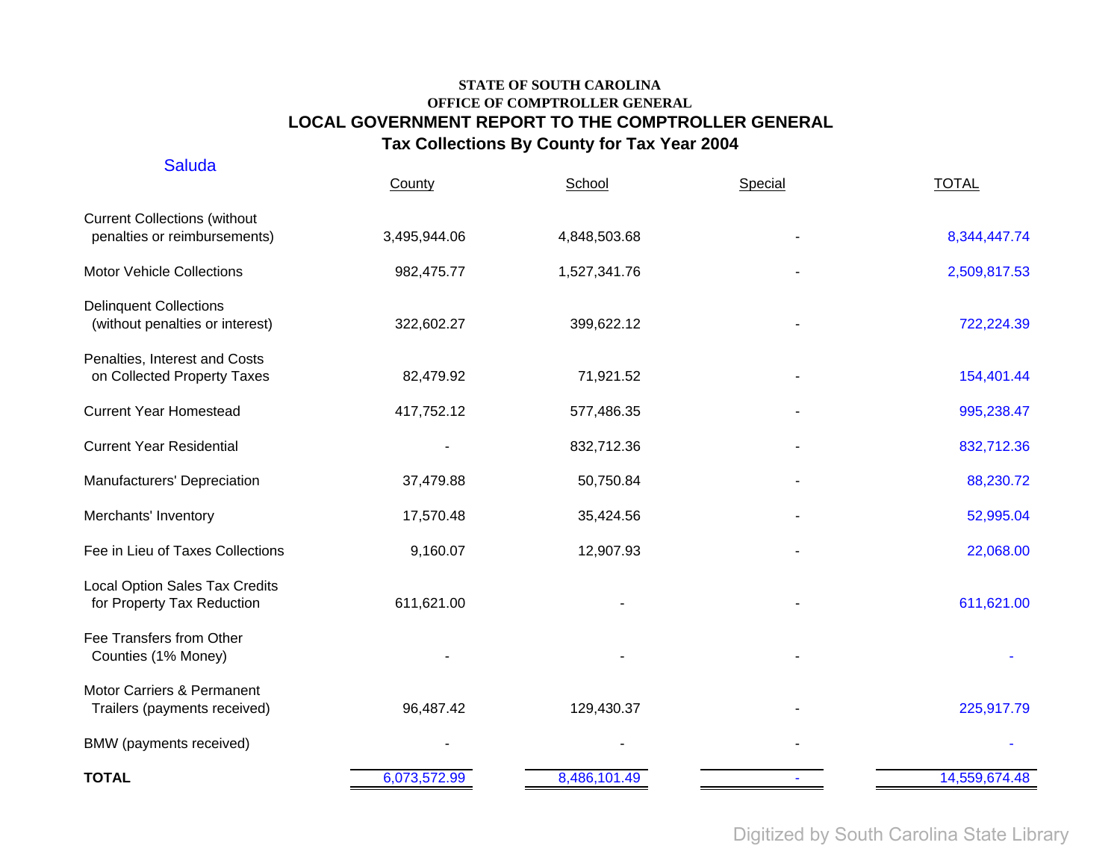| <b>Saluda</b>                                                       | County       | School       | Special | <b>TOTAL</b>  |
|---------------------------------------------------------------------|--------------|--------------|---------|---------------|
| <b>Current Collections (without</b><br>penalties or reimbursements) | 3,495,944.06 | 4,848,503.68 |         | 8,344,447.74  |
| <b>Motor Vehicle Collections</b>                                    | 982,475.77   | 1,527,341.76 |         | 2,509,817.53  |
| <b>Delinquent Collections</b><br>(without penalties or interest)    | 322,602.27   | 399,622.12   |         | 722,224.39    |
| Penalties, Interest and Costs<br>on Collected Property Taxes        | 82,479.92    | 71,921.52    |         | 154,401.44    |
| <b>Current Year Homestead</b>                                       | 417,752.12   | 577,486.35   |         | 995,238.47    |
| <b>Current Year Residential</b>                                     |              | 832,712.36   |         | 832,712.36    |
| Manufacturers' Depreciation                                         | 37,479.88    | 50,750.84    |         | 88,230.72     |
| Merchants' Inventory                                                | 17,570.48    | 35,424.56    |         | 52,995.04     |
| Fee in Lieu of Taxes Collections                                    | 9,160.07     | 12,907.93    |         | 22,068.00     |
| Local Option Sales Tax Credits<br>for Property Tax Reduction        | 611,621.00   |              |         | 611,621.00    |
| Fee Transfers from Other<br>Counties (1% Money)                     |              |              |         |               |
| Motor Carriers & Permanent<br>Trailers (payments received)          | 96,487.42    | 129,430.37   |         | 225,917.79    |
| BMW (payments received)                                             |              |              |         |               |
| <b>TOTAL</b>                                                        | 6,073,572.99 | 8,486,101.49 |         | 14,559,674.48 |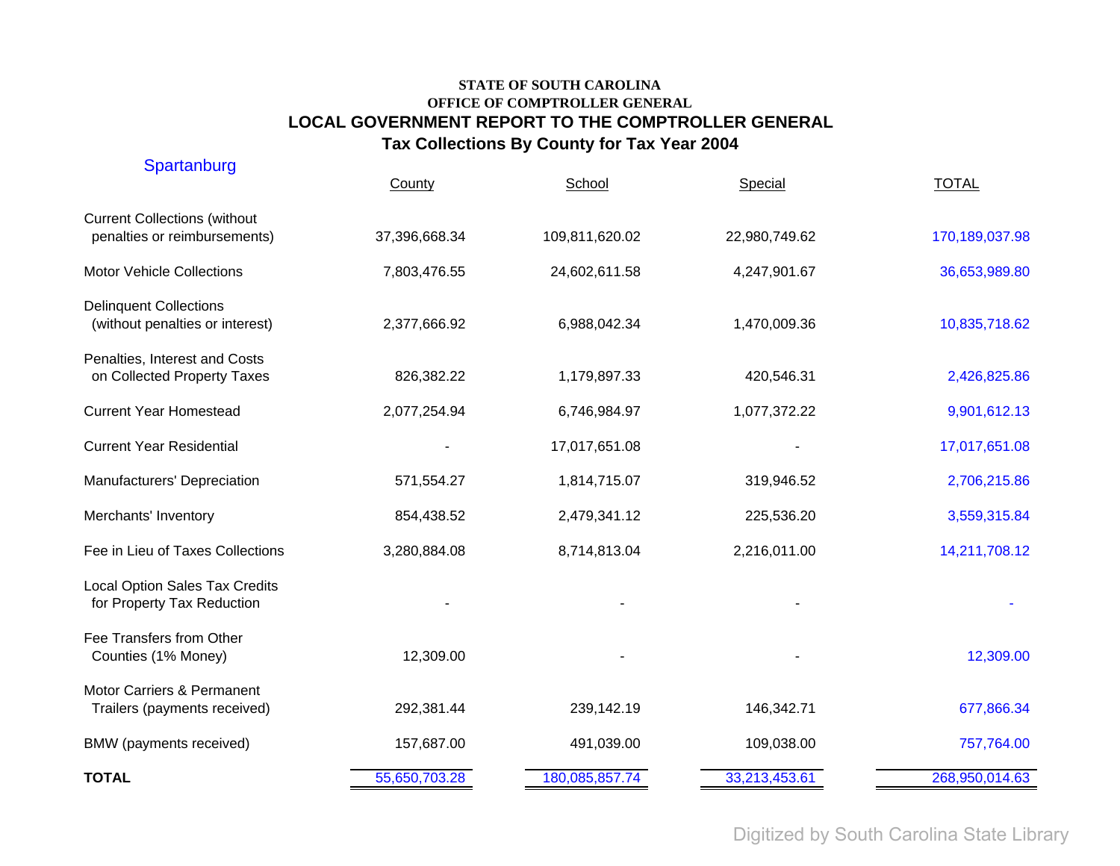| Spartanburg                                                         | County        | School         | Special       | <b>TOTAL</b>   |
|---------------------------------------------------------------------|---------------|----------------|---------------|----------------|
| <b>Current Collections (without</b><br>penalties or reimbursements) | 37,396,668.34 | 109,811,620.02 | 22,980,749.62 | 170,189,037.98 |
| <b>Motor Vehicle Collections</b>                                    | 7,803,476.55  | 24,602,611.58  | 4,247,901.67  | 36,653,989.80  |
| <b>Delinquent Collections</b><br>(without penalties or interest)    | 2,377,666.92  | 6,988,042.34   | 1,470,009.36  | 10,835,718.62  |
| Penalties, Interest and Costs<br>on Collected Property Taxes        | 826,382.22    | 1,179,897.33   | 420,546.31    | 2,426,825.86   |
| <b>Current Year Homestead</b>                                       | 2,077,254.94  | 6,746,984.97   | 1,077,372.22  | 9,901,612.13   |
| <b>Current Year Residential</b>                                     |               | 17,017,651.08  |               | 17,017,651.08  |
| Manufacturers' Depreciation                                         | 571,554.27    | 1,814,715.07   | 319,946.52    | 2,706,215.86   |
| Merchants' Inventory                                                | 854,438.52    | 2,479,341.12   | 225,536.20    | 3,559,315.84   |
| Fee in Lieu of Taxes Collections                                    | 3,280,884.08  | 8,714,813.04   | 2,216,011.00  | 14,211,708.12  |
| <b>Local Option Sales Tax Credits</b><br>for Property Tax Reduction |               |                |               |                |
| Fee Transfers from Other<br>Counties (1% Money)                     | 12,309.00     |                |               | 12,309.00      |
| Motor Carriers & Permanent<br>Trailers (payments received)          | 292,381.44    | 239,142.19     | 146,342.71    | 677,866.34     |
| BMW (payments received)                                             | 157,687.00    | 491,039.00     | 109,038.00    | 757,764.00     |
| <b>TOTAL</b>                                                        | 55,650,703.28 | 180,085,857.74 | 33,213,453.61 | 268,950,014.63 |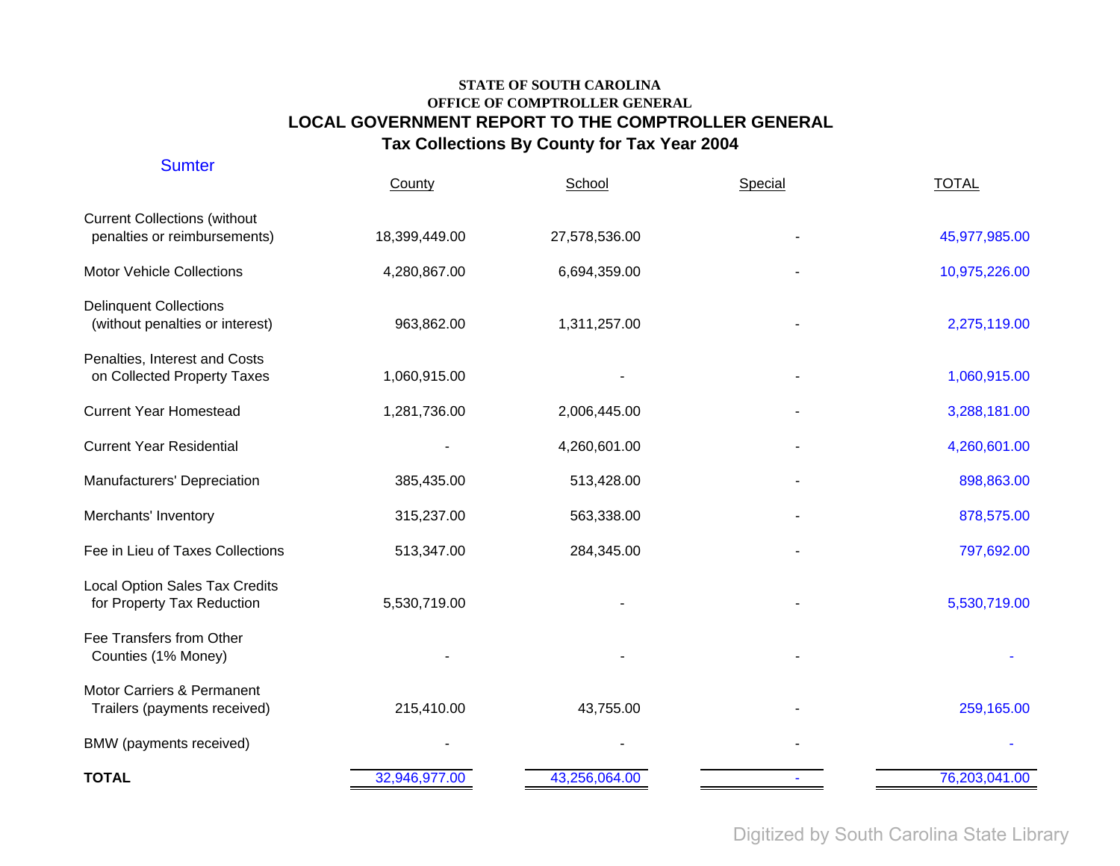| <b>Sumter</b>                                                       | County        | School        | Special | <b>TOTAL</b>  |
|---------------------------------------------------------------------|---------------|---------------|---------|---------------|
| <b>Current Collections (without</b><br>penalties or reimbursements) | 18,399,449.00 | 27,578,536.00 |         | 45,977,985.00 |
| <b>Motor Vehicle Collections</b>                                    | 4,280,867.00  | 6,694,359.00  |         | 10,975,226.00 |
| <b>Delinquent Collections</b><br>(without penalties or interest)    | 963,862.00    | 1,311,257.00  |         | 2,275,119.00  |
| Penalties, Interest and Costs<br>on Collected Property Taxes        | 1,060,915.00  |               |         | 1,060,915.00  |
| <b>Current Year Homestead</b>                                       | 1,281,736.00  | 2,006,445.00  |         | 3,288,181.00  |
| <b>Current Year Residential</b>                                     |               | 4,260,601.00  |         | 4,260,601.00  |
| Manufacturers' Depreciation                                         | 385,435.00    | 513,428.00    |         | 898,863.00    |
| Merchants' Inventory                                                | 315,237.00    | 563,338.00    |         | 878,575.00    |
| Fee in Lieu of Taxes Collections                                    | 513,347.00    | 284,345.00    |         | 797,692.00    |
| <b>Local Option Sales Tax Credits</b><br>for Property Tax Reduction | 5,530,719.00  |               |         | 5,530,719.00  |
| Fee Transfers from Other<br>Counties (1% Money)                     |               |               |         |               |
| Motor Carriers & Permanent<br>Trailers (payments received)          | 215,410.00    | 43,755.00     |         | 259,165.00    |
| BMW (payments received)                                             |               |               |         |               |
| <b>TOTAL</b>                                                        | 32,946,977.00 | 43,256,064.00 |         | 76,203,041.00 |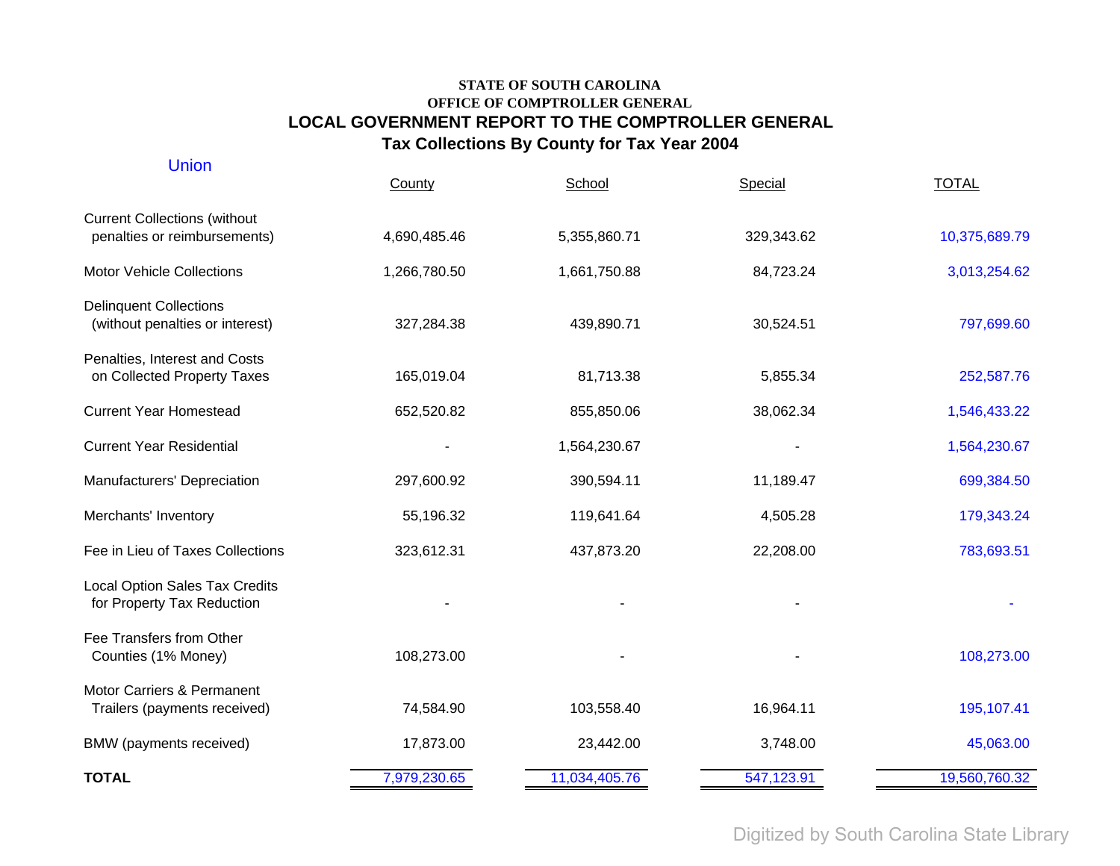| <b>Union</b>                                                        | County       | School        | Special    | <b>TOTAL</b>  |
|---------------------------------------------------------------------|--------------|---------------|------------|---------------|
| <b>Current Collections (without</b><br>penalties or reimbursements) | 4,690,485.46 | 5,355,860.71  | 329,343.62 | 10,375,689.79 |
| <b>Motor Vehicle Collections</b>                                    | 1,266,780.50 | 1,661,750.88  | 84,723.24  | 3,013,254.62  |
| <b>Delinquent Collections</b><br>(without penalties or interest)    | 327,284.38   | 439,890.71    | 30,524.51  | 797,699.60    |
| Penalties, Interest and Costs<br>on Collected Property Taxes        | 165,019.04   | 81,713.38     | 5,855.34   | 252,587.76    |
| <b>Current Year Homestead</b>                                       | 652,520.82   | 855,850.06    | 38,062.34  | 1,546,433.22  |
| <b>Current Year Residential</b>                                     |              | 1,564,230.67  |            | 1,564,230.67  |
| Manufacturers' Depreciation                                         | 297,600.92   | 390,594.11    | 11,189.47  | 699,384.50    |
| Merchants' Inventory                                                | 55,196.32    | 119,641.64    | 4,505.28   | 179,343.24    |
| Fee in Lieu of Taxes Collections                                    | 323,612.31   | 437,873.20    | 22,208.00  | 783,693.51    |
| <b>Local Option Sales Tax Credits</b><br>for Property Tax Reduction |              |               |            |               |
| Fee Transfers from Other<br>Counties (1% Money)                     | 108,273.00   |               |            | 108,273.00    |
| Motor Carriers & Permanent<br>Trailers (payments received)          | 74,584.90    | 103,558.40    | 16,964.11  | 195,107.41    |
| BMW (payments received)                                             | 17,873.00    | 23,442.00     | 3,748.00   | 45,063.00     |
| <b>TOTAL</b>                                                        | 7,979,230.65 | 11,034,405.76 | 547,123.91 | 19,560,760.32 |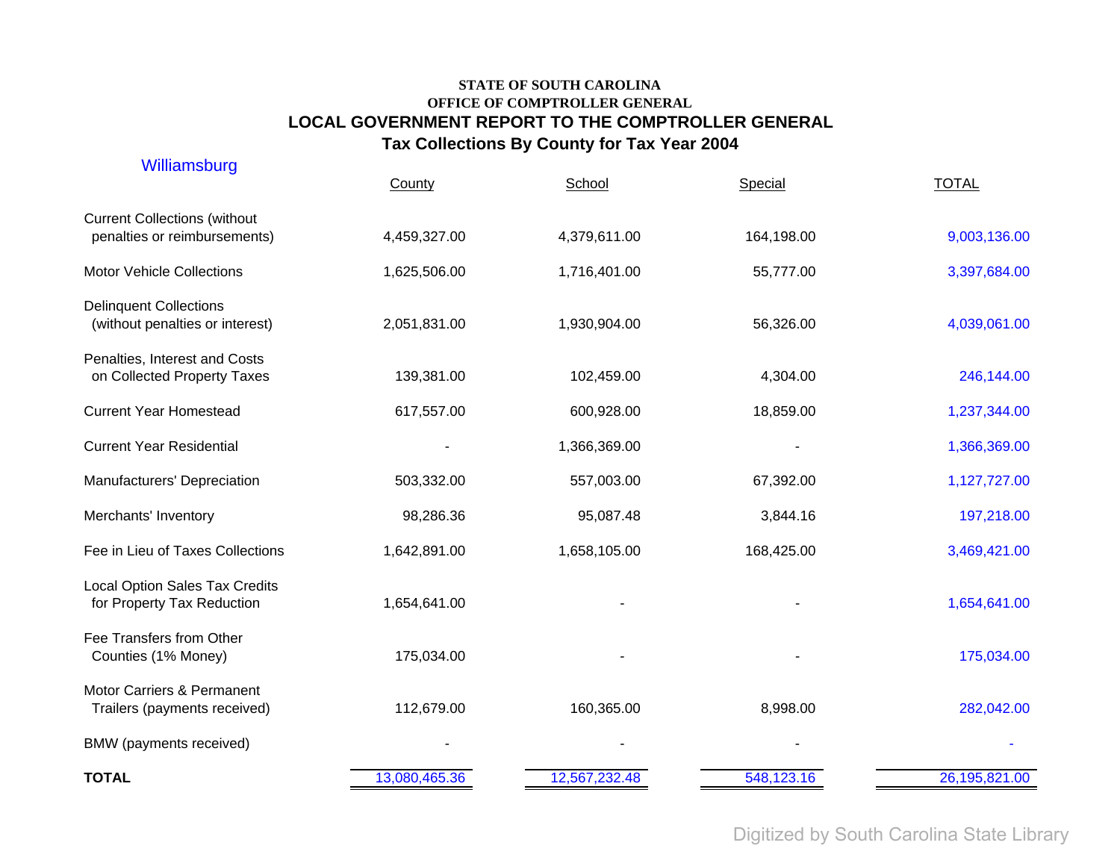| Williamsburg                                                        | County        | School        | Special    | <b>TOTAL</b>  |
|---------------------------------------------------------------------|---------------|---------------|------------|---------------|
| <b>Current Collections (without</b><br>penalties or reimbursements) | 4,459,327.00  | 4,379,611.00  | 164,198.00 | 9,003,136.00  |
| <b>Motor Vehicle Collections</b>                                    | 1,625,506.00  | 1,716,401.00  | 55,777.00  | 3,397,684.00  |
| <b>Delinquent Collections</b><br>(without penalties or interest)    | 2,051,831.00  | 1,930,904.00  | 56,326.00  | 4,039,061.00  |
| Penalties, Interest and Costs<br>on Collected Property Taxes        | 139,381.00    | 102,459.00    | 4,304.00   | 246,144.00    |
| <b>Current Year Homestead</b>                                       | 617,557.00    | 600,928.00    | 18,859.00  | 1,237,344.00  |
| <b>Current Year Residential</b>                                     |               | 1,366,369.00  |            | 1,366,369.00  |
| Manufacturers' Depreciation                                         | 503,332.00    | 557,003.00    | 67,392.00  | 1,127,727.00  |
| Merchants' Inventory                                                | 98,286.36     | 95,087.48     | 3,844.16   | 197,218.00    |
| Fee in Lieu of Taxes Collections                                    | 1,642,891.00  | 1,658,105.00  | 168,425.00 | 3,469,421.00  |
| <b>Local Option Sales Tax Credits</b><br>for Property Tax Reduction | 1,654,641.00  |               |            | 1,654,641.00  |
| Fee Transfers from Other<br>Counties (1% Money)                     | 175,034.00    |               |            | 175,034.00    |
| Motor Carriers & Permanent<br>Trailers (payments received)          | 112,679.00    | 160,365.00    | 8,998.00   | 282,042.00    |
| BMW (payments received)                                             |               |               |            |               |
| <b>TOTAL</b>                                                        | 13,080,465.36 | 12,567,232.48 | 548,123.16 | 26,195,821.00 |